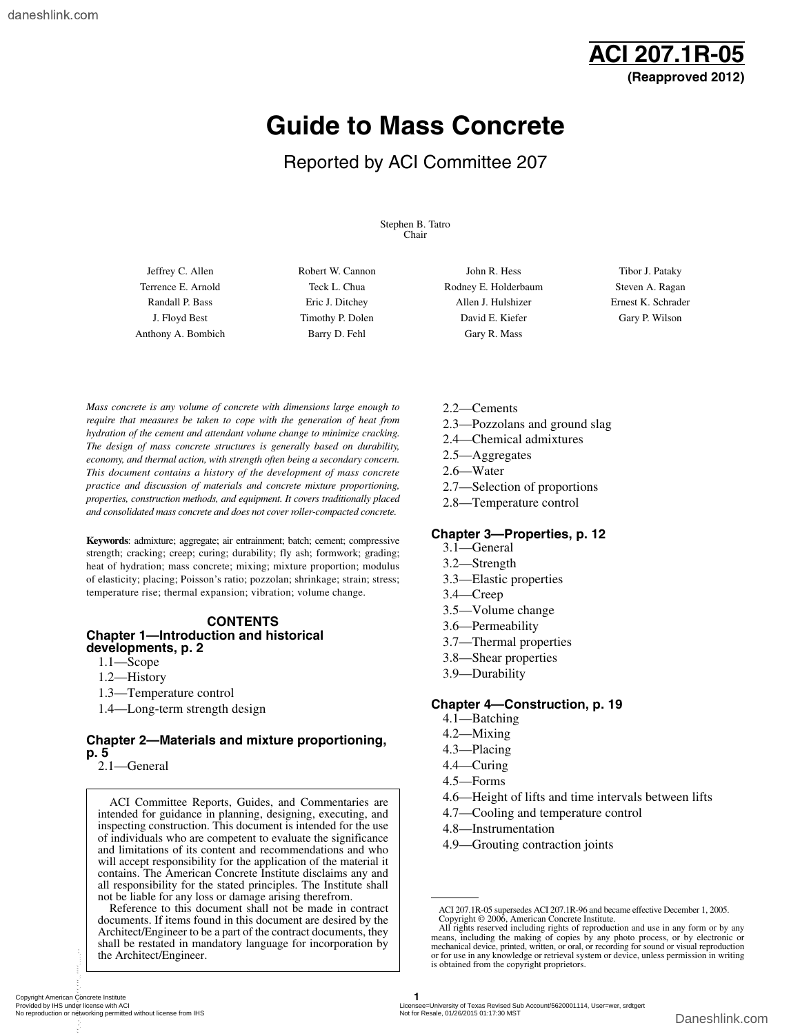

## **Guide to Mass Concrete**

### Reported by ACI Committee 207

Stephen B. Tatro Chair

Anthony A. Bombich Barry D. Fehl Gary R. Mass

Terrence E. Arnold Teck L. Chua Rodney E. Holderbaum Steven A. Ragan Randall P. Bass Eric J. Ditchey Allen J. Hulshizer Ernest K. Schrader J. Floyd Best Timothy P. Dolen David E. Kiefer Gary P. Wilson

Jeffrey C. Allen **Robert W. Cannon C. Allen John R. Hess** Tibor J. Pataky

*Mass concrete is any volume of concrete with dimensions large enough to require that measures be taken to cope with the generation of heat from hydration of the cement and attendant volume change to minimize cracking. The design of mass concrete structures is generally based on durability, economy, and thermal action, with strength often being a secondary concern. This document contains a history of the development of mass concrete practice and discussion of materials and concrete mixture proportioning, properties, construction methods, and equipment. It covers traditionally placed and consolidated mass concrete and does not cover roller-compacted concrete.*

**Keywords**: admixture; aggregate; air entrainment; batch; cement; compressive strength; cracking; creep; curing; durability; fly ash; formwork; grading; heat of hydration; mass concrete; mixing; mixture proportion; modulus of elasticity; placing; Poisson's ratio; pozzolan; shrinkage; strain; stress; temperature rise; thermal expansion; vibration; volume change.

#### **CONTENTS Chapter 1—Introduction and historical developments, p. 2**

- 1.1—Scope
- 1.2—History
- 1.3—Temperature control
- 1.4—Long-term strength design

#### **Chapter 2—Materials and mixture proportioning, p. 5**

2.1—General

ACI Committee Reports, Guides, and Commentaries are intended for guidance in planning, designing, executing, and inspecting construction. This document is intended for the use of individuals who are competent to evaluate the significance and limitations of its content and recommendations and who will accept responsibility for the application of the material it contains. The American Concrete Institute disclaims any and all responsibility for the stated principles. The Institute shall not be liable for any loss or damage arising therefrom.

Reference to this document shall not be made in contract documents. If items found in this document are desired by the Architect/Engineer to be a part of the contract documents, they shall be restated in mandatory language for incorporation by the Architect/Engineer.

- 2.2—Cements
- 2.3—Pozzolans and ground slag
- 2.4—Chemical admixtures
- 2.5—Aggregates
- 2.6—Water
- 2.7—Selection of proportions
- 2.8—Temperature control

#### **Chapter 3—Properties, p. 12**

- 3.1—General
- 3.2—Strength
- 3.3—Elastic properties
- 3.4—Creep
- 3.5—Volume change
- 3.6—Permeability
- 3.7—Thermal properties
- 3.8—Shear properties
- 3.9—Durability

#### **Chapter 4—Construction, p. 19**

- 4.1—Batching
- 4.2—Mixing
- 4.3—Placing
- 4.4—Curing
- 4.5—Forms
- 4.6—Height of lifts and time intervals between lifts
- 4.7—Cooling and temperature control
- 4.8—Instrumentation
- 4.9—Grouting contraction joints

ACI 207.1R-05 supersedes ACI 207.1R-96 and became effective December 1, 2005.

Copyright © 2006, American Concrete Institute.<br>All rights reserved including rights of reproduction and use in any form or by any<br>means, including the making of copies by any photo process, or by electronic or mechanical device, printed, written, or oral, or recording for sound or visual reproduction or for use in any knowledge or retrieval system or device, unless permission in writing is obtained from the copyright proprietors.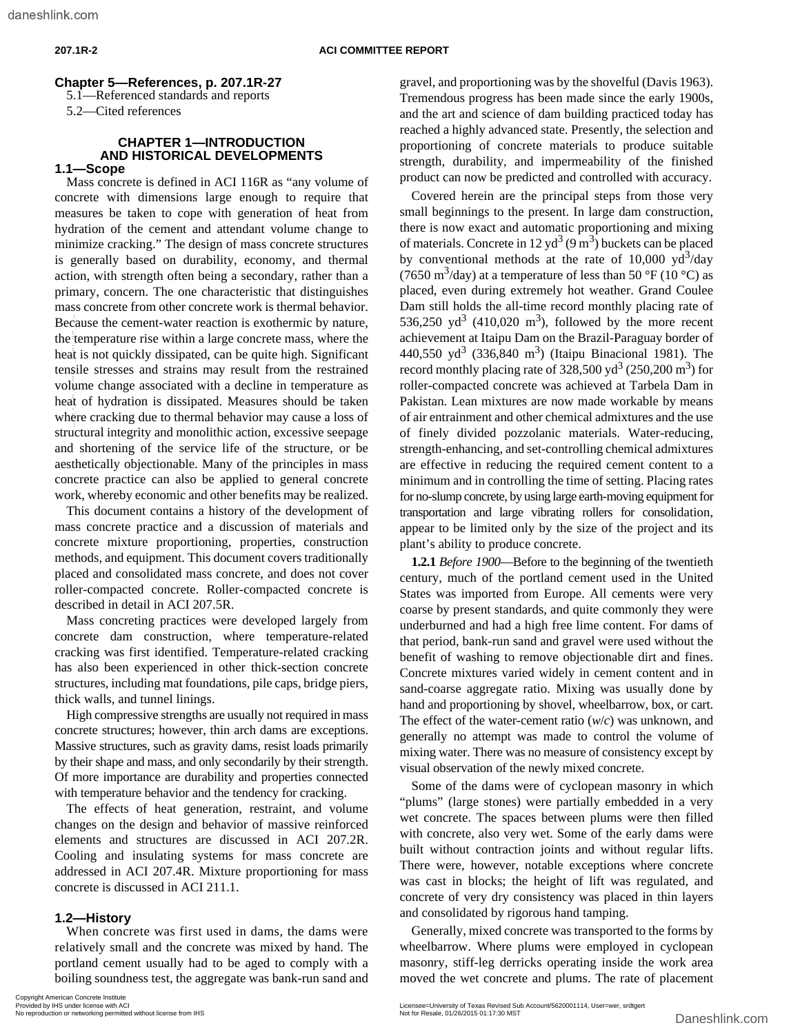#### **Chapter 5—References, p. 207.1R-27**

5.1—Referenced standards and reports

5.2—Cited references

#### **CHAPTER 1—INTRODUCTION AND HISTORICAL DEVELOPMENTS 1.1—Scope**

# Mass concrete is defined in ACI 116R as "any volume of concrete with dimensions large enough to require that measures be taken to cope with generation of heat from hydration of the cement and attendant volume change to minimize cracking." The design of mass concrete structures is generally based on durability, economy, and thermal action, with strength often being a secondary, rather than a primary, concern. The one characteristic that distinguishes mass concrete from other concrete work is thermal behavior. Because the cement-water reaction is exothermic by nature, the temperature rise within a large concrete mass, where the heat is not quickly dissipated, can be quite high. Significant tensile stresses and strains may result from the restrained volume change associated with a decline in temperature as heat of hydration is dissipated. Measures should be taken where cracking due to thermal behavior may cause a loss of structural integrity and monolithic action, excessive seepage and shortening of the service life of the structure, or be aesthetically objectionable. Many of the principles in mass concrete practice can also be applied to general concrete work, whereby economic and other benefits may be realized. Beause from earnest ware interesting in societien in the signafiest of earnest ware the control is not optical by issignated. Assume the high Signaficant at 40,550 permitted with a societien to the quite high Signaficant

This document contains a history of the development of mass concrete practice and a discussion of materials and concrete mixture proportioning, properties, construction methods, and equipment. This document covers traditionally placed and consolidated mass concrete, and does not cover roller-compacted concrete. Roller-compacted concrete is described in detail in ACI 207.5R.

Mass concreting practices were developed largely from concrete dam construction, where temperature-related cracking was first identified. Temperature-related cracking has also been experienced in other thick-section concrete structures, including mat foundations, pile caps, bridge piers, thick walls, and tunnel linings.

High compressive strengths are usually not required in mass concrete structures; however, thin arch dams are exceptions. Massive structures, such as gravity dams, resist loads primarily by their shape and mass, and only secondarily by their strength. Of more importance are durability and properties connected with temperature behavior and the tendency for cracking.

The effects of heat generation, restraint, and volume changes on the design and behavior of massive reinforced elements and structures are discussed in ACI 207.2R. Cooling and insulating systems for mass concrete are addressed in ACI 207.4R. Mixture proportioning for mass concrete is discussed in ACI 211.1.

#### **1.2—History**

When concrete was first used in dams, the dams were relatively small and the concrete was mixed by hand. The portland cement usually had to be aged to comply with a boiling soundness test, the aggregate was bank-run sand and gravel, and proportioning was by the shovelful (Davis 1963). Tremendous progress has been made since the early 1900s, and the art and science of dam building practiced today has reached a highly advanced state. Presently, the selection and proportioning of concrete materials to produce suitable strength, durability, and impermeability of the finished product can now be predicted and controlled with accuracy.

Covered herein are the principal steps from those very small beginnings to the present. In large dam construction, there is now exact and automatic proportioning and mixing of materials. Concrete in 12 yd<sup>3</sup> (9 m<sup>3</sup>) buckets can be placed by conventional methods at the rate of 10,000  $yd^3/day$ (7650 m<sup>3</sup>/day) at a temperature of less than 50 °F (10 °C) as placed, even during extremely hot weather. Grand Coulee Dam still holds the all-time record monthly placing rate of 536,250  $yd^3$  (410,020 m<sup>3</sup>), followed by the more recent achievement at Itaipu Dam on the Brazil-Paraguay border of 440,550 yd<sup>3</sup> (336,840 m<sup>3</sup>) (Itaipu Binacional 1981). The record monthly placing rate of  $328,500 \text{ yd}^3$  (250,200 m<sup>3</sup>) for roller-compacted concrete was achieved at Tarbela Dam in Pakistan. Lean mixtures are now made workable by means of air entrainment and other chemical admixtures and the use of finely divided pozzolanic materials. Water-reducing, strength-enhancing, and set-controlling chemical admixtures are effective in reducing the required cement content to a minimum and in controlling the time of setting. Placing rates for no-slump concrete, by using large earth-moving equipment for transportation and large vibrating rollers for consolidation, appear to be limited only by the size of the project and its plant's ability to produce concrete.

**1.2.1** *Before 1900*—Before to the beginning of the twentieth century, much of the portland cement used in the United States was imported from Europe. All cements were very coarse by present standards, and quite commonly they were underburned and had a high free lime content. For dams of that period, bank-run sand and gravel were used without the benefit of washing to remove objectionable dirt and fines. Concrete mixtures varied widely in cement content and in sand-coarse aggregate ratio. Mixing was usually done by hand and proportioning by shovel, wheelbarrow, box, or cart. The effect of the water-cement ratio (*w*/*c*) was unknown, and generally no attempt was made to control the volume of mixing water. There was no measure of consistency except by visual observation of the newly mixed concrete.

Some of the dams were of cyclopean masonry in which "plums" (large stones) were partially embedded in a very wet concrete. The spaces between plums were then filled with concrete, also very wet. Some of the early dams were built without contraction joints and without regular lifts. There were, however, notable exceptions where concrete was cast in blocks; the height of lift was regulated, and concrete of very dry consistency was placed in thin layers and consolidated by rigorous hand tamping.

Generally, mixed concrete was transported to the forms by wheelbarrow. Where plums were employed in cyclopean masonry, stiff-leg derricks operating inside the work area moved the wet concrete and plums. The rate of placement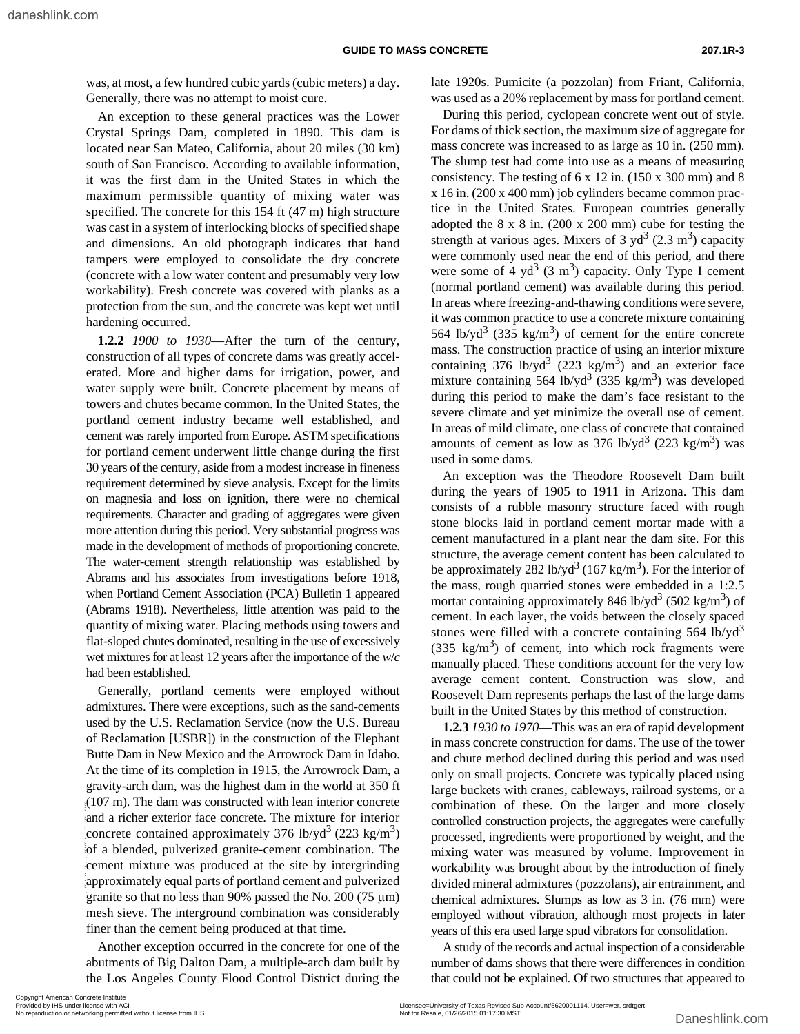was, at most, a few hundred cubic yards (cubic meters) a day. Generally, there was no attempt to moist cure.

An exception to these general practices was the Lower Crystal Springs Dam, completed in 1890. This dam is located near San Mateo, California, about 20 miles (30 km) south of San Francisco. According to available information, it was the first dam in the United States in which the maximum permissible quantity of mixing water was specified. The concrete for this 154 ft (47 m) high structure was cast in a system of interlocking blocks of specified shape and dimensions. An old photograph indicates that hand tampers were employed to consolidate the dry concrete (concrete with a low water content and presumably very low workability). Fresh concrete was covered with planks as a protection from the sun, and the concrete was kept wet until hardening occurred.

**1.2.2** *1900 to 1930*—After the turn of the century, construction of all types of concrete dams was greatly accelerated. More and higher dams for irrigation, power, and water supply were built. Concrete placement by means of towers and chutes became common. In the United States, the portland cement industry became well established, and cement was rarely imported from Europe. ASTM specifications for portland cement underwent little change during the first 30 years of the century, aside from a modest increase in fineness requirement determined by sieve analysis. Except for the limits on magnesia and loss on ignition, there were no chemical requirements. Character and grading of aggregates were given more attention during this period. Very substantial progress was made in the development of methods of proportioning concrete. The water-cement strength relationship was established by Abrams and his associates from investigations before 1918, when Portland Cement Association (PCA) Bulletin 1 appeared (Abrams 1918). Nevertheless, little attention was paid to the quantity of mixing water. Placing methods using towers and flat-sloped chutes dominated, resulting in the use of excessively wet mixtures for at least 12 years after the importance of the *w*/*c* had been established.

Generally, portland cements were employed without admixtures. There were exceptions, such as the sand-cements used by the U.S. Reclamation Service (now the U.S. Bureau of Reclamation [USBR]) in the construction of the Elephant Butte Dam in New Mexico and the Arrowrock Dam in Idaho. At the time of its completion in 1915, the Arrowrock Dam, a gravity-arch dam, was the highest dam in the world at 350 ft (107 m). The dam was constructed with lean interior concrete and a richer exterior face concrete. The mixture for interior concrete contained approximately 376 lb/yd<sup>3</sup> (223 kg/m<sup>3</sup>) of a blended, pulverized granite-cement combination. The cement mixture was produced at the site by intergrinding approximately equal parts of portland cement and pulverized granite so that no less than 90% passed the No. 200 (75 µm) mesh sieve. The interground combination was considerably finer than the cement being produced at that time. EVENTAL THE dam was constructed with lean interior concrete.<br>
(107 m). The dam was constructed with lean interior concrete condination of<br>
and a richer exterior face concrete. The mixture for interior concrete<br>
of a blend

Another exception occurred in the concrete for one of the abutments of Big Dalton Dam, a multiple-arch dam built by the Los Angeles County Flood Control District during the

late 1920s. Pumicite (a pozzolan) from Friant, California, was used as a 20% replacement by mass for portland cement.

During this period, cyclopean concrete went out of style. For dams of thick section, the maximum size of aggregate for mass concrete was increased to as large as 10 in. (250 mm). The slump test had come into use as a means of measuring consistency. The testing of 6 x 12 in. (150 x 300 mm) and 8 x 16 in. (200 x 400 mm) job cylinders became common practice in the United States. European countries generally adopted the 8 x 8 in. (200 x 200 mm) cube for testing the strength at various ages. Mixers of 3  $yd^3$  (2.3 m<sup>3</sup>) capacity were commonly used near the end of this period, and there were some of 4  $yd^3$  (3 m<sup>3</sup>) capacity. Only Type I cement (normal portland cement) was available during this period. In areas where freezing-and-thawing conditions were severe, it was common practice to use a concrete mixture containing 564 lb/yd<sup>3</sup> (335 kg/m<sup>3</sup>) of cement for the entire concrete mass. The construction practice of using an interior mixture containing 376 lb/yd<sup>3</sup> (223 kg/m<sup>3</sup>) and an exterior face mixture containing 564 lb/yd<sup>3</sup> (335 kg/m<sup>3</sup>) was developed during this period to make the dam's face resistant to the severe climate and yet minimize the overall use of cement. In areas of mild climate, one class of concrete that contained amounts of cement as low as  $376 \text{ lb/yd}^3$  (223 kg/m<sup>3</sup>) was used in some dams.

An exception was the Theodore Roosevelt Dam built during the years of 1905 to 1911 in Arizona. This dam consists of a rubble masonry structure faced with rough stone blocks laid in portland cement mortar made with a cement manufactured in a plant near the dam site. For this structure, the average cement content has been calculated to be approximately 282 lb/yd<sup>3</sup> (167 kg/m<sup>3</sup>). For the interior of the mass, rough quarried stones were embedded in a 1:2.5 mortar containing approximately 846 lb/yd<sup>3</sup> (502 kg/m<sup>3</sup>) of cement. In each layer, the voids between the closely spaced stones were filled with a concrete containing  $564$  lb/yd<sup>3</sup>  $(335 \text{ kg/m}^3)$  of cement, into which rock fragments were manually placed. These conditions account for the very low average cement content. Construction was slow, and Roosevelt Dam represents perhaps the last of the large dams built in the United States by this method of construction.

**1.2.3** *1930 to 1970*—This was an era of rapid development in mass concrete construction for dams. The use of the tower and chute method declined during this period and was used only on small projects. Concrete was typically placed using large buckets with cranes, cableways, railroad systems, or a combination of these. On the larger and more closely controlled construction projects, the aggregates were carefully processed, ingredients were proportioned by weight, and the mixing water was measured by volume. Improvement in workability was brought about by the introduction of finely divided mineral admixtures (pozzolans), air entrainment, and chemical admixtures. Slumps as low as 3 in. (76 mm) were employed without vibration, although most projects in later years of this era used large spud vibrators for consolidation.

A study of the records and actual inspection of a considerable number of dams shows that there were differences in condition that could not be explained. Of two structures that appeared to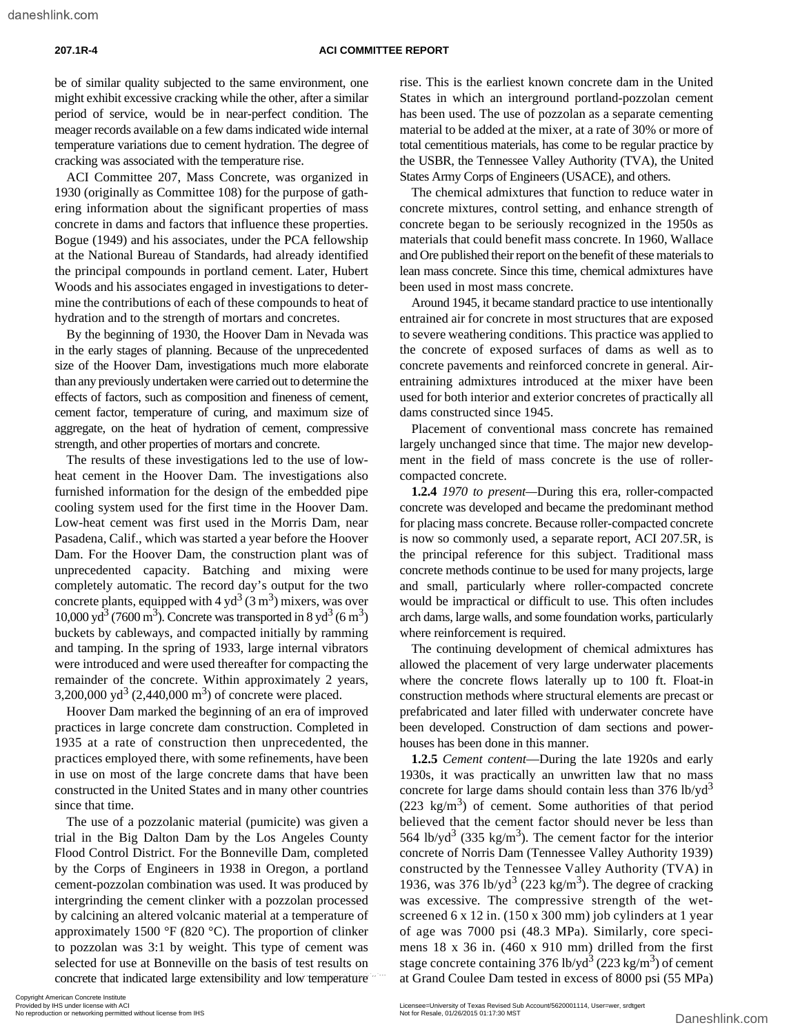be of similar quality subjected to the same environment, one might exhibit excessive cracking while the other, after a similar period of service, would be in near-perfect condition. The meager records available on a few dams indicated wide internal temperature variations due to cement hydration. The degree of cracking was associated with the temperature rise.

ACI Committee 207, Mass Concrete, was organized in 1930 (originally as Committee 108) for the purpose of gathering information about the significant properties of mass concrete in dams and factors that influence these properties. Bogue (1949) and his associates, under the PCA fellowship at the National Bureau of Standards, had already identified the principal compounds in portland cement. Later, Hubert Woods and his associates engaged in investigations to determine the contributions of each of these compounds to heat of hydration and to the strength of mortars and concretes.

By the beginning of 1930, the Hoover Dam in Nevada was in the early stages of planning. Because of the unprecedented size of the Hoover Dam, investigations much more elaborate than any previously undertaken were carried out to determine the effects of factors, such as composition and fineness of cement, cement factor, temperature of curing, and maximum size of aggregate, on the heat of hydration of cement, compressive strength, and other properties of mortars and concrete.

The results of these investigations led to the use of lowheat cement in the Hoover Dam. The investigations also furnished information for the design of the embedded pipe cooling system used for the first time in the Hoover Dam. Low-heat cement was first used in the Morris Dam, near Pasadena, Calif., which was started a year before the Hoover Dam. For the Hoover Dam, the construction plant was of unprecedented capacity. Batching and mixing were completely automatic. The record day's output for the two concrete plants, equipped with  $4 \text{ yd}^3$  (3 m<sup>3</sup>) mixers, was over  $10,000 \text{ yd}^3$  (7600 m<sup>3</sup>). Concrete was transported in 8 yd<sup>3</sup> (6 m<sup>3</sup>) buckets by cableways, and compacted initially by ramming and tamping. In the spring of 1933, large internal vibrators were introduced and were used thereafter for compacting the remainder of the concrete. Within approximately 2 years, 3,200,000 yd<sup>3</sup> (2,440,000 m<sup>3</sup>) of concrete were placed.

Hoover Dam marked the beginning of an era of improved practices in large concrete dam construction. Completed in 1935 at a rate of construction then unprecedented, the practices employed there, with some refinements, have been in use on most of the large concrete dams that have been constructed in the United States and in many other countries since that time.

The use of a pozzolanic material (pumicite) was given a trial in the Big Dalton Dam by the Los Angeles County Flood Control District. For the Bonneville Dam, completed by the Corps of Engineers in 1938 in Oregon, a portland cement-pozzolan combination was used. It was produced by intergrinding the cement clinker with a pozzolan processed by calcining an altered volcanic material at a temperature of approximately 1500 °F (820 °C). The proportion of clinker to pozzolan was 3:1 by weight. This type of cement was selected for use at Bonneville on the basis of test results on

rise. This is the earliest known concrete dam in the United States in which an interground portland-pozzolan cement has been used. The use of pozzolan as a separate cementing material to be added at the mixer, at a rate of 30% or more of total cementitious materials, has come to be regular practice by the USBR, the Tennessee Valley Authority (TVA), the United States Army Corps of Engineers (USACE), and others.

The chemical admixtures that function to reduce water in concrete mixtures, control setting, and enhance strength of concrete began to be seriously recognized in the 1950s as materials that could benefit mass concrete. In 1960, Wallace and Ore published their report on the benefit of these materials to lean mass concrete. Since this time, chemical admixtures have been used in most mass concrete.

Around 1945, it became standard practice to use intentionally entrained air for concrete in most structures that are exposed to severe weathering conditions. This practice was applied to the concrete of exposed surfaces of dams as well as to concrete pavements and reinforced concrete in general. Airentraining admixtures introduced at the mixer have been used for both interior and exterior concretes of practically all dams constructed since 1945.

Placement of conventional mass concrete has remained largely unchanged since that time. The major new development in the field of mass concrete is the use of rollercompacted concrete.

**1.2.4** *1970 to present—*During this era, roller-compacted concrete was developed and became the predominant method for placing mass concrete. Because roller-compacted concrete is now so commonly used, a separate report, ACI 207.5R, is the principal reference for this subject. Traditional mass concrete methods continue to be used for many projects, large and small, particularly where roller-compacted concrete would be impractical or difficult to use. This often includes arch dams, large walls, and some foundation works, particularly where reinforcement is required.

The continuing development of chemical admixtures has allowed the placement of very large underwater placements where the concrete flows laterally up to 100 ft. Float-in construction methods where structural elements are precast or prefabricated and later filled with underwater concrete have been developed. Construction of dam sections and powerhouses has been done in this manner.

**1.2.5** *Cement content*—During the late 1920s and early 1930s, it was practically an unwritten law that no mass concrete for large dams should contain less than  $376$  lb/yd<sup>3</sup>  $(223 \text{ kg/m}^3)$  of cement. Some authorities of that period believed that the cement factor should never be less than 564 lb/yd<sup>3</sup> (335 kg/m<sup>3</sup>). The cement factor for the interior concrete of Norris Dam (Tennessee Valley Authority 1939) constructed by the Tennessee Valley Authority (TVA) in 1936, was 376 lb/yd<sup>3</sup> (223 kg/m<sup>3</sup>). The degree of cracking was excessive. The compressive strength of the wetscreened 6 x 12 in. (150 x 300 mm) job cylinders at 1 year of age was 7000 psi (48.3 MPa). Similarly, core specimens 18 x 36 in. (460 x 910 mm) drilled from the first stage concrete containing 376 lb/yd<sup>3</sup> (223 kg/m<sup>3</sup>) of cement at Grand Coulee Dam tested in excess of 8000 psi (55 MPa)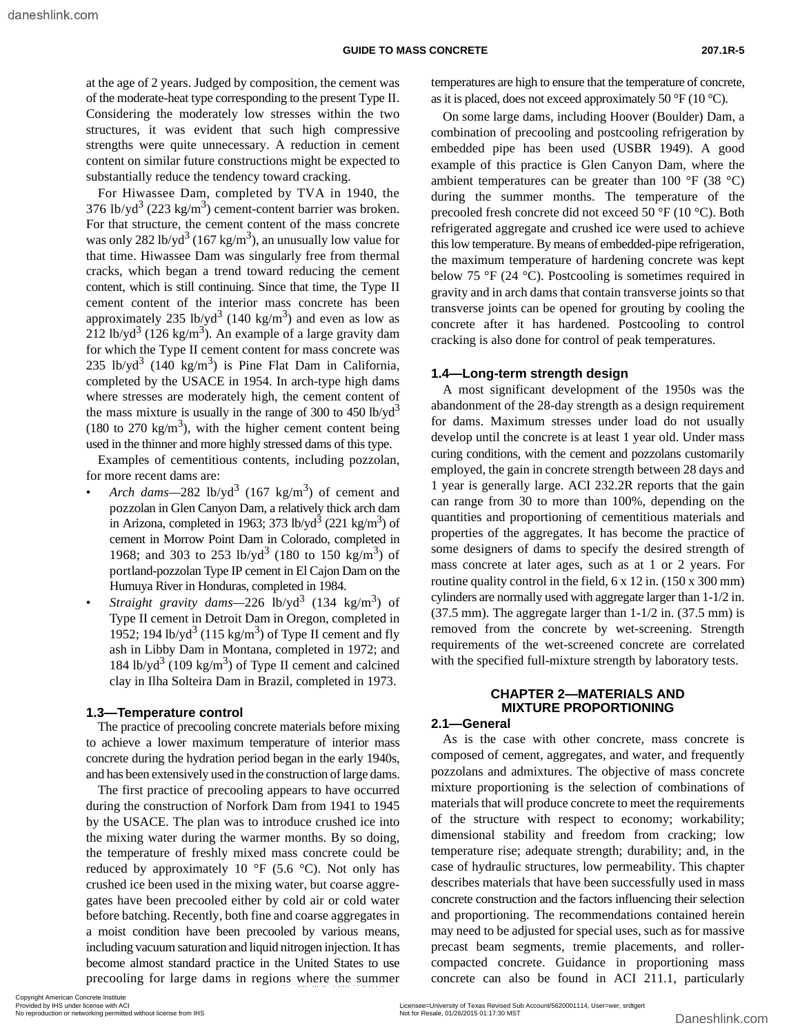at the age of 2 years. Judged by composition, the cement was of the moderate-heat type corresponding to the present Type II. Considering the moderately low stresses within the two structures, it was evident that such high compressive strengths were quite unnecessary. A reduction in cement content on similar future constructions might be expected to substantially reduce the tendency toward cracking.

For Hiwassee Dam, completed by TVA in 1940, the 376 lb/yd<sup>3</sup> (223 kg/m<sup>3</sup>) cement-content barrier was broken. For that structure, the cement content of the mass concrete was only 282 lb/yd<sup>3</sup> (167 kg/m<sup>3</sup>), an unusually low value for that time. Hiwassee Dam was singularly free from thermal cracks, which began a trend toward reducing the cement content, which is still continuing. Since that time, the Type II cement content of the interior mass concrete has been approximately 235 lb/yd<sup>3</sup> (140 kg/m<sup>3</sup>) and even as low as 212 lb/yd<sup>3</sup> (126 kg/m<sup>3</sup>). An example of a large gravity dam for which the Type II cement content for mass concrete was 235 lb/yd<sup>3</sup> (140 kg/m<sup>3</sup>) is Pine Flat Dam in California, completed by the USACE in 1954. In arch-type high dams where stresses are moderately high, the cement content of the mass mixture is usually in the range of 300 to 450 lb/yd<sup>3</sup> (180 to 270 kg/m<sup>3</sup>), with the higher cement content being used in the thinner and more highly stressed dams of this type.

Examples of cementitious contents, including pozzolan, for more recent dams are:

- Arch dams—282 lb/yd<sup>3</sup> (167 kg/m<sup>3</sup>) of cement and pozzolan in Glen Canyon Dam, a relatively thick arch dam in Arizona, completed in 1963; 373 lb/yd<sup>3</sup> (221 kg/m<sup>3</sup>) of cement in Morrow Point Dam in Colorado, completed in 1968; and 303 to 253 lb/yd<sup>3</sup> (180 to 150 kg/m<sup>3</sup>) of portland-pozzolan Type IP cement in El Cajon Dam on the Humuya River in Honduras, completed in 1984.
- *Straight gravity dams*—226 lb/yd<sup>3</sup> (134 kg/m<sup>3</sup>) of Type II cement in Detroit Dam in Oregon, completed in 1952; 194 lb/yd<sup>3</sup> (115 kg/m<sup>3</sup>) of Type II cement and fly ash in Libby Dam in Montana, completed in 1972; and 184 lb/yd<sup>3</sup> (109 kg/m<sup>3</sup>) of Type II cement and calcined clay in Ilha Solteira Dam in Brazil, completed in 1973.

#### **1.3—Temperature control**

The practice of precooling concrete materials before mixing to achieve a lower maximum temperature of interior mass concrete during the hydration period began in the early 1940s, and has been extensively used in the construction of large dams.

The first practice of precooling appears to have occurred during the construction of Norfork Dam from 1941 to 1945 by the USACE. The plan was to introduce crushed ice into the mixing water during the warmer months. By so doing, the temperature of freshly mixed mass concrete could be reduced by approximately 10  $\mathrm{^{\circ}F}$  (5.6  $\mathrm{^{\circ}C}$ ). Not only has crushed ice been used in the mixing water, but coarse aggregates have been precooled either by cold air or cold water before batching. Recently, both fine and coarse aggregates in a moist condition have been precooled by various means, including vacuum saturation and liquid nitrogen injection. It has become almost standard practice in the United States to use precooling for large dams in regions where the summer temperatures are high to ensure that the temperature of concrete, as it is placed, does not exceed approximately 50  $\mathrm{^{\circ}F}$  (10  $\mathrm{^{\circ}C}$ ).

On some large dams, including Hoover (Boulder) Dam, a combination of precooling and postcooling refrigeration by embedded pipe has been used (USBR 1949). A good example of this practice is Glen Canyon Dam, where the ambient temperatures can be greater than 100 °F (38 °C) during the summer months. The temperature of the precooled fresh concrete did not exceed 50 °F (10 °C). Both refrigerated aggregate and crushed ice were used to achieve this low temperature. By means of embedded-pipe refrigeration, the maximum temperature of hardening concrete was kept below 75 °F (24 °C). Postcooling is sometimes required in gravity and in arch dams that contain transverse joints so that transverse joints can be opened for grouting by cooling the concrete after it has hardened. Postcooling to control cracking is also done for control of peak temperatures.

#### **1.4—Long-term strength design**

A most significant development of the 1950s was the abandonment of the 28-day strength as a design requirement for dams. Maximum stresses under load do not usually develop until the concrete is at least 1 year old. Under mass curing conditions, with the cement and pozzolans customarily employed, the gain in concrete strength between 28 days and 1 year is generally large. ACI 232.2R reports that the gain can range from 30 to more than 100%, depending on the quantities and proportioning of cementitious materials and properties of the aggregates. It has become the practice of some designers of dams to specify the desired strength of mass concrete at later ages, such as at 1 or 2 years. For routine quality control in the field, 6 x 12 in. (150 x 300 mm) cylinders are normally used with aggregate larger than 1-1/2 in.  $(37.5 \text{ mm})$ . The aggregate larger than  $1-1/2$  in.  $(37.5 \text{ mm})$  is removed from the concrete by wet-screening. Strength requirements of the wet-screened concrete are correlated with the specified full-mixture strength by laboratory tests.

#### **CHAPTER 2—MATERIALS AND MIXTURE PROPORTIONING**

#### **2.1—General**

As is the case with other concrete, mass concrete is composed of cement, aggregates, and water, and frequently pozzolans and admixtures. The objective of mass concrete mixture proportioning is the selection of combinations of materials that will produce concrete to meet the requirements of the structure with respect to economy; workability; dimensional stability and freedom from cracking; low temperature rise; adequate strength; durability; and, in the case of hydraulic structures, low permeability. This chapter describes materials that have been successfully used in mass concrete construction and the factors influencing their selection and proportioning. The recommendations contained herein may need to be adjusted for special uses, such as for massive precast beam segments, tremie placements, and rollercompacted concrete. Guidance in proportioning mass concrete can also be found in ACI 211.1, particularly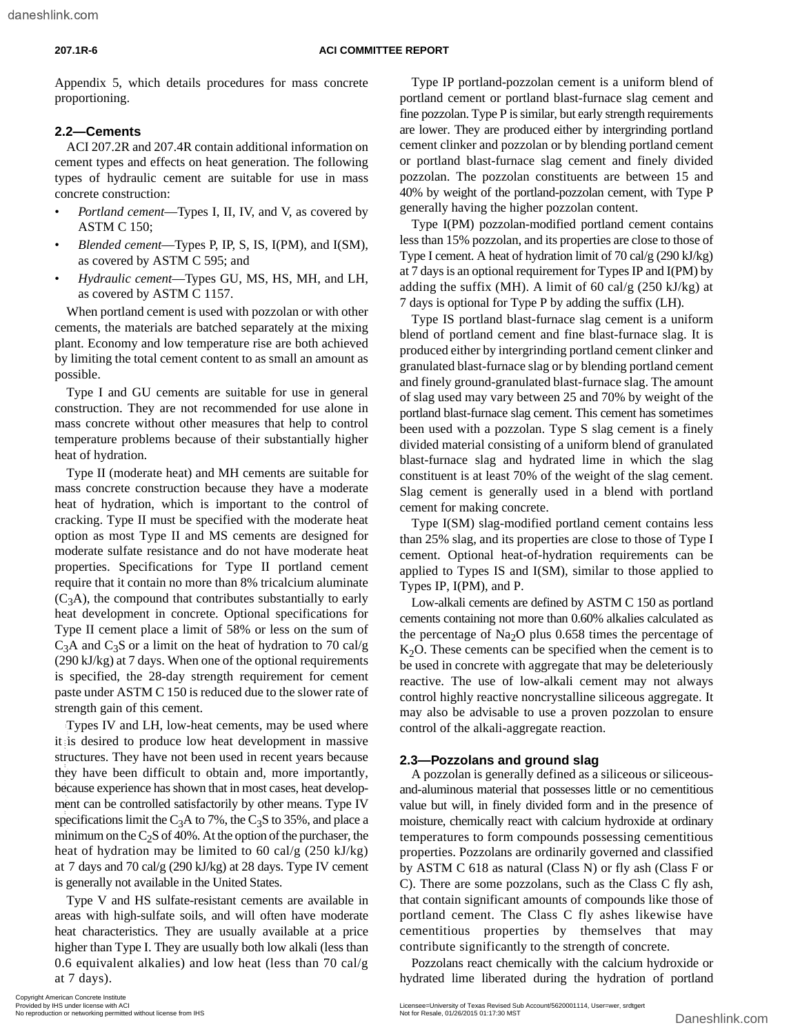Appendix 5, which details procedures for mass concrete proportioning.

### **2.2—Cements**

ACI 207.2R and 207.4R contain additional information on cement types and effects on heat generation. The following types of hydraulic cement are suitable for use in mass concrete construction:

- *Portland cement*—Types I, II, IV, and V, as covered by ASTM C 150;
- *Blended cement*—Types P, IP, S, IS, I(PM), and I(SM), as covered by ASTM C 595; and
- *Hydraulic cement*—Types GU, MS, HS, MH, and LH, as covered by ASTM C 1157.

When portland cement is used with pozzolan or with other cements, the materials are batched separately at the mixing plant. Economy and low temperature rise are both achieved by limiting the total cement content to as small an amount as possible.

Type I and GU cements are suitable for use in general construction. They are not recommended for use alone in mass concrete without other measures that help to control temperature problems because of their substantially higher heat of hydration.

Type II (moderate heat) and MH cements are suitable for mass concrete construction because they have a moderate heat of hydration, which is important to the control of cracking. Type II must be specified with the moderate heat option as most Type II and MS cements are designed for moderate sulfate resistance and do not have moderate heat properties. Specifications for Type II portland cement require that it contain no more than 8% tricalcium aluminate  $(C_3A)$ , the compound that contributes substantially to early heat development in concrete. Optional specifications for Type II cement place a limit of 58% or less on the sum of  $C_3$ A and  $C_3$ S or a limit on the heat of hydration to 70 cal/g (290 kJ/kg) at 7 days. When one of the optional requirements is specified, the 28-day strength requirement for cement paste under ASTM C 150 is reduced due to the slower rate of strength gain of this cement.

Types IV and LH, low-heat cements, may be used where it is desired to produce low heat development in massive structures. They have not been used in recent years because they have been difficult to obtain and, more importantly, because experience has shown that in most cases, heat development can be controlled satisfactorily by other means. Type IV specifications limit the C<sub>3</sub>A to 7%, the C<sub>3</sub>S to 35%, and place a minimum on the  $C_2S$  of 40%. At the option of the purchaser, the heat of hydration may be limited to 60 cal/g (250 kJ/kg) at 7 days and 70 cal/g (290 kJ/kg) at 28 days. Type IV cement is generally not available in the United States. The state of production or networking permitted without sometime or networking permitted without sometime or networking permitted without sometime or networking permitted with a more importantly. A pozzolan is general bec

Type V and HS sulfate-resistant cements are available in areas with high-sulfate soils, and will often have moderate heat characteristics. They are usually available at a price higher than Type I. They are usually both low alkali (less than 0.6 equivalent alkalies) and low heat (less than 70 cal/g at 7 days).

Type IP portland-pozzolan cement is a uniform blend of portland cement or portland blast-furnace slag cement and fine pozzolan. Type P is similar, but early strength requirements are lower. They are produced either by intergrinding portland cement clinker and pozzolan or by blending portland cement or portland blast-furnace slag cement and finely divided pozzolan. The pozzolan constituents are between 15 and 40% by weight of the portland-pozzolan cement, with Type P generally having the higher pozzolan content.

Type I(PM) pozzolan-modified portland cement contains less than 15% pozzolan, and its properties are close to those of Type I cement. A heat of hydration limit of 70 cal/g (290 kJ/kg) at 7 days is an optional requirement for Types IP and I(PM) by adding the suffix (MH). A limit of 60 cal/g (250 kJ/kg) at 7 days is optional for Type P by adding the suffix (LH).

Type IS portland blast-furnace slag cement is a uniform blend of portland cement and fine blast-furnace slag. It is produced either by intergrinding portland cement clinker and granulated blast-furnace slag or by blending portland cement and finely ground-granulated blast-furnace slag. The amount of slag used may vary between 25 and 70% by weight of the portland blast-furnace slag cement. This cement has sometimes been used with a pozzolan. Type S slag cement is a finely divided material consisting of a uniform blend of granulated blast-furnace slag and hydrated lime in which the slag constituent is at least 70% of the weight of the slag cement. Slag cement is generally used in a blend with portland cement for making concrete.

Type I(SM) slag-modified portland cement contains less than 25% slag, and its properties are close to those of Type I cement. Optional heat-of-hydration requirements can be applied to Types IS and I(SM), similar to those applied to Types IP, I(PM), and P.

Low-alkali cements are defined by ASTM C 150 as portland cements containing not more than 0.60% alkalies calculated as the percentage of  $\text{Na}_2\text{O}$  plus 0.658 times the percentage of  $K<sub>2</sub>O$ . These cements can be specified when the cement is to be used in concrete with aggregate that may be deleteriously reactive. The use of low-alkali cement may not always control highly reactive noncrystalline siliceous aggregate. It may also be advisable to use a proven pozzolan to ensure control of the alkali-aggregate reaction.

#### **2.3—Pozzolans and ground slag**

A pozzolan is generally defined as a siliceous or siliceousand-aluminous material that possesses little or no cementitious value but will, in finely divided form and in the presence of moisture, chemically react with calcium hydroxide at ordinary temperatures to form compounds possessing cementitious properties. Pozzolans are ordinarily governed and classified by ASTM C 618 as natural (Class N) or fly ash (Class F or C). There are some pozzolans, such as the Class C fly ash, that contain significant amounts of compounds like those of portland cement. The Class C fly ashes likewise have cementitious properties by themselves that may contribute significantly to the strength of concrete.

Pozzolans react chemically with the calcium hydroxide or hydrated lime liberated during the hydration of portland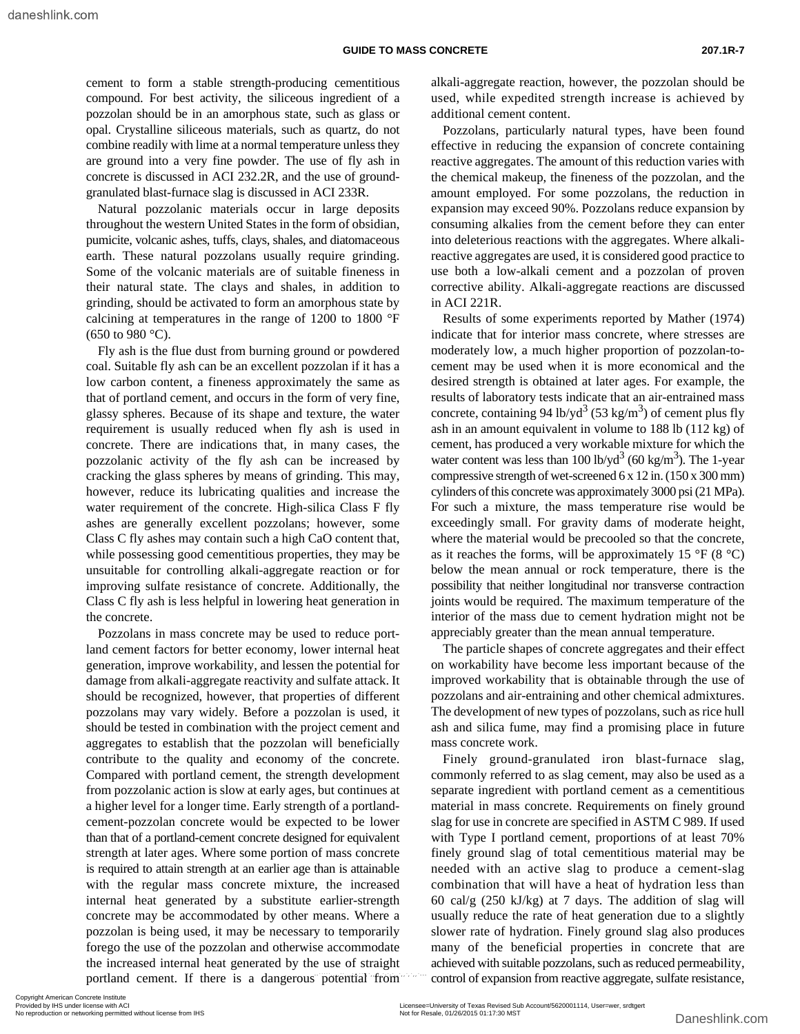cement to form a stable strength-producing cementitious compound. For best activity, the siliceous ingredient of a pozzolan should be in an amorphous state, such as glass or opal. Crystalline siliceous materials, such as quartz, do not combine readily with lime at a normal temperature unless they are ground into a very fine powder. The use of fly ash in concrete is discussed in ACI 232.2R, and the use of groundgranulated blast-furnace slag is discussed in ACI 233R.

Natural pozzolanic materials occur in large deposits throughout the western United States in the form of obsidian, pumicite, volcanic ashes, tuffs, clays, shales, and diatomaceous earth. These natural pozzolans usually require grinding. Some of the volcanic materials are of suitable fineness in their natural state. The clays and shales, in addition to grinding, should be activated to form an amorphous state by calcining at temperatures in the range of 1200 to 1800 °F  $(650 \text{ to } 980 \text{ °C}).$ 

Fly ash is the flue dust from burning ground or powdered coal. Suitable fly ash can be an excellent pozzolan if it has a low carbon content, a fineness approximately the same as that of portland cement, and occurs in the form of very fine, glassy spheres. Because of its shape and texture, the water requirement is usually reduced when fly ash is used in concrete. There are indications that, in many cases, the pozzolanic activity of the fly ash can be increased by cracking the glass spheres by means of grinding. This may, however, reduce its lubricating qualities and increase the water requirement of the concrete. High-silica Class F fly ashes are generally excellent pozzolans; however, some Class C fly ashes may contain such a high CaO content that, while possessing good cementitious properties, they may be unsuitable for controlling alkali-aggregate reaction or for improving sulfate resistance of concrete. Additionally, the Class C fly ash is less helpful in lowering heat generation in the concrete.

Pozzolans in mass concrete may be used to reduce portland cement factors for better economy, lower internal heat generation, improve workability, and lessen the potential for damage from alkali-aggregate reactivity and sulfate attack. It should be recognized, however, that properties of different pozzolans may vary widely. Before a pozzolan is used, it should be tested in combination with the project cement and aggregates to establish that the pozzolan will beneficially contribute to the quality and economy of the concrete. Compared with portland cement, the strength development from pozzolanic action is slow at early ages, but continues at a higher level for a longer time. Early strength of a portlandcement-pozzolan concrete would be expected to be lower than that of a portland-cement concrete designed for equivalent strength at later ages. Where some portion of mass concrete is required to attain strength at an earlier age than is attainable with the regular mass concrete mixture, the increased internal heat generated by a substitute earlier-strength concrete may be accommodated by other means. Where a pozzolan is being used, it may be necessary to temporarily forego the use of the pozzolan and otherwise accommodate the increased internal heat generated by the use of straight

alkali-aggregate reaction, however, the pozzolan should be used, while expedited strength increase is achieved by additional cement content.

Pozzolans, particularly natural types, have been found effective in reducing the expansion of concrete containing reactive aggregates. The amount of this reduction varies with the chemical makeup, the fineness of the pozzolan, and the amount employed. For some pozzolans, the reduction in expansion may exceed 90%. Pozzolans reduce expansion by consuming alkalies from the cement before they can enter into deleterious reactions with the aggregates. Where alkalireactive aggregates are used, it is considered good practice to use both a low-alkali cement and a pozzolan of proven corrective ability. Alkali-aggregate reactions are discussed in ACI 221R.

Results of some experiments reported by Mather (1974) indicate that for interior mass concrete, where stresses are moderately low, a much higher proportion of pozzolan-tocement may be used when it is more economical and the desired strength is obtained at later ages. For example, the results of laboratory tests indicate that an air-entrained mass concrete, containing 94 lb/yd<sup>3</sup> (53 kg/m<sup>3</sup>) of cement plus fly ash in an amount equivalent in volume to 188 lb (112 kg) of cement, has produced a very workable mixture for which the water content was less than  $100$  lb/yd<sup>3</sup> (60 kg/m<sup>3</sup>). The 1-year compressive strength of wet-screened 6 x 12 in. (150 x 300 mm) cylinders of this concrete was approximately 3000 psi (21 MPa). For such a mixture, the mass temperature rise would be exceedingly small. For gravity dams of moderate height, where the material would be precooled so that the concrete, as it reaches the forms, will be approximately 15  $\rm{°F}$  (8  $\rm{°C}$ ) below the mean annual or rock temperature, there is the possibility that neither longitudinal nor transverse contraction joints would be required. The maximum temperature of the interior of the mass due to cement hydration might not be appreciably greater than the mean annual temperature.

The particle shapes of concrete aggregates and their effect on workability have become less important because of the improved workability that is obtainable through the use of pozzolans and air-entraining and other chemical admixtures. The development of new types of pozzolans, such as rice hull ash and silica fume, may find a promising place in future mass concrete work.

Finely ground-granulated iron blast-furnace slag, commonly referred to as slag cement, may also be used as a separate ingredient with portland cement as a cementitious material in mass concrete. Requirements on finely ground slag for use in concrete are specified in ASTM C 989. If used with Type I portland cement, proportions of at least 70% finely ground slag of total cementitious material may be needed with an active slag to produce a cement-slag combination that will have a heat of hydration less than 60 cal/g (250 kJ/kg) at 7 days. The addition of slag will usually reduce the rate of heat generation due to a slightly slower rate of hydration. Finely ground slag also produces many of the beneficial properties in concrete that are achieved with suitable pozzolans, such as reduced permeability, control of expansion from reactive aggregate, sulfate resistance,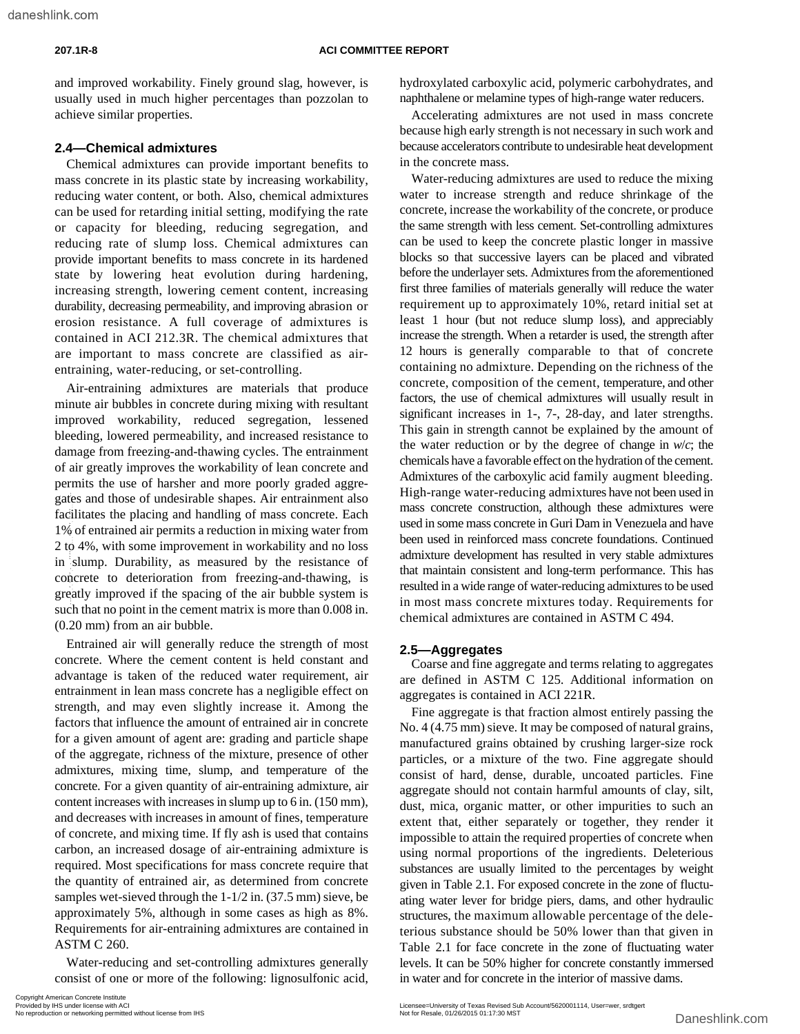#### **207.1R-8 ACI COMMITTEE REPORT**

and improved workability. Finely ground slag, however, is usually used in much higher percentages than pozzolan to achieve similar properties.

### **2.4—Chemical admixtures**

Chemical admixtures can provide important benefits to mass concrete in its plastic state by increasing workability, reducing water content, or both. Also, chemical admixtures can be used for retarding initial setting, modifying the rate or capacity for bleeding, reducing segregation, and reducing rate of slump loss. Chemical admixtures can provide important benefits to mass concrete in its hardened state by lowering heat evolution during hardening, increasing strength, lowering cement content, increasing durability, decreasing permeability, and improving abrasion or erosion resistance. A full coverage of admixtures is contained in ACI 212.3R. The chemical admixtures that are important to mass concrete are classified as airentraining, water-reducing, or set-controlling.

Air-entraining admixtures are materials that produce minute air bubbles in concrete during mixing with resultant improved workability, reduced segregation, lessened bleeding, lowered permeability, and increased resistance to damage from freezing-and-thawing cycles. The entrainment of air greatly improves the workability of lean concrete and permits the use of harsher and more poorly graded aggregates and those of undesirable shapes. Air entrainment also facilitates the placing and handling of mass concrete. Each 1% of entrained air permits a reduction in mixing water from 2 to 4%, with some improvement in workability and no loss in slump. Durability, as measured by the resistance of concrete to deterioration from freezing-and-thawing, is greatly improved if the spacing of the air bubble system is such that no point in the cement matrix is more than 0.008 in. (0.20 mm) from an air bubble.

Entrained air will generally reduce the strength of most concrete. Where the cement content is held constant and advantage is taken of the reduced water requirement, air entrainment in lean mass concrete has a negligible effect on strength, and may even slightly increase it. Among the factors that influence the amount of entrained air in concrete for a given amount of agent are: grading and particle shape of the aggregate, richness of the mixture, presence of other admixtures, mixing time, slump, and temperature of the concrete. For a given quantity of air-entraining admixture, air content increases with increases in slump up to 6 in. (150 mm), and decreases with increases in amount of fines, temperature of concrete, and mixing time. If fly ash is used that contains carbon, an increased dosage of air-entraining admixture is required. Most specifications for mass concrete require that the quantity of entrained air, as determined from concrete samples wet-sieved through the 1-1/2 in. (37.5 mm) sieve, be approximately 5%, although in some cases as high as 8%. Requirements for air-entraining admixtures are contained in ASTM C 260. guites and those of underivalor shapes. A ir entrainment also the mean so concert construction or networking and nanotheory and not the mean so concerned to the spacing of measure or the mean so concerned in studing and s

Water-reducing and set-controlling admixtures generally consist of one or more of the following: lignosulfonic acid, hydroxylated carboxylic acid, polymeric carbohydrates, and naphthalene or melamine types of high-range water reducers.

Accelerating admixtures are not used in mass concrete because high early strength is not necessary in such work and because accelerators contribute to undesirable heat development in the concrete mass.

Water-reducing admixtures are used to reduce the mixing water to increase strength and reduce shrinkage of the concrete, increase the workability of the concrete, or produce the same strength with less cement. Set-controlling admixtures can be used to keep the concrete plastic longer in massive blocks so that successive layers can be placed and vibrated before the underlayer sets. Admixtures from the aforementioned first three families of materials generally will reduce the water requirement up to approximately 10%, retard initial set at least 1 hour (but not reduce slump loss), and appreciably increase the strength. When a retarder is used, the strength after 12 hours is generally comparable to that of concrete containing no admixture. Depending on the richness of the concrete, composition of the cement, temperature, and other factors, the use of chemical admixtures will usually result in significant increases in 1-, 7-, 28-day, and later strengths. This gain in strength cannot be explained by the amount of the water reduction or by the degree of change in *w*/*c*; the chemicals have a favorable effect on the hydration of the cement. Admixtures of the carboxylic acid family augment bleeding. High-range water-reducing admixtures have not been used in mass concrete construction, although these admixtures were used in some mass concrete in Guri Dam in Venezuela and have been used in reinforced mass concrete foundations. Continued admixture development has resulted in very stable admixtures that maintain consistent and long-term performance. This has resulted in a wide range of water-reducing admixtures to be used in most mass concrete mixtures today. Requirements for chemical admixtures are contained in ASTM C 494.

#### **2.5—Aggregates**

Coarse and fine aggregate and terms relating to aggregates are defined in ASTM C 125. Additional information on aggregates is contained in ACI 221R.

Fine aggregate is that fraction almost entirely passing the No. 4 (4.75 mm) sieve. It may be composed of natural grains, manufactured grains obtained by crushing larger-size rock particles, or a mixture of the two. Fine aggregate should consist of hard, dense, durable, uncoated particles. Fine aggregate should not contain harmful amounts of clay, silt, dust, mica, organic matter, or other impurities to such an extent that, either separately or together, they render it impossible to attain the required properties of concrete when using normal proportions of the ingredients. Deleterious substances are usually limited to the percentages by weight given in Table 2.1. For exposed concrete in the zone of fluctuating water lever for bridge piers, dams, and other hydraulic structures, the maximum allowable percentage of the deleterious substance should be 50% lower than that given in Table 2.1 for face concrete in the zone of fluctuating water levels. It can be 50% higher for concrete constantly immersed in water and for concrete in the interior of massive dams.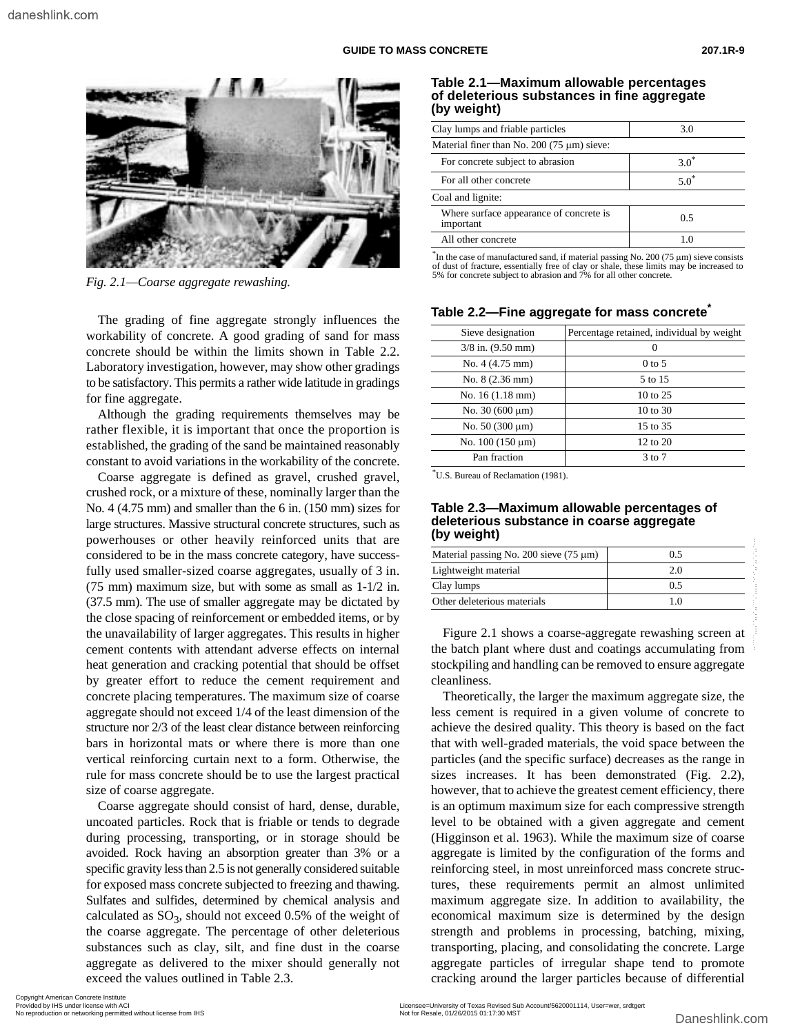

5% for concrete subject to abrasion and 7% for all other concrete. *Fig. 2.1—Coarse aggregate rewashing.*

The grading of fine aggregate strongly influences the workability of concrete. A good grading of sand for mass concrete should be within the limits shown in Table 2.2. Laboratory investigation, however, may show other gradings to be satisfactory. This permits a rather wide latitude in gradings for fine aggregate.

Although the grading requirements themselves may be rather flexible, it is important that once the proportion is established, the grading of the sand be maintained reasonably constant to avoid variations in the workability of the concrete.

Coarse aggregate is defined as gravel, crushed gravel, crushed rock, or a mixture of these, nominally larger than the No. 4 (4.75 mm) and smaller than the 6 in. (150 mm) sizes for large structures. Massive structural concrete structures, such as powerhouses or other heavily reinforced units that are considered to be in the mass concrete category, have successfully used smaller-sized coarse aggregates, usually of 3 in. (75 mm) maximum size, but with some as small as 1-1/2 in. (37.5 mm). The use of smaller aggregate may be dictated by the close spacing of reinforcement or embedded items, or by the unavailability of larger aggregates. This results in higher cement contents with attendant adverse effects on internal heat generation and cracking potential that should be offset by greater effort to reduce the cement requirement and concrete placing temperatures. The maximum size of coarse aggregate should not exceed 1/4 of the least dimension of the structure nor 2/3 of the least clear distance between reinforcing bars in horizontal mats or where there is more than one vertical reinforcing curtain next to a form. Otherwise, the rule for mass concrete should be to use the largest practical size of coarse aggregate.

Coarse aggregate should consist of hard, dense, durable, uncoated particles. Rock that is friable or tends to degrade during processing, transporting, or in storage should be avoided. Rock having an absorption greater than 3% or a specific gravity less than 2.5 is not generally considered suitable for exposed mass concrete subjected to freezing and thawing. Sulfates and sulfides, determined by chemical analysis and calculated as  $SO_3$ , should not exceed 0.5% of the weight of the coarse aggregate. The percentage of other deleterious substances such as clay, silt, and fine dust in the coarse aggregate as delivered to the mixer should generally not exceed the values outlined in Table 2.3.

#### **Table 2.1—Maximum allowable percentages of deleterious substances in fine aggregate (by weight)**

| Clay lumps and friable particles                     | 3.0     |  |  |  |  |  |  |
|------------------------------------------------------|---------|--|--|--|--|--|--|
| Material finer than No. 200 (75 $\mu$ m) sieve:      |         |  |  |  |  |  |  |
| For concrete subject to abrasion                     | $3.0^*$ |  |  |  |  |  |  |
| For all other concrete                               | $5.0^*$ |  |  |  |  |  |  |
| Coal and lignite:                                    |         |  |  |  |  |  |  |
| Where surface appearance of concrete is<br>important | 0.5     |  |  |  |  |  |  |
| All other concrete                                   |         |  |  |  |  |  |  |
|                                                      |         |  |  |  |  |  |  |

\* In the case of manufactured sand, if material passing No. 200 (75 µm) sieve consists of dust of fracture, essentially free of clay or shale, these limits may be increased to

| Sieve designation         | Percentage retained, individual by weight |
|---------------------------|-------------------------------------------|
| $3/8$ in. $(9.50$ mm)     |                                           |
| No. 4 (4.75 mm)           | $0$ to 5                                  |
| No. 8 (2.36 mm)           | 5 to 15                                   |
| No. $16(1.18 \text{ mm})$ | 10 to 25                                  |
| No. $30(600 \mu m)$       | $10 \text{ to } 30$                       |
| No. $50(300 \mu m)$       | 15 to 35                                  |
| No. $100(150 \mu m)$      | 12 to 20                                  |
| Pan fraction              | $3 \text{ to } 7$                         |

#### Table 2.2—Fine aggregate for mass concrete<sup>®</sup>

\*U.S. Bureau of Reclamation (1981).

#### **Table 2.3—Maximum allowable percentages of deleterious substance in coarse aggregate (by weight)**

| Material passing No. 200 sieve $(75 \mu m)$ | 0.5 |
|---------------------------------------------|-----|
| Lightweight material                        | 20  |
| Clay lumps                                  | 0.5 |
| Other deleterious materials                 |     |

Figure 2.1 shows a coarse-aggregate rewashing screen at the batch plant where dust and coatings accumulating from stockpiling and handling can be removed to ensure aggregate cleanliness.

Theoretically, the larger the maximum aggregate size, the less cement is required in a given volume of concrete to achieve the desired quality. This theory is based on the fact that with well-graded materials, the void space between the particles (and the specific surface) decreases as the range in sizes increases. It has been demonstrated (Fig. 2.2), however, that to achieve the greatest cement efficiency, there is an optimum maximum size for each compressive strength level to be obtained with a given aggregate and cement (Higginson et al. 1963). While the maximum size of coarse aggregate is limited by the configuration of the forms and reinforcing steel, in most unreinforced mass concrete structures, these requirements permit an almost unlimited maximum aggregate size. In addition to availability, the economical maximum size is determined by the design strength and problems in processing, batching, mixing, transporting, placing, and consolidating the concrete. Large aggregate particles of irregular shape tend to promote cracking around the larger particles because of differential powerhoods or 'onlie Tasks' and the measure of Context and the sale of the sale of the sale of the measurement of the sale of the sale of the sale of the measurement of the sale of the sale of the sale of the sale of the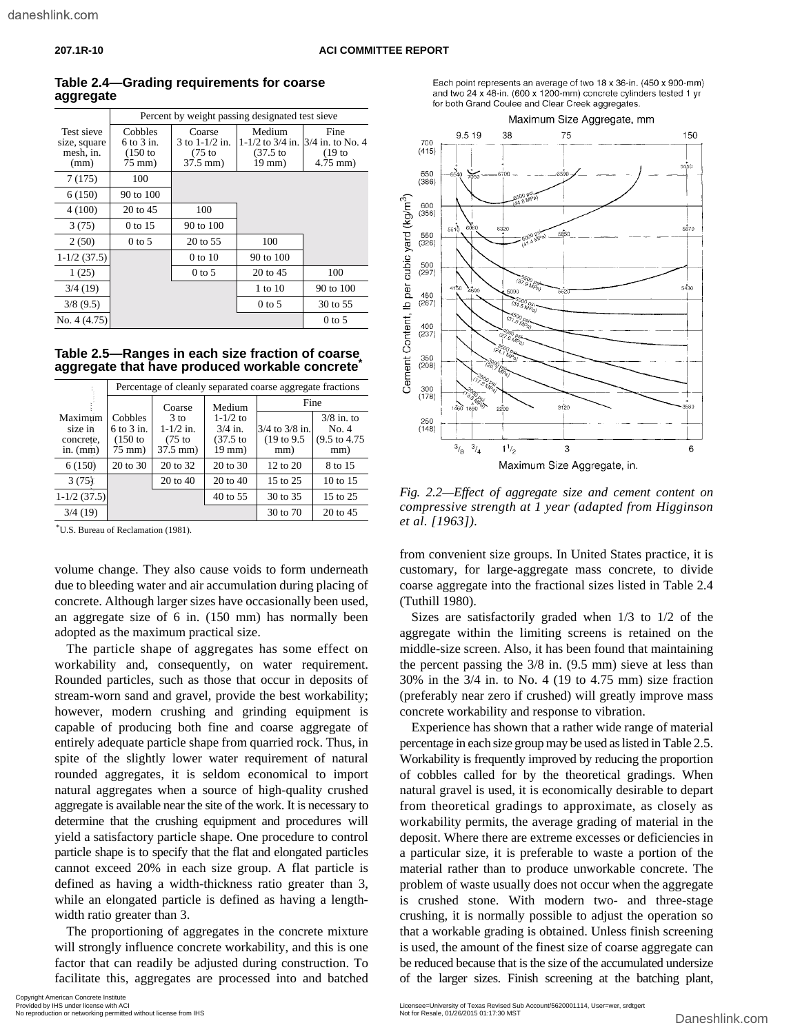| טו ווייש. |  |  |  |
|-----------|--|--|--|
|           |  |  |  |
|           |  |  |  |
|           |  |  |  |
|           |  |  |  |

|                           |                           | Percent by weight passing designated test sieve |                                  |                          |
|---------------------------|---------------------------|-------------------------------------------------|----------------------------------|--------------------------|
| Test sieve                | Cobbles<br>$6$ to $3$ in. | Coarse<br>3 to $1 - 1/2$ in.                    | Medium<br>$1 - 1/2$ to $3/4$ in. | Fine<br>3/4 in. to No. 4 |
| size, square<br>mesh, in. | $(150)$ to                | $(75$ to                                        | $(37.5)$ to                      | (19 <sub>to</sub> )      |
| (mm)                      | $75 \text{ mm}$ )         | $37.5$ mm)                                      | 19 mm)                           | $4.75$ mm $)$            |
|                           |                           |                                                 |                                  |                          |
| 7(175)                    | 100                       |                                                 |                                  |                          |
| 6(150)                    | 90 to 100                 |                                                 |                                  |                          |
| 4(100)                    | 20 to 45                  | 100                                             |                                  |                          |
| 3(75)                     | 0 to 15                   | 90 to 100                                       |                                  |                          |
| 2(50)                     | $0$ to 5                  | 20 to 55                                        | 100                              |                          |
| $1-1/2(37.5)$             |                           | 0 to 10                                         | 90 to 100                        |                          |
| 1(25)                     |                           | $0$ to 5                                        | 20 to 45                         | 100                      |
| 3/4(19)                   |                           |                                                 | 1 to 10                          | 90 to 100                |
| 3/8(9.5)                  |                           |                                                 | $0$ to 5                         | 30 to 55                 |
| No. $4(4.75)$             |                           |                                                 |                                  | $0$ to 5                 |

### **Table 2.4—Grading requirements for coarse aggregate**

|  | Table 2.5—Ranges in each size fraction of coarse         |  |
|--|----------------------------------------------------------|--|
|  | aggregate that have produced workable concrete $\degree$ |  |

|                                               |                                                          | Percentage of cleanly separated coarse aggregate fractions |                                                    |                                          |                                                          |  |  |  |  |  |  |  |
|-----------------------------------------------|----------------------------------------------------------|------------------------------------------------------------|----------------------------------------------------|------------------------------------------|----------------------------------------------------------|--|--|--|--|--|--|--|
|                                               |                                                          | Coarse                                                     | Medium                                             |                                          | Fine                                                     |  |  |  |  |  |  |  |
| Maximum<br>size in<br>concrete.<br>in. $(mm)$ | <b>Cobbles</b><br>$6$ to $3$ in.<br>$(150)$ to<br>75 mm) | $3$ to<br>$1 - 1/2$ in.<br>$(75$ to<br>37.5 mm)            | $1 - 1/2$ to<br>$3/4$ in.<br>$(37.5)$ to<br>19 mm) | $3/4$ to $3/8$ in.<br>(19 to 9.5)<br>mm) | $3/8$ in. to<br>No. 4<br>$(9.5 \text{ to } 4.75)$<br>mm) |  |  |  |  |  |  |  |
| 6(150)                                        | 20 to 30                                                 | 20 to 32                                                   | $20 \text{ to } 30$                                | $12 \text{ to } 20$                      | 8 to 15                                                  |  |  |  |  |  |  |  |
| 3(75)                                         |                                                          | 20 to 40                                                   | 20 to 40                                           | 15 to 25                                 | 10 to 15                                                 |  |  |  |  |  |  |  |
| $1-1/2(37.5)$                                 |                                                          |                                                            | 40 to 55                                           | 30 to 35                                 | 15 to 25                                                 |  |  |  |  |  |  |  |
| 3/4(19)                                       |                                                          |                                                            |                                                    | 30 to 70                                 | 20 to 45                                                 |  |  |  |  |  |  |  |

\*U.S. Bureau of Reclamation (1981).

volume change. They also cause voids to form underneath due to bleeding water and air accumulation during placing of concrete. Although larger sizes have occasionally been used, an aggregate size of 6 in. (150 mm) has normally been adopted as the maximum practical size.

The particle shape of aggregates has some effect on workability and, consequently, on water requirement. Rounded particles, such as those that occur in deposits of stream-worn sand and gravel, provide the best workability; however, modern crushing and grinding equipment is capable of producing both fine and coarse aggregate of entirely adequate particle shape from quarried rock. Thus, in spite of the slightly lower water requirement of natural rounded aggregates, it is seldom economical to import natural aggregates when a source of high-quality crushed aggregate is available near the site of the work. It is necessary to determine that the crushing equipment and procedures will yield a satisfactory particle shape. One procedure to control particle shape is to specify that the flat and elongated particles cannot exceed 20% in each size group. A flat particle is defined as having a width-thickness ratio greater than 3, while an elongated particle is defined as having a lengthwidth ratio greater than 3. Notinual control or  $\frac{1}{\sqrt{14}}$  (Note  $\frac{1}{\sqrt{14}}$  and  $\frac{1}{\sqrt{14}}$  and  $\frac{1}{\sqrt{14}}$  bereform the control of  $\frac{1}{\sqrt{14}}$  bereform in  $\frac{1}{\sqrt{14}}$  bereform in  $\frac{1}{\sqrt{14}}$  bereform in  $\frac{1}{\sqrt{14}}$  bereform in  $\frac$ 

The proportioning of aggregates in the concrete mixture will strongly influence concrete workability, and this is one factor that can readily be adjusted during construction. To facilitate this, aggregates are processed into and batched



Each point represents an average of two 18 x 36-in. (450 x 900-mm) and two 24 x 48-in. (600 x 1200-mm) concrete cylinders tested 1 yr

*Fig. 2.2—Effect of aggregate size and cement content on compressive strength at 1 year (adapted from Higginson et al. [1963]).*

from convenient size groups. In United States practice, it is customary, for large-aggregate mass concrete, to divide coarse aggregate into the fractional sizes listed in Table 2.4 (Tuthill 1980).

Sizes are satisfactorily graded when 1/3 to 1/2 of the aggregate within the limiting screens is retained on the middle-size screen. Also, it has been found that maintaining the percent passing the 3/8 in. (9.5 mm) sieve at less than 30% in the 3/4 in. to No. 4 (19 to 4.75 mm) size fraction (preferably near zero if crushed) will greatly improve mass concrete workability and response to vibration.

Experience has shown that a rather wide range of material percentage in each size group may be used as listed in Table 2.5. Workability is frequently improved by reducing the proportion of cobbles called for by the theoretical gradings. When natural gravel is used, it is economically desirable to depart from theoretical gradings to approximate, as closely as workability permits, the average grading of material in the deposit. Where there are extreme excesses or deficiencies in a particular size, it is preferable to waste a portion of the material rather than to produce unworkable concrete. The problem of waste usually does not occur when the aggregate is crushed stone. With modern two- and three-stage crushing, it is normally possible to adjust the operation so that a workable grading is obtained. Unless finish screening is used, the amount of the finest size of coarse aggregate can be reduced because that is the size of the accumulated undersize of the larger sizes. Finish screening at the batching plant,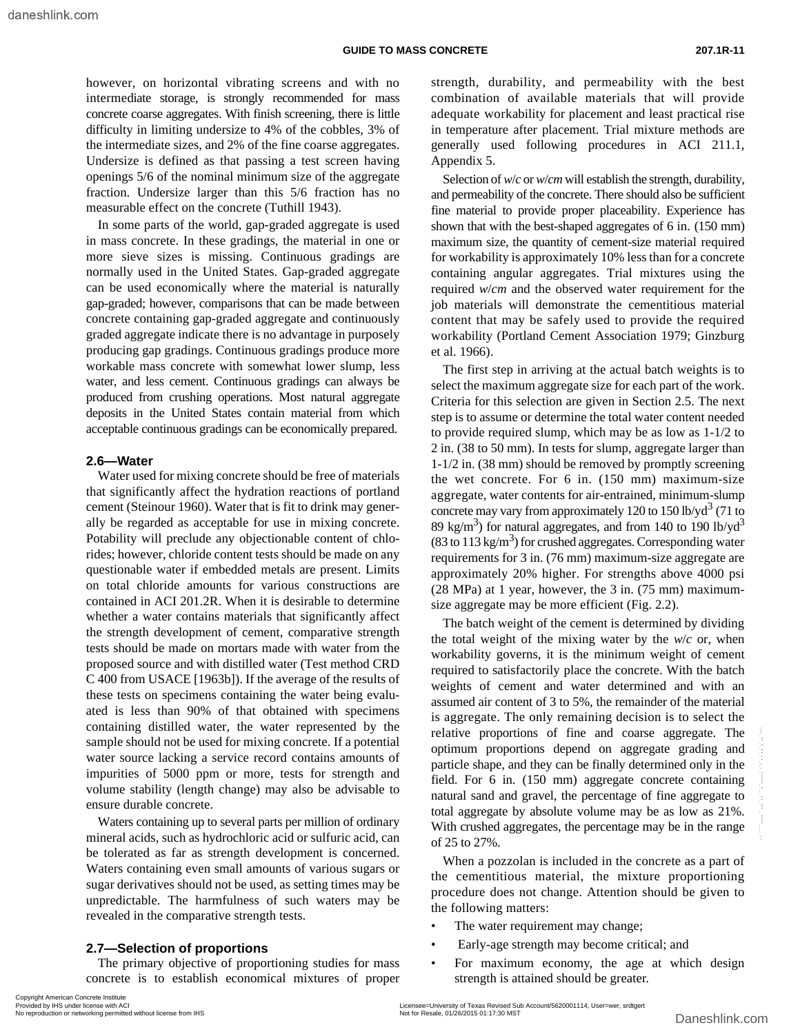however, on horizontal vibrating screens and with no intermediate storage, is strongly recommended for mass concrete coarse aggregates. With finish screening, there is little difficulty in limiting undersize to 4% of the cobbles, 3% of the intermediate sizes, and 2% of the fine coarse aggregates. Undersize is defined as that passing a test screen having openings 5/6 of the nominal minimum size of the aggregate fraction. Undersize larger than this 5/6 fraction has no measurable effect on the concrete (Tuthill 1943).

In some parts of the world, gap-graded aggregate is used in mass concrete. In these gradings, the material in one or more sieve sizes is missing. Continuous gradings are normally used in the United States. Gap-graded aggregate can be used economically where the material is naturally gap-graded; however, comparisons that can be made between concrete containing gap-graded aggregate and continuously graded aggregate indicate there is no advantage in purposely producing gap gradings. Continuous gradings produce more workable mass concrete with somewhat lower slump, less water, and less cement. Continuous gradings can always be produced from crushing operations. Most natural aggregate deposits in the United States contain material from which acceptable continuous gradings can be economically prepared.

#### **2.6—Water**

Water used for mixing concrete should be free of materials that significantly affect the hydration reactions of portland cement (Steinour 1960). Water that is fit to drink may generally be regarded as acceptable for use in mixing concrete. Potability will preclude any objectionable content of chlorides; however, chloride content tests should be made on any questionable water if embedded metals are present. Limits on total chloride amounts for various constructions are contained in ACI 201.2R. When it is desirable to determine whether a water contains materials that significantly affect the strength development of cement, comparative strength tests should be made on mortars made with water from the proposed source and with distilled water (Test method CRD C 400 from USACE [1963b]). If the average of the results of these tests on specimens containing the water being evaluated is less than 90% of that obtained with specimens containing distilled water, the water represented by the sample should not be used for mixing concrete. If a potential water source lacking a service record contains amounts of impurities of 5000 ppm or more, tests for strength and volume stability (length change) may also be advisable to ensure durable concrete.

Waters containing up to several parts per million of ordinary mineral acids, such as hydrochloric acid or sulfuric acid, can be tolerated as far as strength development is concerned. Waters containing even small amounts of various sugars or sugar derivatives should not be used, as setting times may be unpredictable. The harmfulness of such waters may be revealed in the comparative strength tests.

### **2.7—Selection of proportions**

The primary objective of proportioning studies for mass concrete is to establish economical mixtures of proper

Selection of *w*/*c* or *w*/*cm* will establish the strength, durability, and permeability of the concrete. There should also be sufficient fine material to provide proper placeability. Experience has shown that with the best-shaped aggregates of 6 in. (150 mm) maximum size, the quantity of cement-size material required for workability is approximately 10% less than for a concrete containing angular aggregates. Trial mixtures using the required *w*/*cm* and the observed water requirement for the job materials will demonstrate the cementitious material content that may be safely used to provide the required workability (Portland Cement Association 1979; Ginzburg et al. 1966).

The first step in arriving at the actual batch weights is to select the maximum aggregate size for each part of the work. Criteria for this selection are given in Section 2.5. The next step is to assume or determine the total water content needed to provide required slump, which may be as low as 1-1/2 to 2 in. (38 to 50 mm). In tests for slump, aggregate larger than 1-1/2 in. (38 mm) should be removed by promptly screening the wet concrete. For 6 in. (150 mm) maximum-size aggregate, water contents for air-entrained, minimum-slump concrete may vary from approximately 120 to 150 lb/y $d^3$  (71 to 89 kg/m<sup>3</sup>) for natural aggregates, and from 140 to 190 lb/yd<sup>3</sup>  $(83 \text{ to } 113 \text{ kg/m}^3)$  for crushed aggregates. Corresponding water requirements for 3 in. (76 mm) maximum-size aggregate are approximately 20% higher. For strengths above 4000 psi (28 MPa) at 1 year, however, the 3 in. (75 mm) maximumsize aggregate may be more efficient (Fig. 2.2).

The batch weight of the cement is determined by dividing the total weight of the mixing water by the *w*/*c* or, when workability governs, it is the minimum weight of cement required to satisfactorily place the concrete. With the batch weights of cement and water determined and with an assumed air content of 3 to 5%, the remainder of the material is aggregate. The only remaining decision is to select the relative proportions of fine and coarse aggregate. The optimum proportions depend on aggregate grading and particle shape, and they can be finally determined only in the field. For 6 in. (150 mm) aggregate concrete containing natural sand and gravel, the percentage of fine aggregate to total aggregate by absolute volume may be as low as 21%. With crushed aggregates, the percentage may be in the range of 25 to 27%. Something using the state of the state of the state of the state of the state of the state of solution or networking permitted with the interval of the state of SOO ppm or nent, test for strength and particle shape, and th

When a pozzolan is included in the concrete as a part of the cementitious material, the mixture proportioning procedure does not change. Attention should be given to the following matters:

- The water requirement may change;
- Early-age strength may become critical; and
- For maximum economy, the age at which design strength is attained should be greater.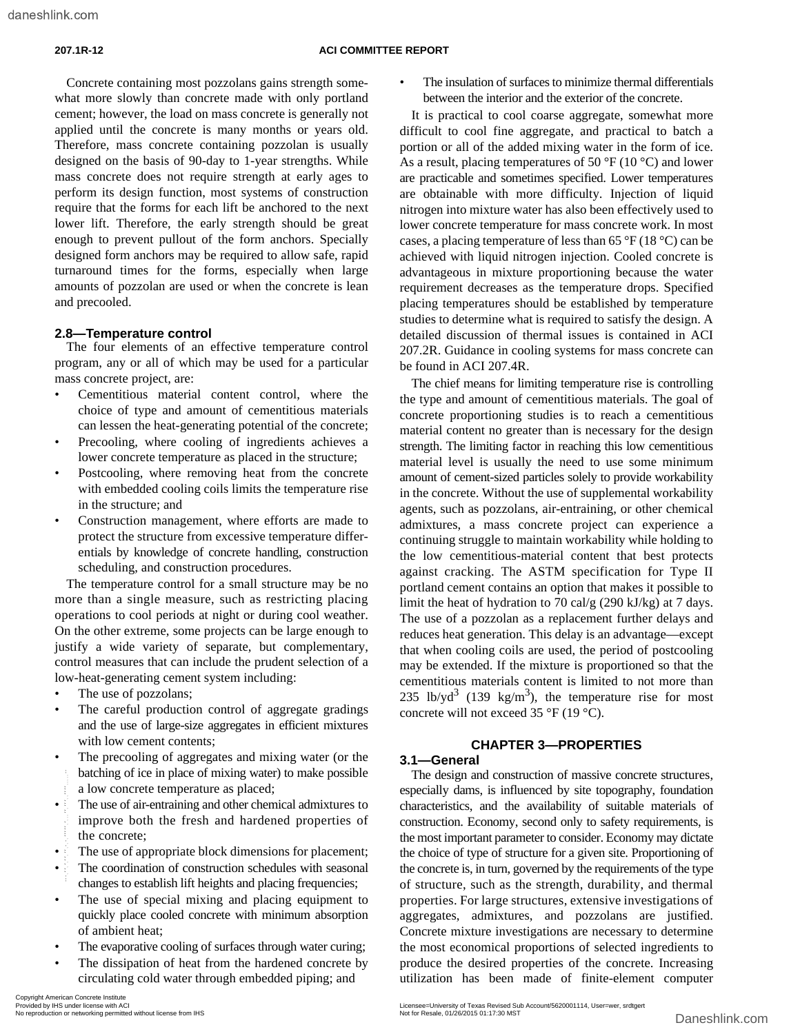Concrete containing most pozzolans gains strength somewhat more slowly than concrete made with only portland cement; however, the load on mass concrete is generally not applied until the concrete is many months or years old. Therefore, mass concrete containing pozzolan is usually designed on the basis of 90-day to 1-year strengths. While mass concrete does not require strength at early ages to perform its design function, most systems of construction require that the forms for each lift be anchored to the next lower lift. Therefore, the early strength should be great enough to prevent pullout of the form anchors. Specially designed form anchors may be required to allow safe, rapid turnaround times for the forms, especially when large amounts of pozzolan are used or when the concrete is lean and precooled.

### **2.8—Temperature control**

The four elements of an effective temperature control program, any or all of which may be used for a particular mass concrete project, are:

- Cementitious material content control, where the choice of type and amount of cementitious materials can lessen the heat-generating potential of the concrete;
- Precooling, where cooling of ingredients achieves a lower concrete temperature as placed in the structure;
- Postcooling, where removing heat from the concrete with embedded cooling coils limits the temperature rise in the structure; and
- Construction management, where efforts are made to protect the structure from excessive temperature differentials by knowledge of concrete handling, construction scheduling, and construction procedures.

The temperature control for a small structure may be no more than a single measure, such as restricting placing operations to cool periods at night or during cool weather. On the other extreme, some projects can be large enough to justify a wide variety of separate, but complementary, control measures that can include the prudent selection of a low-heat-generating cement system including:

- The use of pozzolans;
- The careful production control of aggregate gradings and the use of large-size aggregates in efficient mixtures with low cement contents;
- The precooling of aggregates and mixing water (or the batching of ice in place of mixing water) to make possible a low concrete temperature as placed;
- The use of air-entraining and other chemical admixtures to improve both the fresh and hardened properties of the concrete;
- The use of appropriate block dimensions for placement;
- The coordination of construction schedules with seasonal changes to establish lift heights and placing frequencies;
- The use of special mixing and placing equipment to quickly place cooled concrete with minimum absorption of ambient heat;
- The evaporative cooling of surfaces through water curing;
- The dissipation of heat from the hardened concrete by circulating cold water through embedded piping; and

The insulation of surfaces to minimize thermal differentials between the interior and the exterior of the concrete.

It is practical to cool coarse aggregate, somewhat more difficult to cool fine aggregate, and practical to batch a portion or all of the added mixing water in the form of ice. As a result, placing temperatures of 50  $\mathrm{^{\circ}F}$  (10  $\mathrm{^{\circ}C}$ ) and lower are practicable and sometimes specified. Lower temperatures are obtainable with more difficulty. Injection of liquid nitrogen into mixture water has also been effectively used to lower concrete temperature for mass concrete work. In most cases, a placing temperature of less than 65  $\rm{°F}$  (18  $\rm{°C}$ ) can be achieved with liquid nitrogen injection. Cooled concrete is advantageous in mixture proportioning because the water requirement decreases as the temperature drops. Specified placing temperatures should be established by temperature studies to determine what is required to satisfy the design. A detailed discussion of thermal issues is contained in ACI 207.2R. Guidance in cooling systems for mass concrete can be found in ACI 207.4R.

The chief means for limiting temperature rise is controlling the type and amount of cementitious materials. The goal of concrete proportioning studies is to reach a cementitious material content no greater than is necessary for the design strength. The limiting factor in reaching this low cementitious material level is usually the need to use some minimum amount of cement-sized particles solely to provide workability in the concrete. Without the use of supplemental workability agents, such as pozzolans, air-entraining, or other chemical admixtures, a mass concrete project can experience a continuing struggle to maintain workability while holding to the low cementitious-material content that best protects against cracking. The ASTM specification for Type II portland cement contains an option that makes it possible to limit the heat of hydration to 70 cal/g (290 kJ/kg) at 7 days. The use of a pozzolan as a replacement further delays and reduces heat generation. This delay is an advantage—except that when cooling coils are used, the period of postcooling may be extended. If the mixture is proportioned so that the cementitious materials content is limited to not more than 235 lb/yd<sup>3</sup> (139 kg/m<sup>3</sup>), the temperature rise for most concrete will not exceed 35 °F (19 °C).

### **CHAPTER 3—PROPERTIES**

#### **3.1—General**

The design and construction of massive concrete structures, especially dams, is influenced by site topography, foundation characteristics, and the availability of suitable materials of construction. Economy, second only to safety requirements, is the most important parameter to consider. Economy may dictate the choice of type of structure for a given site. Proportioning of the concrete is, in turn, governed by the requirements of the type of structure, such as the strength, durability, and thermal properties. For large structures, extensive investigations of aggregates, admixtures, and pozzolans are justified. Concrete mixture investigations are necessary to determine the most economical proportions of selected ingredients to produce the desired properties of the concrete. Increasing utilization has been made of finite-element computer Datching of ice in place of mixing water) to make possible<br>
The design and construction are preciseded;<br>
The use of air-entrating and other chemical admixtures to<br>
improve both the fresh and hardened properties of construc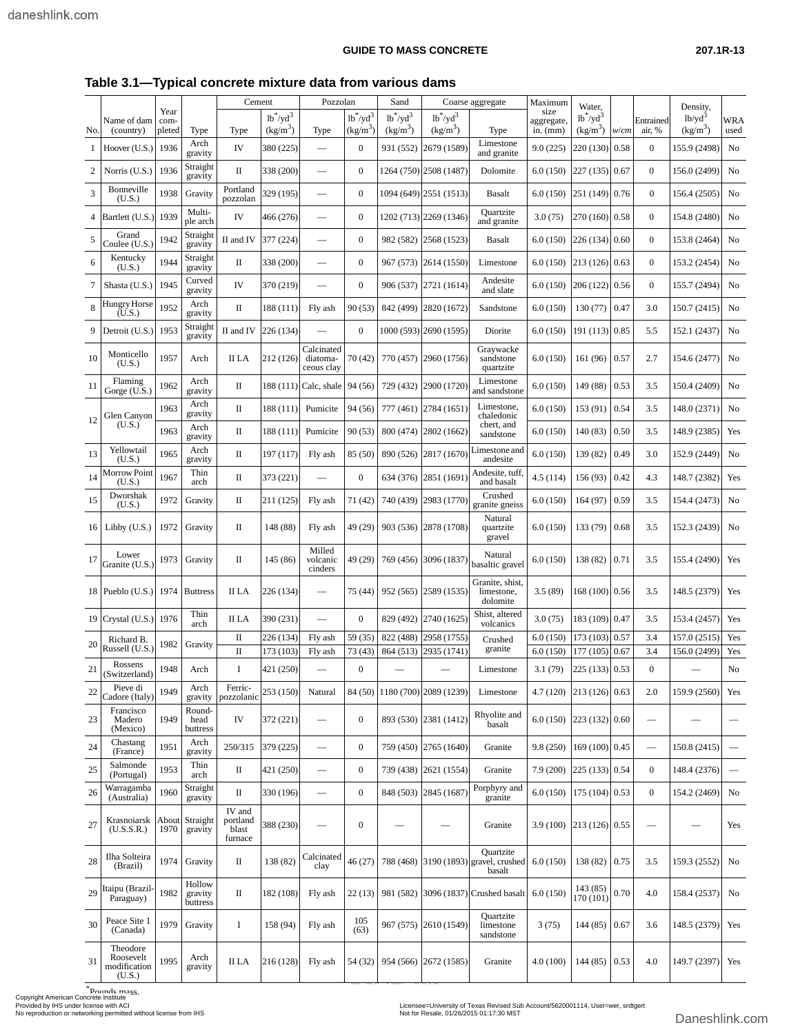### **Table 3.1—Typical concrete mixture data from various dams**

|     |                                                   |                        |                                       | Cement                                 |                                               | Pozzolan                             |                           | Sand                      |                                            | Coarse aggregate                                             | Maximum                          | Water,                      |      |                         | Density.                            |                    |
|-----|---------------------------------------------------|------------------------|---------------------------------------|----------------------------------------|-----------------------------------------------|--------------------------------------|---------------------------|---------------------------|--------------------------------------------|--------------------------------------------------------------|----------------------------------|-----------------------------|------|-------------------------|-------------------------------------|--------------------|
| No. | Name of dam<br>(country)                          | Year<br>com-<br>pleted | Type                                  | Type                                   | $1b^*/yd^3$<br>$\frac{\text{kg}}{\text{m}^3}$ | Type                                 | $1b^*/yd^3$<br>$(kg/m^3)$ | $1b^*/yd^3$<br>$(kg/m^3)$ | $1b^*/\text{yd}^3$<br>(kg/m <sup>3</sup> ) | Type                                                         | size<br>aggregate,<br>in. $(mm)$ | $1b^*/yd^3$<br>$(kg/m^3)$   | w/cm | Entrained<br>air, %     | $1b$ /yd <sup>3</sup><br>$(kg/m^3)$ | <b>WRA</b><br>used |
| 1   | Hoover $(U.S.)$                                   | 1936                   | Arch<br>gravity                       | IV                                     | 380 (225)                                     |                                      | $\mathbf{0}$              | 931 (552)                 | 2679 (1589)                                | Limestone<br>and granite                                     | 9.0(225)                         | 220 (130)                   | 0.58 | $\mathbf{0}$            | 155.9 (2498)                        | No                 |
| 2   | Norris (U.S.)                                     | 1936                   | Straight<br>gravity                   | П                                      | 338 (200)                                     |                                      | $\mathbf{0}$              |                           | 1264 (750) 2508 (1487)                     | Dolomite                                                     | 6.0(150)                         | 227 (135)                   | 0.67 | $\boldsymbol{0}$        | 156.0 (2499)                        | No                 |
| 3   | Bonneville<br>(U.S.)                              | 1938                   | Gravity                               | Portland<br>pozzolan                   | 329 (195)                                     |                                      | $\bf{0}$                  |                           | 1094 (649) 2551 (1513)                     | <b>Basalt</b>                                                | 6.0(150)                         | 251 (149)                   | 0.76 | $\boldsymbol{0}$        | 156.4 (2505)                        | No                 |
| 4   | Bartlett (U.S.)                                   | 1939                   | Multi-<br>ple arch                    | IV                                     | 466 (276)                                     |                                      | $\mathbf{0}$              |                           | 1202 (713) 2269 (1346)                     | Ouartzite<br>and granite                                     | 3.0(75)                          | 270 (160)                   | 0.58 | $\boldsymbol{0}$        | 154.8 (2480)                        | No                 |
| 5   | Grand<br>Coulee (U.S.)                            | 1942                   | Straight<br>gravity                   | II and IV                              | 377 (224)                                     |                                      | $\boldsymbol{0}$          | 982 (582)                 | 2568 (1523)                                | <b>Basalt</b>                                                | 6.0(150)                         | 226 (134)                   | 0.60 | $\boldsymbol{0}$        | 153.8 (2464)                        | No                 |
| 6   | Kentucky<br>(U.S.)                                | 1944                   | Straight<br>gravity                   | П                                      | 338 (200)                                     |                                      | $\mathbf{0}$              | 967 (573)                 | 2614 (1550)                                | Limestone                                                    | 6.0(150)                         | 213 (126)                   | 0.63 | $\boldsymbol{0}$        | 153.2 (2454)                        | No                 |
| 7   | Shasta (U.S.)                                     | 1945                   | Curved<br>gravity                     | IV                                     | 370 (219)                                     | $\overline{\phantom{0}}$             | $\boldsymbol{0}$          |                           | 906 (537) 2721 (1614)                      | Andesite<br>and slate                                        | 6.0(150)                         | 206 (122)                   | 0.56 | $\boldsymbol{0}$        | 155.7 (2494)                        | No                 |
| 8   | Hungry Horse<br>(U.S.)                            | 1952                   | Arch<br>gravity                       | П                                      | 188 (111)                                     | Fly ash                              | 90 (53)                   |                           | 842 (499) 2820 (1672)                      | Sandstone                                                    | 6.0(150)                         | 130(77)                     | 0.47 | 3.0                     | 150.7 (2415)                        | No                 |
| 9   | Detroit (U.S.)                                    | 1953                   | Straight<br>gravity                   | II and IV                              | 226 (134)                                     |                                      | $\mathbf{0}$              |                           | 1000 (593) 2690 (1595)                     | Diorite                                                      | 6.0(150)                         | 191(113)                    | 0.85 | 5.5                     | 152.1 (2437)                        | No                 |
| 10  | Monticello<br>(U.S.)                              | 1957                   | Arch                                  | II LA                                  | 212 (126)                                     | Calcinated<br>diatoma-<br>ceous clav | 70(42)                    |                           | 770 (457) 2960 (1756)                      | Graywacke<br>sandstone<br>quartzite                          | 6.0(150)                         | 161(96)                     | 0.57 | 2.7                     | 154.6 (2477)                        | No                 |
| -11 | Flaming<br>Gorge (U.S.)                           | 1962                   | Arch<br>gravity                       | П                                      |                                               | 188 (111) Calc, shale                | 94 (56)                   | 729 (432)                 | 2900 (1720)                                | Limestone<br>and sandstone                                   | 6.0(150)                         | 149 (88)                    | 0.53 | 3.5                     | 150.4 (2409)                        | No                 |
| 12  | Glen Canyon                                       | 1963                   | Arch<br>gravity                       | П                                      | 188 (111)                                     | Pumicite                             | 94 (56)                   |                           | 777 (461) 2784 (1651)                      | Limestone,<br>chaledonic                                     | 6.0(150)                         | 153 (91)                    | 0.54 | 3.5                     | 148.0 (2371)                        | No                 |
|     | (U.S.)                                            | 1963                   | Arch<br>gravity                       | П                                      | 188 (111)                                     | Pumicite                             | 90 (53)                   | 800 (474)                 | 2802 (1662)                                | chert, and<br>sandstone                                      | 6.0(150)                         | 140 (83)                    | 0.50 | 3.5                     | 148.9 (2385)                        | Yes                |
| 13  | Yellowtail<br>(U.S.)                              | 1965                   | Arch<br>gravity                       | П                                      | 197 (117)                                     | Fly ash                              | 85 (50)                   | 890 (526)                 | 2817 (1670)                                | imestone and<br>andesite                                     | 6.0(150)                         | 139 (82)                    | 0.49 | 3.0                     | 152.9 (2449)                        | No                 |
| 14  | <b>Morrow Point</b><br>(U.S.)                     | 1967                   | Thin<br>arch                          | $\mathbf{I}$                           | 373 (221)                                     |                                      | $\mathbf{0}$              |                           | 634 (376) 2851 (1691)                      | Andesite, tuff,<br>and basalt                                | 4.5(114)                         | 156 (93)                    | 0.42 | 4.3                     | 148.7 (2382)                        | Yes                |
| 15  | Dworshak<br>(U.S.)                                | 1972                   | Gravity                               | П                                      | 211 (125)                                     | Fly ash                              | 71(42)                    |                           | 740 (439) 2983 (1770)                      | Crushed<br>granite gneiss                                    | 6.0(150)                         | 164(97)                     | 0.59 | 3.5                     | 154.4 (2473)                        | No                 |
| 16  | Libby $(U.S.)$                                    | 1972                   | Gravity                               | П                                      | 148 (88)                                      | Fly ash                              | 49 (29)                   | 903 (536)                 | 2878 (1708)                                | Natural<br>quartzite<br>gravel                               | 6.0(150)                         | 133 (79)                    | 0.68 | 3.5                     | 152.3 (2439)                        | No                 |
| 17  | Lower<br>Granite (U.S.)                           | 1973                   | Gravity                               | П                                      | 145 (86)                                      | Milled<br>volcanic<br>cinders        | 49 (29)                   | 769 (456)                 | 3096 (1837)                                | Natural<br>basaltic gravel                                   | 6.0(150)                         | 138 (82)                    | 0.71 | 3.5                     | 155.4 (2490)                        | Yes                |
|     | 18 Pueblo $(U.S.)$                                |                        | 1974 Buttress                         | II LA                                  | 226 (134)                                     | -                                    | 75 (44)                   |                           | 952 (565) 2589 (1535)                      | Granite, shist,<br>limestone,<br>dolomite                    | 3.5(89)                          | 168 (100) 0.56              |      | 3.5                     | 148.5 (2379)                        | Yes                |
|     | 19 Crystal $(U.S.)$                               | 1976                   | Thin<br>arch                          | <b>II</b> LA                           | 390 (231)                                     | $\overline{\phantom{0}}$             | $\mathbf{0}$              | 829 (492)                 | 2740 (1625)                                | Shist, altered<br>volcanics                                  | 3.0(75)                          | 183 (109)                   | 0.47 | 3.5                     | 153.4 (2457)                        | Yes                |
| 20  | Richard B.<br>Russell (U.S.)                      | 1982                   | Gravity                               | П                                      | 226 (134)                                     | Fly ash                              | 59 (35)                   | 822 (488)                 | 2958 (1755)                                | Crushed<br>granite                                           | 6.0(150)                         | 173 (103)                   | 0.57 | 3.4                     | 157.0 (2515)                        | Yes                |
| 21  | Rossens                                           | 1948                   | Arch                                  | $\mathbf{I}$<br>I                      | 173 (103)<br>421 (250)                        | Fly ash                              | 73 (43)<br>$\mathbf{0}$   | 864 (513)                 | 2935 (1741)                                | Limestone                                                    | 6.0(150)<br>3.1(79)              | 177 (105)<br>225 (133) 0.53 | 0.67 | 3.4<br>$\boldsymbol{0}$ | 156.0 (2499)                        | Yes<br>No          |
| 22  | (Switzerland)<br>Pieve di                         | 1949                   | Arch                                  | Ferric-                                | 253 (150)                                     | Natural                              | 84 (50)                   |                           | 1180 (700) 2089 (1239)                     | Limestone                                                    | 4.7 (120)                        | 213 (126) 0.63              |      | 2.0                     | 159.9 (2560)                        | Yes                |
| 23  | Cadore (Italy)<br>Francisco<br>Madero<br>(Mexico) | 1949                   | gravity<br>Round-<br>head<br>buttress | pozzolanic<br>IV                       | 372 (221)                                     |                                      | $\boldsymbol{0}$          |                           | 893 (530) 2381 (1412)                      | Rhyolite and<br>basalt                                       |                                  | $6.0(150)$ 223 (132) 0.60   |      |                         |                                     |                    |
| 24  | Chastang<br>(France)                              | 1951                   | Arch<br>gravity                       | 250/315                                | 379 (225)                                     |                                      | $\mathbf{0}$              |                           | 759 (450) 2765 (1640)                      | Granite                                                      | 9.8(250)                         | 169 (100) 0.45              |      |                         | 150.8 (2415)                        | $\qquad \qquad$    |
| 25  | Salmonde<br>(Portugal)                            | 1953                   | Thin<br>arch                          | $\mathbf{I}$                           | 421 (250)                                     |                                      | $\mathbf{0}$              |                           | 739 (438) 2621 (1554)                      | Granite                                                      | 7.9(200)                         | 225 (133) 0.54              |      | $\boldsymbol{0}$        | 148.4 (2376)                        |                    |
| 26  | Warragamba<br>(Australia)                         | 1960                   | Straight<br>gravity                   | П                                      | 330 (196)                                     | $\overline{\phantom{0}}$             | $\mathbf{0}$              |                           | 848 (503) 2845 (1687)                      | Porphyry and<br>granite                                      | 6.0(150)                         | 175 (104) 0.53              |      | $\boldsymbol{0}$        | 154.2 (2469)                        | No                 |
| 27  | Krasnoiarsk<br>(U.S.S.R.)                         | 1970                   | About Straight<br>gravity             | IV and<br>portland<br>blast<br>furnace | 388 (230)                                     |                                      | $\boldsymbol{0}$          |                           |                                            | Granite                                                      | 3.9(100)                         | 213 (126) 0.55              |      |                         |                                     | Yes                |
| 28  | Ilha Solteira<br>(Brazil)                         | 1974                   | Gravity                               | П                                      | 138 (82)                                      | Calcinated<br>clay                   | 46 (27)                   |                           |                                            | Quartzite<br>788 (468) 3190 (1893) gravel, crushed<br>basalt | 6.0(150)                         | 138 (82)                    | 0.75 | 3.5                     | 159.3 (2552)                        | No                 |
| 29  | taipu (Brazil-<br>Paraguay)                       | 1982                   | Hollow<br>gravity<br>buttress         | П                                      | 182 (108)                                     | Fly ash                              | 22(13)                    | 981 (582)                 |                                            | 3096 (1837) Crushed basalt                                   | 6.0(150)                         | 143 (85)<br>170 (101)       | 0.70 | 4.0                     | 158.4 (2537)                        | No                 |
| 30  | Peace Site 1<br>(Canada)                          | 1979                   | Gravity                               | 1                                      | 158 (94)                                      | Fly ash                              | 105<br>(63)               |                           | 967 (575) 2610 (1549)                      | Quartzite<br>limestone<br>sandstone                          | 3(75)                            | 144 (85)                    | 0.67 | 3.6                     | 148.5 (2379)                        | Yes                |
| 31  | Theodore<br>Roosevelt<br>modification<br>(U.S.)   | 1995                   | Arch<br>gravity                       | II LA                                  | 216 (128)                                     | Fly ash                              | 54 (32)                   |                           | 954 (566) 2672 (1585)                      | Granite                                                      | 4.0(100)                         | $144(85)$ 0.53              |      | 4.0                     | 149.7 (2397)                        | Yes                |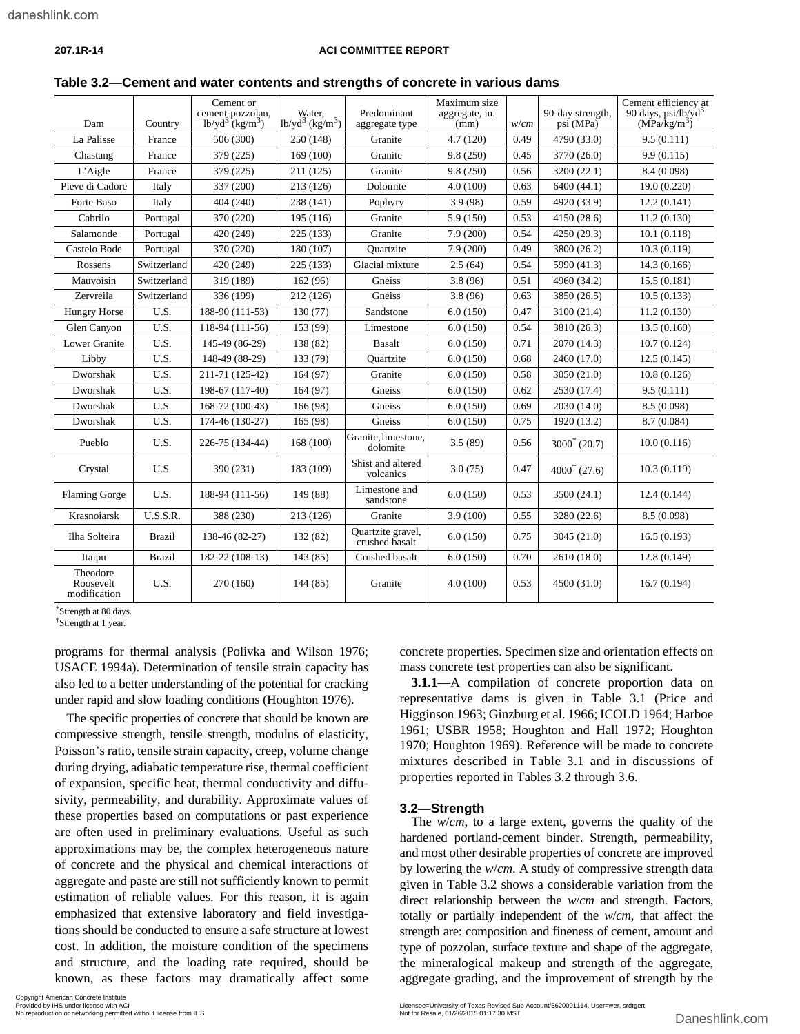#### **207.1R-14 ACI COMMITTEE REPORT**

| Dam                                   | Country       | Cement or<br>cement-pozzolan,<br>$1b\text{/}yd^3$ $(kg/m^3)$ | Water.<br>$1b/yd^3$ (kg/m <sup>3</sup> ) | Predominant<br>aggregate type       | Maximum size<br>aggregate, in.<br>(mm) | w/cm | 90-day strength,<br>psi (MPa) | Cement efficiency at<br>90 days, $psi/b/yd^3$<br>(MPa/kg/m <sup>3</sup> ) |
|---------------------------------------|---------------|--------------------------------------------------------------|------------------------------------------|-------------------------------------|----------------------------------------|------|-------------------------------|---------------------------------------------------------------------------|
| La Palisse                            | France        | 506 (300)                                                    | 250 (148)                                | Granite                             | 4.7(120)                               | 0.49 | 4790 (33.0)                   | 9.5(0.111)                                                                |
| Chastang                              | France        | 379 (225)                                                    | 169 (100)                                | Granite                             | 9.8(250)                               | 0.45 | 3770 (26.0)                   | 9.9(0.115)                                                                |
| L'Aigle                               | France        | 379 (225)                                                    | 211 (125)                                | Granite                             | 9.8(250)                               | 0.56 | 3200 (22.1)                   | 8.4 (0.098)                                                               |
| Pieve di Cadore                       | Italy         | 337 (200)                                                    | 213 (126)                                | Dolomite                            | 4.0(100)                               | 0.63 | 6400 (44.1)                   | 19.0 (0.220)                                                              |
| Forte Baso                            | Italy         | 404 (240)                                                    | 238 (141)                                | Pophyry                             | 3.9(98)                                | 0.59 | 4920 (33.9)                   | 12.2(0.141)                                                               |
| Cabrilo                               | Portugal      | 370 (220)                                                    | 195 (116)                                | Granite                             | 5.9 (150)                              | 0.53 | 4150 (28.6)                   | 11.2(0.130)                                                               |
| Salamonde                             | Portugal      | 420 (249)                                                    | 225 (133)                                | Granite                             | 7.9(200)                               | 0.54 | 4250 (29.3)                   | 10.1(0.118)                                                               |
| Castelo Bode                          | Portugal      | 370 (220)                                                    | 180 (107)                                | Ouartzite                           | 7.9(200)                               | 0.49 | 3800 (26.2)                   | 10.3(0.119)                                                               |
| Rossens                               | Switzerland   | 420 (249)                                                    | 225 (133)                                | Glacial mixture                     | 2.5(64)                                | 0.54 | 5990 (41.3)                   | 14.3 (0.166)                                                              |
| Mauvoisin                             | Switzerland   | 319 (189)                                                    | 162 (96)                                 | Gneiss                              | 3.8(96)                                | 0.51 | 4960 (34.2)                   | 15.5(0.181)                                                               |
| Zervreila                             | Switzerland   | 336 (199)                                                    | 212 (126)                                | Gneiss                              | 3.8(96)                                | 0.63 | 3850 (26.5)                   | 10.5(0.133)                                                               |
| <b>Hungry Horse</b>                   | U.S.          | 188-90 (111-53)                                              | 130 (77)                                 | Sandstone                           | 6.0(150)<br>0.47                       |      | 3100 (21.4)                   | 11.2(0.130)                                                               |
| Glen Canyon                           | U.S.          | 118-94 (111-56)                                              | 153 (99)                                 | Limestone                           | 6.0(150)                               | 0.54 | 3810 (26.3)                   | 13.5(0.160)                                                               |
| <b>Lower Granite</b>                  | U.S.          | 145-49 (86-29)                                               | 138 (82)                                 | Basalt                              | 6.0(150)                               | 0.71 | 2070 (14.3)                   | 10.7(0.124)                                                               |
| Libby                                 | U.S.          | 148-49 (88-29)                                               | 133 (79)                                 | Ouartzite                           | 6.0(150)                               | 0.68 | 2460 (17.0)                   | 12.5(0.145)                                                               |
| Dworshak                              | U.S.          | 211-71 (125-42)                                              | 164 (97)                                 | Granite                             | 6.0(150)                               | 0.58 | 3050 (21.0)                   | 10.8(0.126)                                                               |
| Dworshak                              | U.S.          | 198-67 (117-40)                                              | 164(97)                                  | Gneiss                              | 6.0(150)                               | 0.62 | 2530 (17.4)                   | 9.5(0.111)                                                                |
| Dworshak                              | U.S.          | 168-72 (100-43)                                              | 166 (98)                                 | Gneiss                              | 6.0(150)                               | 0.69 | 2030 (14.0)                   | 8.5 (0.098)                                                               |
| Dworshak                              | U.S.          | 174-46 (130-27)                                              | 165 (98)                                 | Gneiss                              | 6.0(150)                               | 0.75 | 1920 (13.2)                   | 8.7 (0.084)                                                               |
| Pueblo                                | U.S.          | 226-75 (134-44)                                              | 168 (100)                                | Granite, limestone,<br>dolomite     | 3.5(89)                                | 0.56 | $3000^* (20.7)$               | 10.0(0.116)                                                               |
| Crystal                               | U.S.          | 390 (231)                                                    | 183 (109)                                | Shist and altered<br>volcanics      | 3.0(75)                                | 0.47 | $4000^{\dagger}$ (27.6)       | 10.3(0.119)                                                               |
| Flaming Gorge                         | U.S.          | 188-94 (111-56)                                              | 149 (88)                                 | Limestone and<br>sandstone          | 6.0(150)                               | 0.53 | 3500 (24.1)                   | 12.4(0.144)                                                               |
| Krasnoiarsk                           | U.S.S.R.      | 388 (230)                                                    | 213 (126)                                | Granite                             | 3.9(100)                               | 0.55 | 3280 (22.6)                   | 8.5(0.098)                                                                |
| Ilha Solteira                         | <b>Brazil</b> | 138-46 (82-27)                                               | 132 (82)                                 | Quartzite gravel,<br>crushed basalt | 6.0(150)                               | 0.75 | 3045 (21.0)                   | 16.5(0.193)                                                               |
| Itaipu                                | <b>Brazil</b> | 182-22 (108-13)                                              | 143 (85)                                 | Crushed basalt                      | 6.0(150)                               | 0.70 | 2610 (18.0)                   | 12.8(0.149)                                                               |
| Theodore<br>Roosevelt<br>modification | U.S.          | 270 (160)                                                    | 144 (85)                                 | Granite                             | 4.0(100)                               | 0.53 | 4500 (31.0)                   | 16.7(0.194)                                                               |

**Table 3.2—Cement and water contents and strengths of concrete in various dams**

\*Strength at 80 days.

†Strength at 1 year.

programs for thermal analysis (Polivka and Wilson 1976; USACE 1994a). Determination of tensile strain capacity has also led to a better understanding of the potential for cracking under rapid and slow loading conditions (Houghton 1976).

The specific properties of concrete that should be known are compressive strength, tensile strength, modulus of elasticity, Poisson's ratio, tensile strain capacity, creep, volume change during drying, adiabatic temperature rise, thermal coefficient of expansion, specific heat, thermal conductivity and diffusivity, permeability, and durability. Approximate values of these properties based on computations or past experience are often used in preliminary evaluations. Useful as such approximations may be, the complex heterogeneous nature of concrete and the physical and chemical interactions of aggregate and paste are still not sufficiently known to permit estimation of reliable values. For this reason, it is again emphasized that extensive laboratory and field investigations should be conducted to ensure a safe structure at lowest cost. In addition, the moisture condition of the specimens and structure, and the loading rate required, should be concrete properties. Specimen size and orientation effects on mass concrete test properties can also be significant.

**3.1.1**—A compilation of concrete proportion data on representative dams is given in Table 3.1 (Price and Higginson 1963; Ginzburg et al. 1966; ICOLD 1964; Harboe 1961; USBR 1958; Houghton and Hall 1972; Houghton 1970; Houghton 1969). Reference will be made to concrete mixtures described in Table 3.1 and in discussions of properties reported in Tables 3.2 through 3.6.

#### **3.2—Strength**

The *w*/*cm*, to a large extent, governs the quality of the hardened portland-cement binder. Strength, permeability, and most other desirable properties of concrete are improved by lowering the *w*/*cm*. A study of compressive strength data given in Table 3.2 shows a considerable variation from the direct relationship between the *w*/*cm* and strength. Factors, totally or partially independent of the *w*/*cm*, that affect the strength are: composition and fineness of cement, amount and type of pozzolan, surface texture and shape of the aggregate, the mineralogical makeup and strength of the aggregate, aggregate grading, and the improvement of strength by the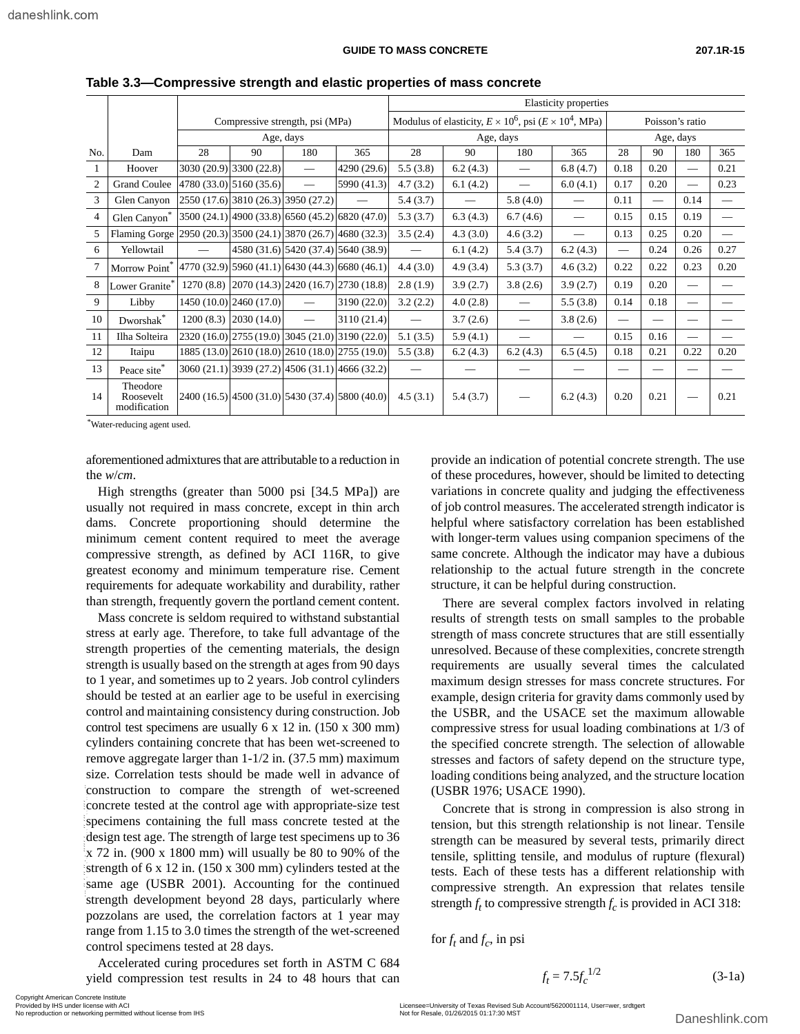|                |                                       |           |                         |                                                 |             |                                                                       | Elasticity properties    |                                |                                 |           |                 |                          |      |  |
|----------------|---------------------------------------|-----------|-------------------------|-------------------------------------------------|-------------|-----------------------------------------------------------------------|--------------------------|--------------------------------|---------------------------------|-----------|-----------------|--------------------------|------|--|
|                |                                       |           |                         | Compressive strength, psi (MPa)                 |             | Modulus of elasticity, $E \times 10^6$ , psi ( $E \times 10^4$ , MPa) |                          |                                |                                 |           | Poisson's ratio |                          |      |  |
|                |                                       |           |                         | Age, days                                       |             | Age, days                                                             |                          |                                |                                 | Age, days |                 |                          |      |  |
| No.            | Dam                                   | 28        | 90                      | 180                                             | 365         | 28                                                                    | 90                       | 180                            | 365                             | 28        | 90              | 180                      | 365  |  |
| 1              | Hoover                                |           | 3030 (20.9) 3300 (22.8) |                                                 | 4290 (29.6) | 5.5(3.8)                                                              | 6.2(4.3)                 | $\overbrace{\hspace{25mm}}^{}$ | 6.8(4.7)                        | 0.18      | 0.20            |                          | 0.21 |  |
| 2              | <b>Grand Coulee</b>                   |           | 4780 (33.0) 5160 (35.6) |                                                 | 5990 (41.3) | 4.7(3.2)                                                              | 6.1(4.2)                 |                                | 6.0(4.1)                        | 0.17      | 0.20            | $\overline{\phantom{0}}$ | 0.23 |  |
| 3              | Glen Canyon                           |           |                         | 2550 (17.6) 3810 (26.3) 3950 (27.2)             |             | 5.4(3.7)                                                              | $\overline{\phantom{0}}$ | 5.8(4.0)                       | $\overline{\phantom{0}}$        | 0.11      |                 | 0.14                     |      |  |
| $\overline{4}$ | Glen Canyon <sup>*</sup>              |           |                         | 3500 (24.1) 4900 (33.8) 6560 (45.2) 6820 (47.0) |             | 5.3(3.7)                                                              | 6.3(4.3)                 | 6.7(4.6)                       | $\overbrace{\qquad \qquad }^{}$ | 0.15      | 0.15            | 0.19                     |      |  |
| 5              | Flaming Gorge                         |           |                         | 2950 (20.3) 3500 (24.1) 3870 (26.7) 4680 (32.3) |             | 3.5(2.4)                                                              | 4.3(3.0)                 | 4.6(3.2)                       | $\overline{\phantom{0}}$        | 0.13      | 0.25            | 0.20                     |      |  |
| 6              | Yellowtail                            |           |                         | 4580 (31.6) 5420 (37.4) 5640 (38.9)             |             | $\overline{\phantom{0}}$                                              | 6.1(4.2)                 | 5.4(3.7)                       | 6.2(4.3)                        |           | 0.24            | 0.26                     | 0.27 |  |
| 7              | Morrow Point                          |           |                         | 4770 (32.9) 5960 (41.1) 6430 (44.3) 6680 (46.1) |             | 4.4(3.0)                                                              | 4.9(3.4)                 | 5.3(3.7)                       | 4.6(3.2)                        | 0.22      | 0.22            | 0.23                     | 0.20 |  |
| 8              | Lower Granite <sup>®</sup>            | 1270(8.8) |                         | [2070 (14.3) 2420 (16.7) 2730 (18.8)]           |             | 2.8(1.9)                                                              | 3.9(2.7)                 | 3.8(2.6)                       | 3.9(2.7)                        | 0.19      | 0.20            |                          |      |  |
| 9              | Libby                                 |           | 1450 (10.0) 2460 (17.0) |                                                 | 3190 (22.0) | 3.2(2.2)                                                              | 4.0(2.8)                 | $\overline{\phantom{0}}$       | 5.5(3.8)                        | 0.14      | 0.18            |                          |      |  |
| 10             | Dworshak*                             | 1200(8.3) | 2030 (14.0)             | $\overline{\phantom{0}}$                        | 3110 (21.4) |                                                                       | 3.7(2.6)                 | $\qquad \qquad$                | 3.8(2.6)                        |           |                 |                          |      |  |
| 11             | Ilha Solteira                         |           |                         | 2320 (16.0) 2755 (19.0) 3045 (21.0) 3190 (22.0) |             | 5.1(3.5)                                                              | 5.9(4.1)                 |                                |                                 | 0.15      | 0.16            |                          |      |  |
| 12             | Itaipu                                |           |                         | 1885 (13.0) 2610 (18.0) 2610 (18.0) 2755 (19.0) |             | 5.5(3.8)                                                              | 6.2(4.3)                 | 6.2(4.3)                       | 6.5(4.5)                        | 0.18      | 0.21            | 0.22                     | 0.20 |  |
| 13             | Peace site*                           |           |                         | 3060 (21.1) 3939 (27.2) 4506 (31.1) 4666 (32.2) |             |                                                                       |                          |                                |                                 |           |                 |                          |      |  |
| 14             | Theodore<br>Roosevelt<br>modification |           |                         | 2400 (16.5) 4500 (31.0) 5430 (37.4) 5800 (40.0) |             | 4.5(3.1)                                                              | 5.4(3.7)                 |                                | 6.2(4.3)                        | 0.20      | 0.21            |                          | 0.21 |  |

**Table 3.3—Compressive strength and elastic properties of mass concrete**

\* Water-reducing agent used.

aforementioned admixtures that are attributable to a reduction in the *w*/*cm*.

High strengths (greater than 5000 psi [34.5 MPa]) are usually not required in mass concrete, except in thin arch dams. Concrete proportioning should determine the minimum cement content required to meet the average compressive strength, as defined by ACI 116R, to give greatest economy and minimum temperature rise. Cement requirements for adequate workability and durability, rather than strength, frequently govern the portland cement content.

Mass concrete is seldom required to withstand substantial stress at early age. Therefore, to take full advantage of the strength properties of the cementing materials, the design strength is usually based on the strength at ages from 90 days to 1 year, and sometimes up to 2 years. Job control cylinders should be tested at an earlier age to be useful in exercising control and maintaining consistency during construction. Job control test specimens are usually 6 x 12 in. (150 x 300 mm) cylinders containing concrete that has been wet-screened to remove aggregate larger than 1-1/2 in. (37.5 mm) maximum size. Correlation tests should be made well in advance of construction to compare the strength of wet-screened concrete tested at the control age with appropriate-size test specimens containing the full mass concrete tested at the design test age. The strength of large test specimens up to 36 x 72 in. (900 x 1800 mm) will usually be 80 to 90% of the strength of 6 x 12 in. (150 x 300 mm) cylinders tested at the same age (USBR 2001). Accounting for the continued strength development beyond 28 days, particularly where pozzolans are used, the correlation factors at 1 year may range from 1.15 to 3.0 times the strength of the wet-screened control specimens tested at 28 days. Construction to compare the strength of wet-screened socializing concrete tested at the specimens containing the full mass concrete tested at the tension, but this design test are are comparison to the strength of large t

Accelerated curing procedures set forth in ASTM C 684 yield compression test results in 24 to 48 hours that can

provide an indication of potential concrete strength. The use of these procedures, however, should be limited to detecting variations in concrete quality and judging the effectiveness of job control measures. The accelerated strength indicator is helpful where satisfactory correlation has been established with longer-term values using companion specimens of the same concrete. Although the indicator may have a dubious relationship to the actual future strength in the concrete structure, it can be helpful during construction.

There are several complex factors involved in relating results of strength tests on small samples to the probable strength of mass concrete structures that are still essentially unresolved. Because of these complexities, concrete strength requirements are usually several times the calculated maximum design stresses for mass concrete structures. For example, design criteria for gravity dams commonly used by the USBR, and the USACE set the maximum allowable compressive stress for usual loading combinations at 1/3 of the specified concrete strength. The selection of allowable stresses and factors of safety depend on the structure type, loading conditions being analyzed, and the structure location (USBR 1976; USACE 1990).

Concrete that is strong in compression is also strong in tension, but this strength relationship is not linear. Tensile strength can be measured by several tests, primarily direct tensile, splitting tensile, and modulus of rupture (flexural) tests. Each of these tests has a different relationship with compressive strength. An expression that relates tensile strength  $f_t$  to compressive strength  $f_c$  is provided in ACI 318:

for  $f_t$  and  $f_c$ , in psi

$$
f_t = 7.5 f_c^{1/2}
$$
 (3-1a)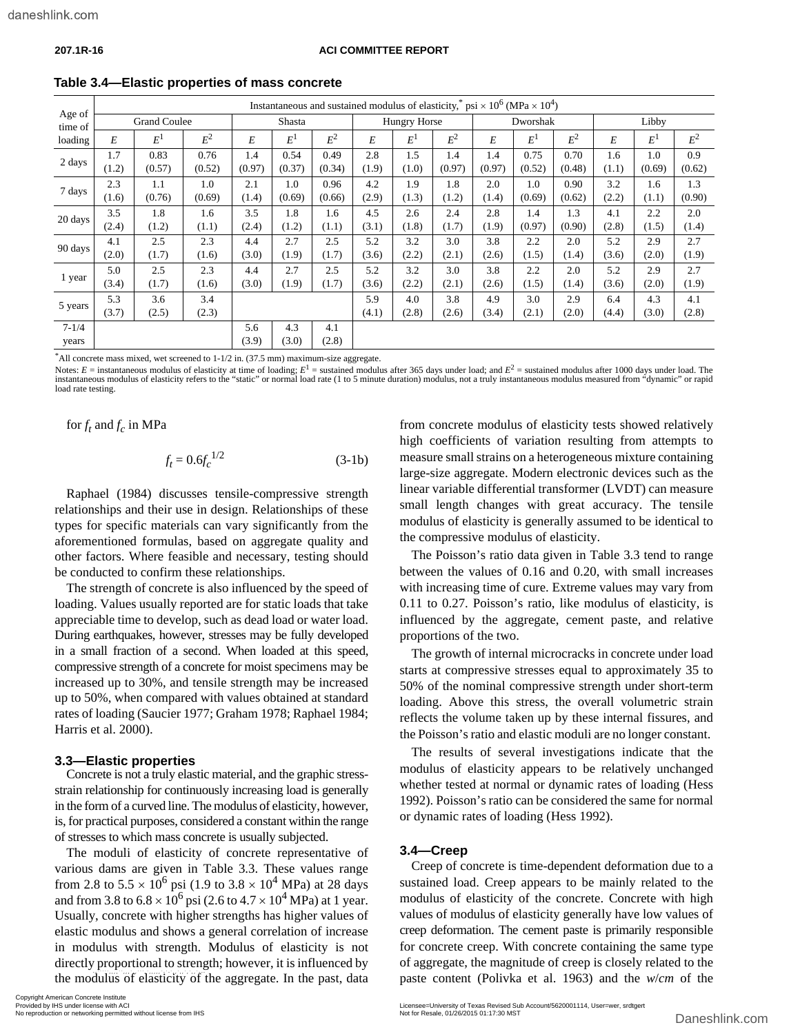|                    |              |                     |                |              |              |              |                     | Instantaneous and sustained modulus of elasticity, "psi $\times 10^6$ (MPa $\times 10^4$ ) |                |              |              |                |              |              |                |  |
|--------------------|--------------|---------------------|----------------|--------------|--------------|--------------|---------------------|--------------------------------------------------------------------------------------------|----------------|--------------|--------------|----------------|--------------|--------------|----------------|--|
| Age of<br>time of  |              | <b>Grand Coulee</b> |                |              | Shasta       |              | <b>Hungry Horse</b> |                                                                                            |                | Dworshak     |              |                |              | Libby        |                |  |
| loading            | E            | $E^1$               | $\mathbb{E}^2$ | E            | $E^1$        | $E^2$        | E                   | $E^1$                                                                                      | $\mathbb{E}^2$ | E            | $E^1$        | $\mathbb{E}^2$ | E            | $E^1$        | $\mathbb{E}^2$ |  |
| 2 days             | 1.7          | 0.83                | 0.76           | 1.4          | 0.54         | 0.49         | 2.8                 | 1.5                                                                                        | 1.4            | 1.4          | 0.75         | 0.70           | 1.6          | 1.0          | 0.9            |  |
|                    | (1.2)        | (0.57)              | (0.52)         | (0.97)       | (0.37)       | (0.34)       | (1.9)               | (1.0)                                                                                      | (0.97)         | (0.97)       | (0.52)       | (0.48)         | (1.1)        | (0.69)       | (0.62)         |  |
| 7 days             | 2.3          | 1.1                 | 1.0            | 2.1          | 1.0          | 0.96         | 4.2                 | 1.9                                                                                        | 1.8            | 2.0          | 1.0          | 0.90           | 3.2          | 1.6          | 1.3            |  |
|                    | (1.6)        | (0.76)              | (0.69)         | (1.4)        | (0.69)       | (0.66)       | (2.9)               | (1.3)                                                                                      | (1.2)          | (1.4)        | (0.69)       | (0.62)         | (2.2)        | (1.1)        | (0.90)         |  |
| 20 days            | 3.5          | 1.8                 | 1.6            | 3.5          | 1.8          | 1.6          | 4.5                 | 2.6                                                                                        | 2.4            | 2.8          | 1.4          | 1.3            | 4.1          | 2.2          | 2.0            |  |
|                    | (2.4)        | (1.2)               | (1.1)          | (2.4)        | (1.2)        | (1.1)        | (3.1)               | (1.8)                                                                                      | (1.7)          | (1.9)        | (0.97)       | (0.90)         | (2.8)        | (1.5)        | (1.4)          |  |
| 90 days            | 4.1          | 2.5                 | 2.3            | 4.4          | 2.7          | 2.5          | 5.2                 | 3.2                                                                                        | 3.0            | 3.8          | 2.2          | 2.0            | 5.2          | 2.9          | 2.7            |  |
|                    | (2.0)        | (1.7)               | (1.6)          | (3.0)        | (1.9)        | (1.7)        | (3.6)               | (2.2)                                                                                      | (2.1)          | (2.6)        | (1.5)        | (1.4)          | (3.6)        | (2.0)        | (1.9)          |  |
| 1 year             | 5.0          | 2.5                 | 2.3            | 4.4          | 2.7          | 2.5          | 5.2                 | 3.2                                                                                        | 3.0            | 3.8          | 2.2          | 2.0            | 5.2          | 2.9          | 2.7            |  |
|                    | (3.4)        | (1.7)               | (1.6)          | (3.0)        | (1.9)        | (1.7)        | (3.6)               | (2.2)                                                                                      | (2.1)          | (2.6)        | (1.5)        | (1.4)          | (3.6)        | (2.0)        | (1.9)          |  |
| 5 years            | 5.3<br>(3.7) | 3.6<br>(2.5)        | 3.4<br>(2.3)   |              |              |              | 5.9<br>(4.1)        | 4.0<br>(2.8)                                                                               | 3.8<br>(2.6)   | 4.9<br>(3.4) | 3.0<br>(2.1) | 2.9<br>(2.0)   | 6.4<br>(4.4) | 4.3<br>(3.0) | 4.1<br>(2.8)   |  |
| $7 - 1/4$<br>years |              |                     |                | 5.6<br>(3.9) | 4.3<br>(3.0) | 4.1<br>(2.8) |                     |                                                                                            |                |              |              |                |              |              |                |  |

**Table 3.4—Elastic properties of mass concrete**

\* All concrete mass mixed, wet screened to 1-1/2 in. (37.5 mm) maximum-size aggregate.

Notes:  $E =$  instantaneous modulus of elasticity at time of loading;  $E^1 =$  sustained modulus after 365 days under load; and  $E^2 =$  sustained modulus after 1000 days under load. The instantaneous modulus of elasticity refers to the "static" or normal load rate (1 to 5 minute duration) modulus, not a truly instantaneous modulus measured from "dynamic" or rapid load rate testing.

for  $f_t$  and  $f_c$  in MPa

$$
f_t = 0.6f_c^{1/2}
$$
 (3-1b)

Raphael (1984) discusses tensile-compressive strength relationships and their use in design. Relationships of these types for specific materials can vary significantly from the aforementioned formulas, based on aggregate quality and other factors. Where feasible and necessary, testing should be conducted to confirm these relationships.

The strength of concrete is also influenced by the speed of loading. Values usually reported are for static loads that take appreciable time to develop, such as dead load or water load. During earthquakes, however, stresses may be fully developed in a small fraction of a second. When loaded at this speed, compressive strength of a concrete for moist specimens may be increased up to 30%, and tensile strength may be increased up to 50%, when compared with values obtained at standard rates of loading (Saucier 1977; Graham 1978; Raphael 1984; Harris et al. 2000).

#### **3.3—Elastic properties**

Concrete is not a truly elastic material, and the graphic stressstrain relationship for continuously increasing load is generally in the form of a curved line. The modulus of elasticity, however, is, for practical purposes, considered a constant within the range of stresses to which mass concrete is usually subjected.

The moduli of elasticity of concrete representative of various dams are given in Table 3.3. These values range from 2.8 to  $5.5 \times 10^6$  psi (1.9 to  $3.8 \times 10^4$  MPa) at 28 days and from 3.8 to  $6.8 \times 10^6$  psi (2.6 to  $4.7 \times 10^4$  MPa) at 1 year. Usually, concrete with higher strengths has higher values of elastic modulus and shows a general correlation of increase in modulus with strength. Modulus of elasticity is not directly proportional to strength; however, it is influenced by the modulus of elasticity of the aggregate. In the past, data paste content (Polivka<br>
No reproduction or networking permitted without license from IHS<br>
Not reproduction or networking permitted without license from IHS<br>
Not

from concrete modulus of elasticity tests showed relatively high coefficients of variation resulting from attempts to measure small strains on a heterogeneous mixture containing large-size aggregate. Modern electronic devices such as the linear variable differential transformer (LVDT) can measure small length changes with great accuracy. The tensile modulus of elasticity is generally assumed to be identical to the compressive modulus of elasticity.

The Poisson's ratio data given in Table 3.3 tend to range between the values of 0.16 and 0.20, with small increases with increasing time of cure. Extreme values may vary from 0.11 to 0.27. Poisson's ratio, like modulus of elasticity, is influenced by the aggregate, cement paste, and relative proportions of the two.

The growth of internal microcracks in concrete under load starts at compressive stresses equal to approximately 35 to 50% of the nominal compressive strength under short-term loading. Above this stress, the overall volumetric strain reflects the volume taken up by these internal fissures, and the Poisson's ratio and elastic moduli are no longer constant.

The results of several investigations indicate that the modulus of elasticity appears to be relatively unchanged whether tested at normal or dynamic rates of loading (Hess 1992). Poisson's ratio can be considered the same for normal or dynamic rates of loading (Hess 1992).

#### **3.4—Creep**

Creep of concrete is time-dependent deformation due to a sustained load. Creep appears to be mainly related to the modulus of elasticity of the concrete. Concrete with high values of modulus of elasticity generally have low values of creep deformation. The cement paste is primarily responsible for concrete creep. With concrete containing the same type of aggregate, the magnitude of creep is closely related to the paste content (Polivka et al. 1963) and the *w*/*cm* of the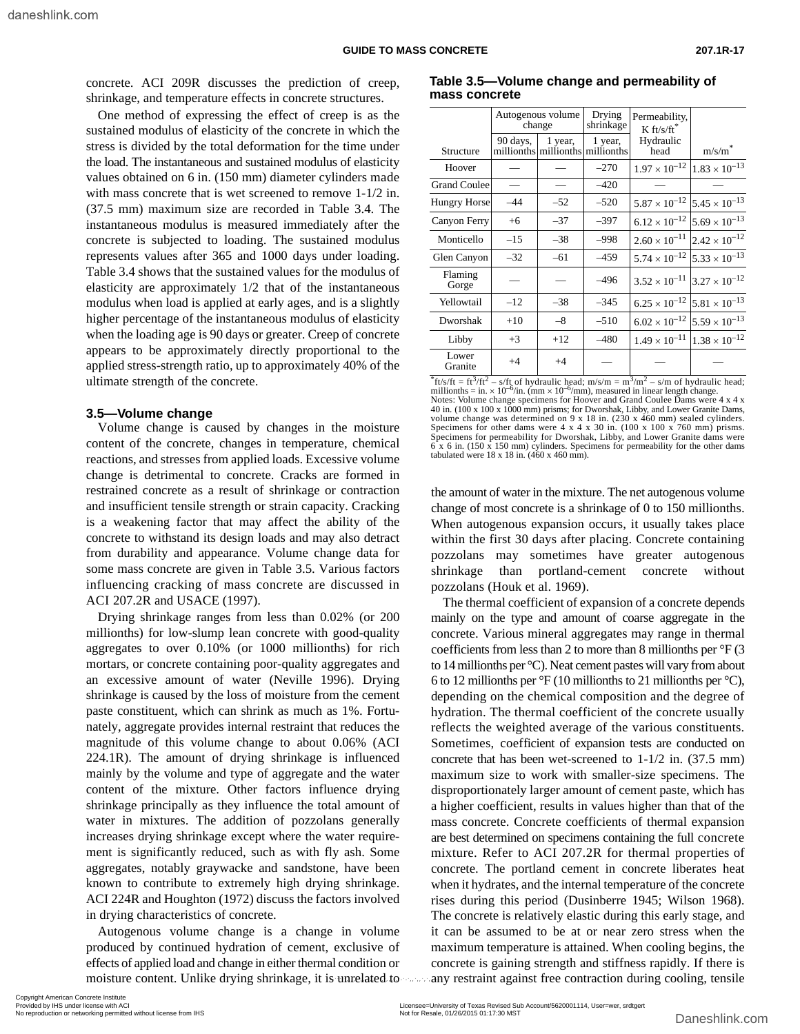concrete. ACI 209R discusses the prediction of creep, shrinkage, and temperature effects in concrete structures.

One method of expressing the effect of creep is as the sustained modulus of elasticity of the concrete in which the stress is divided by the total deformation for the time under the load. The instantaneous and sustained modulus of elasticity values obtained on 6 in. (150 mm) diameter cylinders made with mass concrete that is wet screened to remove 1-1/2 in. (37.5 mm) maximum size are recorded in Table 3.4. The instantaneous modulus is measured immediately after the concrete is subjected to loading. The sustained modulus represents values after 365 and 1000 days under loading. Table 3.4 shows that the sustained values for the modulus of elasticity are approximately 1/2 that of the instantaneous modulus when load is applied at early ages, and is a slightly higher percentage of the instantaneous modulus of elasticity when the loading age is 90 days or greater. Creep of concrete appears to be approximately directly proportional to the applied stress-strength ratio, up to approximately 40% of the ultimate strength of the concrete.

#### **3.5—Volume change**

Volume change is caused by changes in the moisture content of the concrete, changes in temperature, chemical reactions, and stresses from applied loads. Excessive volume change is detrimental to concrete. Cracks are formed in restrained concrete as a result of shrinkage or contraction and insufficient tensile strength or strain capacity. Cracking is a weakening factor that may affect the ability of the concrete to withstand its design loads and may also detract from durability and appearance. Volume change data for some mass concrete are given in Table 3.5. Various factors influencing cracking of mass concrete are discussed in ACI 207.2R and USACE (1997).

Drying shrinkage ranges from less than 0.02% (or 200 millionths) for low-slump lean concrete with good-quality aggregates to over 0.10% (or 1000 millionths) for rich mortars, or concrete containing poor-quality aggregates and an excessive amount of water (Neville 1996). Drying shrinkage is caused by the loss of moisture from the cement paste constituent, which can shrink as much as 1%. Fortunately, aggregate provides internal restraint that reduces the magnitude of this volume change to about 0.06% (ACI 224.1R). The amount of drying shrinkage is influenced mainly by the volume and type of aggregate and the water content of the mixture. Other factors influence drying shrinkage principally as they influence the total amount of water in mixtures. The addition of pozzolans generally increases drying shrinkage except where the water requirement is significantly reduced, such as with fly ash. Some aggregates, notably graywacke and sandstone, have been known to contribute to extremely high drying shrinkage. ACI 224R and Houghton (1972) discuss the factors involved in drying characteristics of concrete.

Autogenous volume change is a change in volume produced by continued hydration of cement, exclusive of effects of applied load and change in either thermal condition or

**Table 3.5—Volume change and permeability of mass concrete**

|                     |          | Autogenous volume<br>change | Drying<br>shrinkage                         | Permeability,<br>$K$ ft/s/ft <sup>*</sup>     |                        |
|---------------------|----------|-----------------------------|---------------------------------------------|-----------------------------------------------|------------------------|
| Structure           | 90 days, | 1 year,                     | 1 year,<br>millionths millionths millionths | Hydraulic<br>head                             | $\mathrm{m/s/m}^*$     |
| Hoover              |          |                             | $-270$                                      | $1.97 \times 10^{-12}$                        | $1.83 \times 10^{-13}$ |
| <b>Grand Coulee</b> |          |                             | $-420$                                      |                                               |                        |
| <b>Hungry Horse</b> | $-44$    | $-52$                       | $-520$                                      | $5.87 \times 10^{-12}$ 5.45 $\times 10^{-13}$ |                        |
| Canyon Ferry        | $+6$     | $-37$                       | $-397$                                      | $6.12 \times 10^{-12}$                        | $5.69 \times 10^{-13}$ |
| Monticello          | $-15$    | $-38$                       | -998                                        | $2.60 \times 10^{-11}$                        | $2.42 \times 10^{-12}$ |
| Glen Canyon         | $-32$    | $-61$                       | $-459$                                      | $5.74 \times 10^{-12}$                        | $5.33 \times 10^{-13}$ |
| Flaming<br>Gorge    |          |                             | $-496$                                      | $3.52 \times 10^{-11}$                        | $3.27 \times 10^{-12}$ |
| Yellowtail          | $-12$    | $-38$                       | $-345$                                      | $6.25 \times 10^{-12}$                        | $5.81 \times 10^{-13}$ |
| Dworshak            | $+10$    | $-8$                        | $-510$                                      | $6.02 \times 10^{-12}$ 5.59 $\times 10^{-13}$ |                        |
| Libby               | $+3$     | $+12$                       | $-480$                                      | $1.49 \times 10^{-11}$                        | $1.38 \times 10^{-12}$ |
| Lower<br>Granite    | $+4$     | $+4$                        |                                             |                                               |                        |

<sup>\*</sup>ft/s/ft = ft<sup>3</sup>/ft<sup>2</sup> – s/ft of hydraulic head; m/s/m = m<sup>3</sup>/m<sup>2</sup> – s/m of hydraulic head; millionths = in. × 10<sup>-6</sup>/in. (mm × 10<sup>-6</sup>/mm), measured in linear length change. Notes: Volume change specimens for Hoover and Grand Coulee Dams were 4 x 4 x 40 in. (100 x 100 x 1000 mm) prisms; for Dworshak, Libby, and Lower Granite Dams, volume change was determined on 9 x 18 in. (230 x 460 mm) sealed cylinders. Specimens for other dams were  $4 \times 4 \times 30$  in. (100  $\times$  100  $\times$  760 mm) prisms. Specimens for permeability for Dworshak, Libby, and Lower Granite dams were 6 x 6 in. (150 x 150 mm) cylinders. Specimens for permeability for the other dams tabulated were 18 x 18 in. (460 x 460 mm).

the amount of water in the mixture. The net autogenous volume change of most concrete is a shrinkage of 0 to 150 millionths. When autogenous expansion occurs, it usually takes place within the first 30 days after placing. Concrete containing pozzolans may sometimes have greater autogenous shrinkage than portland-cement concrete without pozzolans (Houk et al. 1969).

The thermal coefficient of expansion of a concrete depends mainly on the type and amount of coarse aggregate in the concrete. Various mineral aggregates may range in thermal coefficients from less than 2 to more than 8 millionths per °F (3 to 14 millionths per °C). Neat cement pastes will vary from about 6 to 12 millionths per  ${}^{\circ}F$  (10 millionths to 21 millionths per  ${}^{\circ}C$ ), depending on the chemical composition and the degree of hydration. The thermal coefficient of the concrete usually reflects the weighted average of the various constituents. Sometimes, coefficient of expansion tests are conducted on concrete that has been wet-screened to 1-1/2 in. (37.5 mm) maximum size to work with smaller-size specimens. The disproportionately larger amount of cement paste, which has a higher coefficient, results in values higher than that of the mass concrete. Concrete coefficients of thermal expansion are best determined on specimens containing the full concrete mixture. Refer to ACI 207.2R for thermal properties of concrete. The portland cement in concrete liberates heat when it hydrates, and the internal temperature of the concrete rises during this period (Dusinberre 1945; Wilson 1968). The concrete is relatively elastic during this early stage, and it can be assumed to be at or near zero stress when the maximum temperature is attained. When cooling begins, the concrete is gaining strength and stiffness rapidly. If there is any restraint against free contraction during cooling, tensile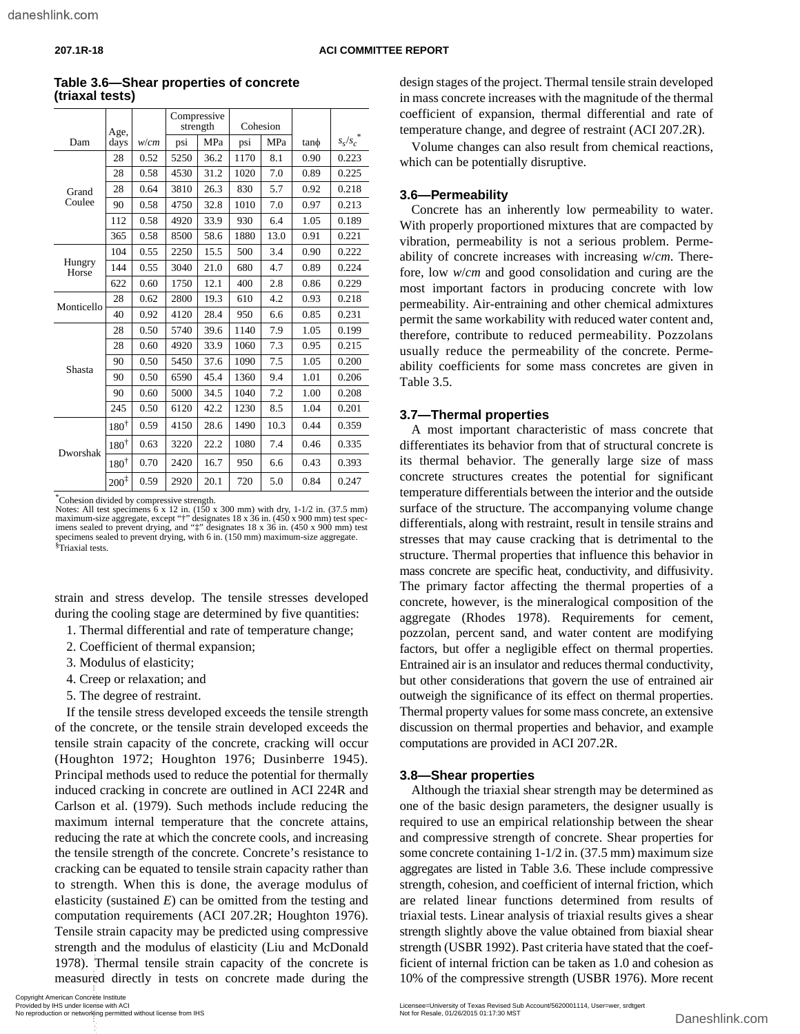|                 | Age,             |      | Compressive<br>strength |      | Cohesion |      |      |           |
|-----------------|------------------|------|-------------------------|------|----------|------|------|-----------|
| Dam             | days             | w/cm | psi                     | MPa  | psi      | MPa  | tano | $s_s/s_c$ |
| Grand<br>Coulee | 28               | 0.52 | 5250                    | 36.2 | 1170     | 8.1  | 0.90 | 0.223     |
|                 | 28               | 0.58 | 4530                    | 31.2 | 1020     | 7.0  | 0.89 | 0.225     |
|                 | 28               | 0.64 | 3810                    | 26.3 | 830      | 5.7  | 0.92 | 0.218     |
|                 | 90               | 0.58 | 4750                    | 32.8 | 1010     | 7.0  | 0.97 | 0.213     |
|                 | 112              | 0.58 | 4920                    | 33.9 | 930      | 6.4  | 1.05 | 0.189     |
|                 | 365              | 0.58 | 8500                    | 58.6 | 1880     | 13.0 | 0.91 | 0.221     |
| Hungry<br>Horse | 104              | 0.55 | 2250                    | 15.5 | 500      | 3.4  | 0.90 | 0.222     |
|                 | 144              | 0.55 | 3040                    | 21.0 | 680      | 4.7  | 0.89 | 0.224     |
|                 | 622              | 0.60 | 1750                    | 12.1 | 400      | 2.8  | 0.86 | 0.229     |
| Monticello      | 28               | 0.62 | 2800                    | 19.3 | 610      | 4.2  | 0.93 | 0.218     |
|                 | 40               | 0.92 | 4120                    | 28.4 | 950      | 6.6  | 0.85 | 0.231     |
| Shasta          | 28               | 0.50 | 5740                    | 39.6 | 1140     | 7.9  | 1.05 | 0.199     |
|                 | 28               | 0.60 | 4920                    | 33.9 | 1060     | 7.3  | 0.95 | 0.215     |
|                 | 90               | 0.50 | 5450                    | 37.6 | 1090     | 7.5  | 1.05 | 0.200     |
|                 | 90               | 0.50 | 6590                    | 45.4 | 1360     | 9.4  | 1.01 | 0.206     |
|                 | 90               | 0.60 | 5000                    | 34.5 | 1040     | 7.2  | 1.00 | 0.208     |
|                 | 245              | 0.50 | 6120                    | 42.2 | 1230     | 8.5  | 1.04 | 0.201     |
| Dworshak        | $180^{\dagger}$  | 0.59 | 4150                    | 28.6 | 1490     | 10.3 | 0.44 | 0.359     |
|                 | $180^\dagger$    | 0.63 | 3220                    | 22.2 | 1080     | 7.4  | 0.46 | 0.335     |
|                 | $180^\dagger$    | 0.70 | 2420                    | 16.7 | 950      | 6.6  | 0.43 | 0.393     |
|                 | $200^{\ddagger}$ | 0.59 | 2920                    | 20.1 | 720      | 5.0  | 0.84 | 0.247     |

**Table 3.6—Shear properties of concrete (triaxal tests)**

\* Cohesion divided by compressive strength.

Notes: All test specimens  $6 \times 12$  in. (150 x 300 mm) with dry, 1-1/2 in. (37.5 mm) maximum-size aggregate, except "†" designates 18 x 36 in. (450 x 900 mm) test spec-imens sealed to prevent drying, and "‡" designates 18 x 36 in. (450 x 900 mm) test specimens sealed to prevent drying, with 6 in. (150 mm) maximum-size aggregate. § Triaxial tests.

strain and stress develop. The tensile stresses developed during the cooling stage are determined by five quantities:

- 1. Thermal differential and rate of temperature change;
- 2. Coefficient of thermal expansion;
- 3. Modulus of elasticity;
- 4. Creep or relaxation; and
- 5. The degree of restraint.

If the tensile stress developed exceeds the tensile strength of the concrete, or the tensile strain developed exceeds the tensile strain capacity of the concrete, cracking will occur (Houghton 1972; Houghton 1976; Dusinberre 1945). Principal methods used to reduce the potential for thermally induced cracking in concrete are outlined in ACI 224R and Carlson et al. (1979). Such methods include reducing the maximum internal temperature that the concrete attains, reducing the rate at which the concrete cools, and increasing the tensile strength of the concrete. Concrete's resistance to cracking can be equated to tensile strain capacity rather than to strength. When this is done, the average modulus of elasticity (sustained *E*) can be omitted from the testing and computation requirements (ACI 207.2R; Houghton 1976). Tensile strain capacity may be predicted using compressive strength and the modulus of elasticity (Liu and McDonald 1978). Thermal tensile strain capacity of the concrete is measured directly in tests on concrete made during the 1978). Thermal tensile strain capacity of the concrete is<br>
measured directly in tests on concrete made during the<br>
Copyright American Concrete instituted without license from IHS<br>
Provided by IHS under license with ACI<br>
N

design stages of the project. Thermal tensile strain developed in mass concrete increases with the magnitude of the thermal coefficient of expansion, thermal differential and rate of temperature change, and degree of restraint (ACI 207.2R).

Volume changes can also result from chemical reactions, which can be potentially disruptive.

#### **3.6—Permeability**

Concrete has an inherently low permeability to water. With properly proportioned mixtures that are compacted by vibration, permeability is not a serious problem. Permeability of concrete increases with increasing *w*/*cm*. Therefore, low *w*/*cm* and good consolidation and curing are the most important factors in producing concrete with low permeability. Air-entraining and other chemical admixtures permit the same workability with reduced water content and, therefore, contribute to reduced permeability. Pozzolans usually reduce the permeability of the concrete. Permeability coefficients for some mass concretes are given in Table 3.5.

#### **3.7—Thermal properties**

A most important characteristic of mass concrete that differentiates its behavior from that of structural concrete is its thermal behavior. The generally large size of mass concrete structures creates the potential for significant temperature differentials between the interior and the outside surface of the structure. The accompanying volume change differentials, along with restraint, result in tensile strains and stresses that may cause cracking that is detrimental to the structure. Thermal properties that influence this behavior in mass concrete are specific heat, conductivity, and diffusivity. The primary factor affecting the thermal properties of a concrete, however, is the mineralogical composition of the aggregate (Rhodes 1978). Requirements for cement, pozzolan, percent sand, and water content are modifying factors, but offer a negligible effect on thermal properties. Entrained air is an insulator and reduces thermal conductivity, but other considerations that govern the use of entrained air outweigh the significance of its effect on thermal properties. Thermal property values for some mass concrete, an extensive discussion on thermal properties and behavior, and example computations are provided in ACI 207.2R.

#### **3.8—Shear properties**

Although the triaxial shear strength may be determined as one of the basic design parameters, the designer usually is required to use an empirical relationship between the shear and compressive strength of concrete. Shear properties for some concrete containing 1-1/2 in. (37.5 mm) maximum size aggregates are listed in Table 3.6. These include compressive strength, cohesion, and coefficient of internal friction, which are related linear functions determined from results of triaxial tests. Linear analysis of triaxial results gives a shear strength slightly above the value obtained from biaxial shear strength (USBR 1992). Past criteria have stated that the coefficient of internal friction can be taken as 1.0 and cohesion as 10% of the compressive strength (USBR 1976). More recent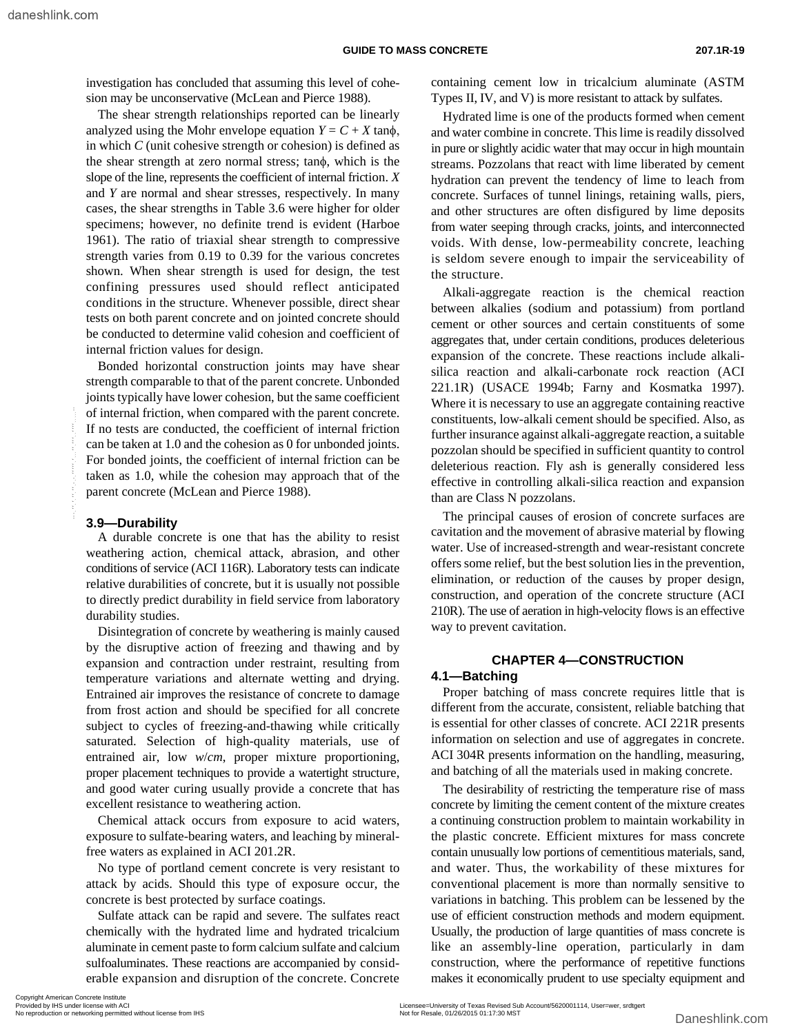investigation has concluded that assuming this level of cohesion may be unconservative (McLean and Pierce 1988).

The shear strength relationships reported can be linearly analyzed using the Mohr envelope equation  $Y = C + X \tan \phi$ , in which *C* (unit cohesive strength or cohesion) is defined as the shear strength at zero normal stress; tanφ, which is the slope of the line, represents the coefficient of internal friction. *X* and *Y* are normal and shear stresses, respectively. In many cases, the shear strengths in Table 3.6 were higher for older specimens; however, no definite trend is evident (Harboe 1961). The ratio of triaxial shear strength to compressive strength varies from 0.19 to 0.39 for the various concretes shown. When shear strength is used for design, the test confining pressures used should reflect anticipated conditions in the structure. Whenever possible, direct shear tests on both parent concrete and on jointed concrete should be conducted to determine valid cohesion and coefficient of internal friction values for design.

Bonded horizontal construction joints may have shear strength comparable to that of the parent concrete. Unbonded joints typically have lower cohesion, but the same coefficient of internal friction, when compared with the parent concrete. If no tests are conducted, the coefficient of internal friction can be taken at 1.0 and the cohesion as 0 for unbonded joints. For bonded joints, the coefficient of internal friction can be taken as 1.0, while the cohesion may approach that of the parent concrete (McLean and Pierce 1988).

#### **3.9—Durability**

A durable concrete is one that has the ability to resist weathering action, chemical attack, abrasion, and other conditions of service (ACI 116R). Laboratory tests can indicate relative durabilities of concrete, but it is usually not possible to directly predict durability in field service from laboratory durability studies.

Disintegration of concrete by weathering is mainly caused by the disruptive action of freezing and thawing and by expansion and contraction under restraint, resulting from temperature variations and alternate wetting and drying. Entrained air improves the resistance of concrete to damage from frost action and should be specified for all concrete subject to cycles of freezing-and-thawing while critically saturated. Selection of high-quality materials, use of entrained air, low *w*/*cm*, proper mixture proportioning, proper placement techniques to provide a watertight structure, and good water curing usually provide a concrete that has excellent resistance to weathering action. or the mean friction, who compared with the partic concrete.<br>
For the sken at 1.0 and the cobission as 0 for unbonded joints, the three insurance.<br>
For bonded joints, the coefficient of internal friction and<br>
For bonded j

Chemical attack occurs from exposure to acid waters, exposure to sulfate-bearing waters, and leaching by mineralfree waters as explained in ACI 201.2R.

No type of portland cement concrete is very resistant to attack by acids. Should this type of exposure occur, the concrete is best protected by surface coatings.

Sulfate attack can be rapid and severe. The sulfates react chemically with the hydrated lime and hydrated tricalcium aluminate in cement paste to form calcium sulfate and calcium sulfoaluminates. These reactions are accompanied by considerable expansion and disruption of the concrete. Concrete

containing cement low in tricalcium aluminate (ASTM Types II, IV, and V) is more resistant to attack by sulfates.

Hydrated lime is one of the products formed when cement and water combine in concrete. This lime is readily dissolved in pure or slightly acidic water that may occur in high mountain streams. Pozzolans that react with lime liberated by cement hydration can prevent the tendency of lime to leach from concrete. Surfaces of tunnel linings, retaining walls, piers, and other structures are often disfigured by lime deposits from water seeping through cracks, joints, and interconnected voids. With dense, low-permeability concrete, leaching is seldom severe enough to impair the serviceability of the structure.

Alkali-aggregate reaction is the chemical reaction between alkalies (sodium and potassium) from portland cement or other sources and certain constituents of some aggregates that, under certain conditions, produces deleterious expansion of the concrete. These reactions include alkalisilica reaction and alkali-carbonate rock reaction (ACI 221.1R) (USACE 1994b; Farny and Kosmatka 1997). Where it is necessary to use an aggregate containing reactive constituents, low-alkali cement should be specified. Also, as further insurance against alkali-aggregate reaction, a suitable pozzolan should be specified in sufficient quantity to control deleterious reaction. Fly ash is generally considered less effective in controlling alkali-silica reaction and expansion than are Class N pozzolans.

The principal causes of erosion of concrete surfaces are cavitation and the movement of abrasive material by flowing water. Use of increased-strength and wear-resistant concrete offers some relief, but the best solution lies in the prevention, elimination, or reduction of the causes by proper design, construction, and operation of the concrete structure (ACI 210R). The use of aeration in high-velocity flows is an effective way to prevent cavitation.

### **CHAPTER 4—CONSTRUCTION 4.1—Batching**

Proper batching of mass concrete requires little that is different from the accurate, consistent, reliable batching that is essential for other classes of concrete. ACI 221R presents information on selection and use of aggregates in concrete. ACI 304R presents information on the handling, measuring, and batching of all the materials used in making concrete.

The desirability of restricting the temperature rise of mass concrete by limiting the cement content of the mixture creates a continuing construction problem to maintain workability in the plastic concrete. Efficient mixtures for mass concrete contain unusually low portions of cementitious materials, sand, and water. Thus, the workability of these mixtures for conventional placement is more than normally sensitive to variations in batching. This problem can be lessened by the use of efficient construction methods and modern equipment. Usually, the production of large quantities of mass concrete is like an assembly-line operation, particularly in dam construction, where the performance of repetitive functions makes it economically prudent to use specialty equipment and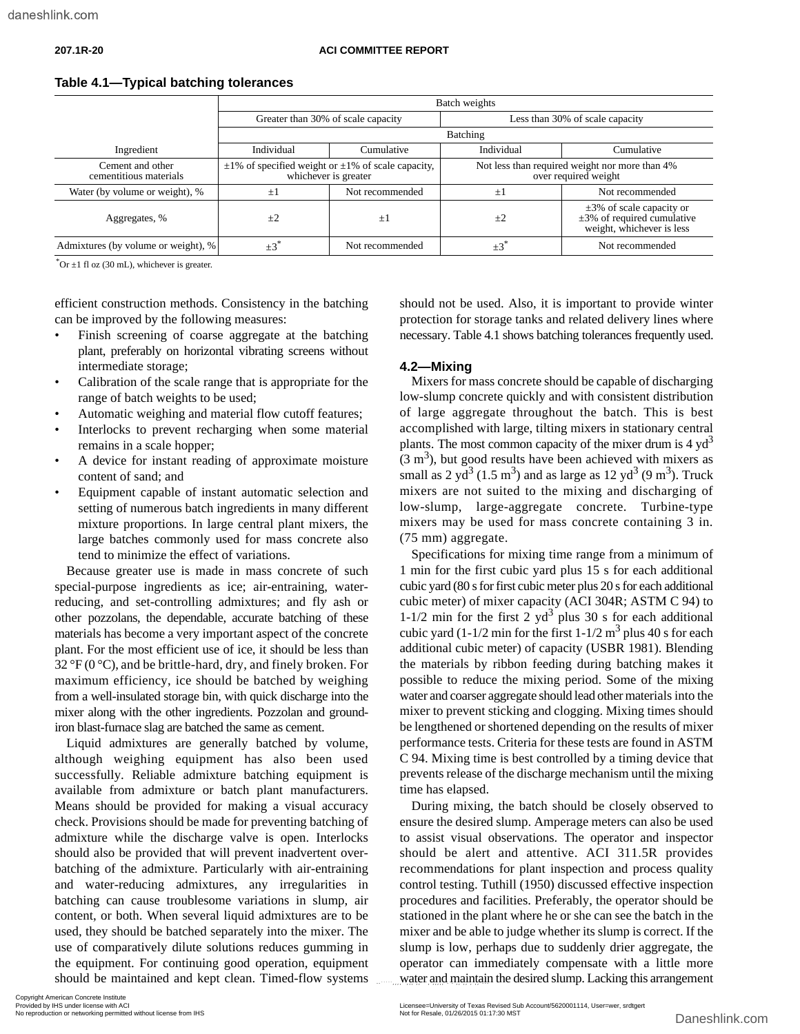|                                            | Batch weights                                                                         |                                    |                                                                        |                                                                                                 |  |  |
|--------------------------------------------|---------------------------------------------------------------------------------------|------------------------------------|------------------------------------------------------------------------|-------------------------------------------------------------------------------------------------|--|--|
|                                            |                                                                                       | Greater than 30% of scale capacity | Less than 30% of scale capacity                                        |                                                                                                 |  |  |
|                                            |                                                                                       |                                    | Batching                                                               |                                                                                                 |  |  |
| Ingredient                                 | Individual                                                                            | Cumulative                         | Individual                                                             | Cumulative                                                                                      |  |  |
| Cement and other<br>cementitious materials | $\pm 1\%$ of specified weight or $\pm 1\%$ of scale capacity,<br>whichever is greater |                                    | Not less than required weight nor more than 4%<br>over required weight |                                                                                                 |  |  |
| Water (by volume or weight), %             | $\pm$                                                                                 | Not recommended                    | ±l                                                                     | Not recommended                                                                                 |  |  |
| Aggregates, %                              | $\pm 2$                                                                               | ±Ι                                 | $\pm 2$                                                                | $\pm 3\%$ of scale capacity or<br>$\pm 3\%$ of required cumulative<br>weight, whichever is less |  |  |
| Admixtures (by volume or weight), %        | $\pm 3$                                                                               | Not recommended                    | $\pm 3$                                                                | Not recommended                                                                                 |  |  |

#### **Table 4.1—Typical batching tolerances**

 $*$ Or  $\pm$ 1 fl oz (30 mL), whichever is greater.

efficient construction methods. Consistency in the batching can be improved by the following measures:

- Finish screening of coarse aggregate at the batching plant, preferably on horizontal vibrating screens without intermediate storage;
- Calibration of the scale range that is appropriate for the range of batch weights to be used;
- Automatic weighing and material flow cutoff features;
- Interlocks to prevent recharging when some material remains in a scale hopper;
- A device for instant reading of approximate moisture content of sand; and
- Equipment capable of instant automatic selection and setting of numerous batch ingredients in many different mixture proportions. In large central plant mixers, the large batches commonly used for mass concrete also tend to minimize the effect of variations.

Because greater use is made in mass concrete of such special-purpose ingredients as ice; air-entraining, waterreducing, and set-controlling admixtures; and fly ash or other pozzolans, the dependable, accurate batching of these materials has become a very important aspect of the concrete plant. For the most efficient use of ice, it should be less than 32  $\rm{P}F(0\rm{°C})$ , and be brittle-hard, dry, and finely broken. For maximum efficiency, ice should be batched by weighing from a well-insulated storage bin, with quick discharge into the mixer along with the other ingredients. Pozzolan and groundiron blast-furnace slag are batched the same as cement.

Liquid admixtures are generally batched by volume, although weighing equipment has also been used successfully. Reliable admixture batching equipment is available from admixture or batch plant manufacturers. Means should be provided for making a visual accuracy check. Provisions should be made for preventing batching of admixture while the discharge valve is open. Interlocks should also be provided that will prevent inadvertent overbatching of the admixture. Particularly with air-entraining and water-reducing admixtures, any irregularities in batching can cause troublesome variations in slump, air content, or both. When several liquid admixtures are to be used, they should be batched separately into the mixer. The use of comparatively dilute solutions reduces gumming in the equipment. For continuing good operation, equipment should be maintained and kept clean. Timed-flow systems

should not be used. Also, it is important to provide winter protection for storage tanks and related delivery lines where necessary. Table 4.1 shows batching tolerances frequently used.

#### **4.2—Mixing**

Mixers for mass concrete should be capable of discharging low-slump concrete quickly and with consistent distribution of large aggregate throughout the batch. This is best accomplished with large, tilting mixers in stationary central plants. The most common capacity of the mixer drum is  $4 \text{ yd}^3$  $(3 \text{ m}^3)$ , but good results have been achieved with mixers as small as 2 yd<sup>3</sup> (1.5 m<sup>3</sup>) and as large as 12 yd<sup>3</sup> (9 m<sup>3</sup>). Truck mixers are not suited to the mixing and discharging of low-slump, large-aggregate concrete. Turbine-type mixers may be used for mass concrete containing 3 in. (75 mm) aggregate.

Specifications for mixing time range from a minimum of 1 min for the first cubic yard plus 15 s for each additional cubic yard (80 s for first cubic meter plus 20 s for each additional cubic meter) of mixer capacity (ACI 304R; ASTM C 94) to 1-1/2 min for the first 2  $yd^3$  plus 30 s for each additional cubic yard  $(1-1/2 \text{ min}$  for the first  $1-1/2 \text{ m}^3$  plus 40 s for each additional cubic meter) of capacity (USBR 1981). Blending the materials by ribbon feeding during batching makes it possible to reduce the mixing period. Some of the mixing water and coarser aggregate should lead other materials into the mixer to prevent sticking and clogging. Mixing times should be lengthened or shortened depending on the results of mixer performance tests. Criteria for these tests are found in ASTM C 94. Mixing time is best controlled by a timing device that prevents release of the discharge mechanism until the mixing time has elapsed.

During mixing, the batch should be closely observed to ensure the desired slump. Amperage meters can also be used to assist visual observations. The operator and inspector should be alert and attentive. ACI 311.5R provides recommendations for plant inspection and process quality control testing. Tuthill (1950) discussed effective inspection procedures and facilities. Preferably, the operator should be stationed in the plant where he or she can see the batch in the mixer and be able to judge whether its slump is correct. If the slump is low, perhaps due to suddenly drier aggregate, the operator can immediately compensate with a little more water and maintain the desired slump. Lacking this arrangement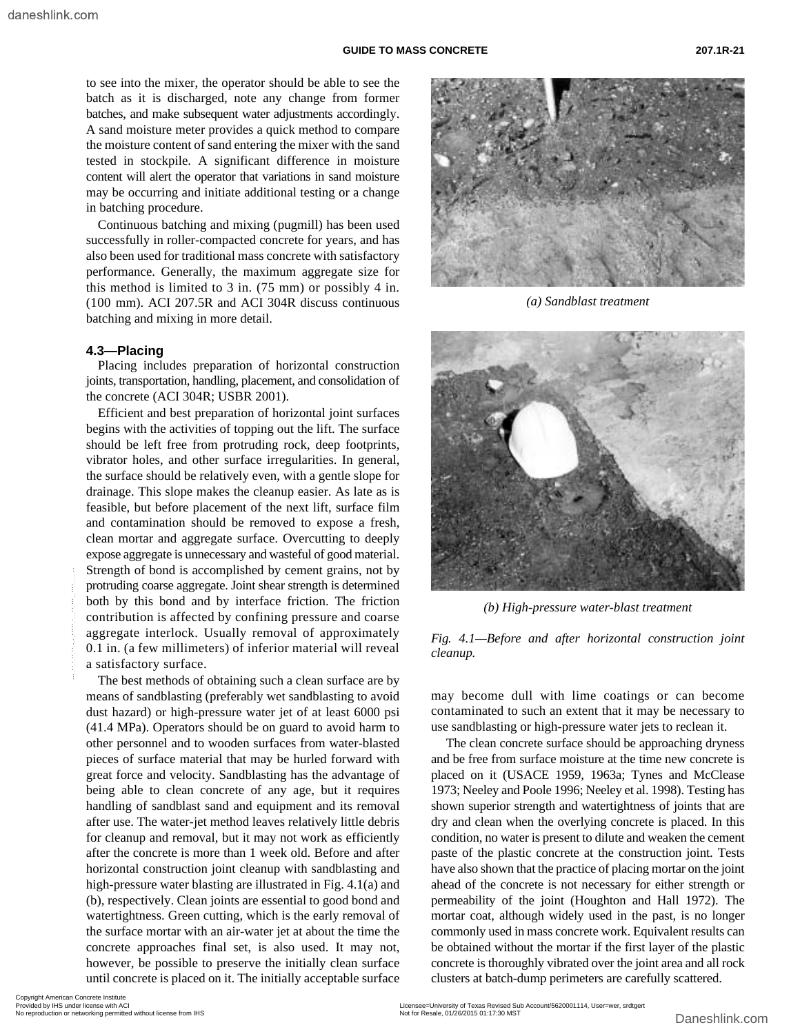to see into the mixer, the operator should be able to see the batch as it is discharged, note any change from former batches, and make subsequent water adjustments accordingly. A sand moisture meter provides a quick method to compare the moisture content of sand entering the mixer with the sand tested in stockpile. A significant difference in moisture content will alert the operator that variations in sand moisture may be occurring and initiate additional testing or a change in batching procedure.

Continuous batching and mixing (pugmill) has been used successfully in roller-compacted concrete for years, and has also been used for traditional mass concrete with satisfactory performance. Generally, the maximum aggregate size for this method is limited to 3 in. (75 mm) or possibly 4 in. (100 mm). ACI 207.5R and ACI 304R discuss continuous batching and mixing in more detail.

#### **4.3—Placing**

Placing includes preparation of horizontal construction joints, transportation, handling, placement, and consolidation of the concrete (ACI 304R; USBR 2001).

Efficient and best preparation of horizontal joint surfaces begins with the activities of topping out the lift. The surface should be left free from protruding rock, deep footprints, vibrator holes, and other surface irregularities. In general, the surface should be relatively even, with a gentle slope for drainage. This slope makes the cleanup easier. As late as is feasible, but before placement of the next lift, surface film and contamination should be removed to expose a fresh, clean mortar and aggregate surface. Overcutting to deeply expose aggregate is unnecessary and wasteful of good material. Strength of bond is accomplished by cement grains, not by protruding coarse aggregate. Joint shear strength is determined both by this bond and by interface friction. The friction contribution is affected by confining pressure and coarse aggregate interlock. Usually removal of approximately 0.1 in. (a few millimeters) of inferior material will reveal a satisfactory surface.

The best methods of obtaining such a clean surface are by means of sandblasting (preferably wet sandblasting to avoid dust hazard) or high-pressure water jet of at least 6000 psi (41.4 MPa). Operators should be on guard to avoid harm to other personnel and to wooden surfaces from water-blasted pieces of surface material that may be hurled forward with great force and velocity. Sandblasting has the advantage of being able to clean concrete of any age, but it requires handling of sandblast sand and equipment and its removal after use. The water-jet method leaves relatively little debris for cleanup and removal, but it may not work as efficiently after the concrete is more than 1 week old. Before and after horizontal construction joint cleanup with sandblasting and high-pressure water blasting are illustrated in Fig. 4.1(a) and (b), respectively. Clean joints are essential to good bond and watertightness. Green cutting, which is the early removal of the surface mortar with an air-water jet at about the time the concrete approaches final set, is also used. It may not, however, be possible to preserve the initially clean surface until concrete is placed on it. The initially acceptable surface Strength or bond is accompined by cment grans, not or networking and compiled on the precision. The friction or the thing the state of the control of the control of the state of the control of the state of the state of th



*(a) Sandblast treatment*



*(b) High-pressure water-blast treatment*

*Fig. 4.1—Before and after horizontal construction joint cleanup.*

may become dull with lime coatings or can become contaminated to such an extent that it may be necessary to use sandblasting or high-pressure water jets to reclean it.

 The clean concrete surface should be approaching dryness and be free from surface moisture at the time new concrete is placed on it (USACE 1959, 1963a; Tynes and McClease 1973; Neeley and Poole 1996; Neeley et al. 1998). Testing has shown superior strength and watertightness of joints that are dry and clean when the overlying concrete is placed. In this condition, no water is present to dilute and weaken the cement paste of the plastic concrete at the construction joint. Tests have also shown that the practice of placing mortar on the joint ahead of the concrete is not necessary for either strength or permeability of the joint (Houghton and Hall 1972). The mortar coat, although widely used in the past, is no longer commonly used in mass concrete work. Equivalent results can be obtained without the mortar if the first layer of the plastic concrete is thoroughly vibrated over the joint area and all rock clusters at batch-dump perimeters are carefully scattered.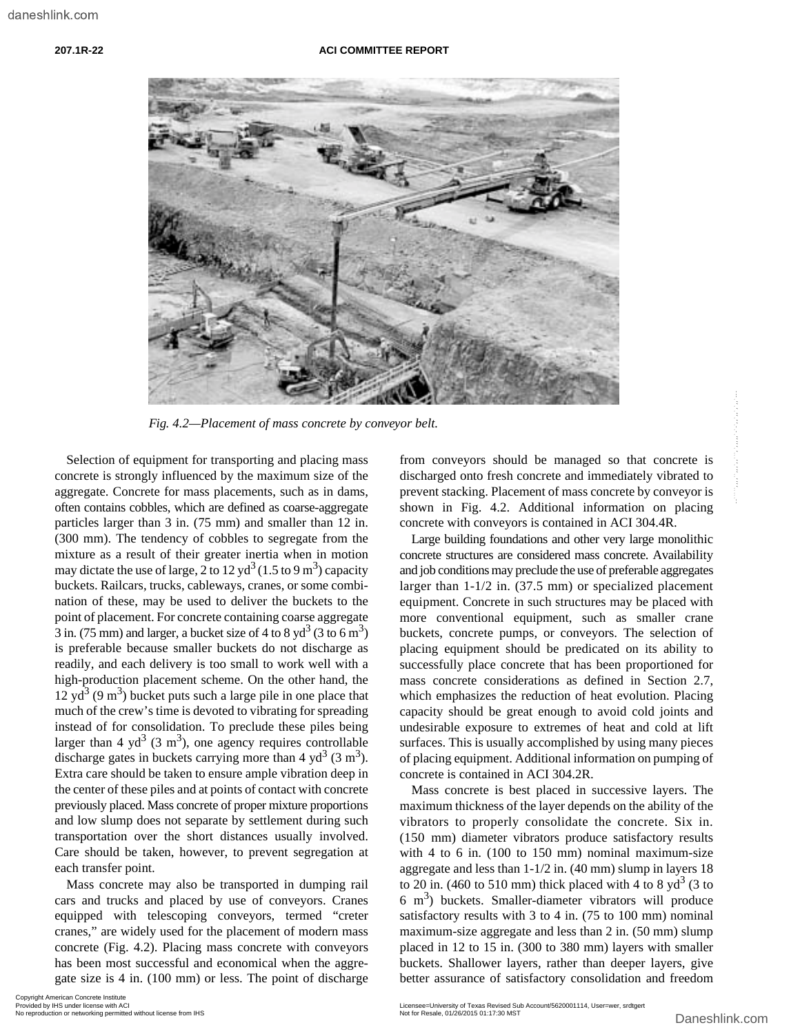#### **207.1R-22 ACI COMMITTEE REPORT**



*Fig. 4.2—Placement of mass concrete by conveyor belt.*

Selection of equipment for transporting and placing mass concrete is strongly influenced by the maximum size of the aggregate. Concrete for mass placements, such as in dams, often contains cobbles, which are defined as coarse-aggregate particles larger than 3 in. (75 mm) and smaller than 12 in. (300 mm). The tendency of cobbles to segregate from the mixture as a result of their greater inertia when in motion may dictate the use of large, 2 to 12 yd<sup>3</sup> (1.5 to 9 m<sup>3</sup>) capacity buckets. Railcars, trucks, cableways, cranes, or some combination of these, may be used to deliver the buckets to the point of placement. For concrete containing coarse aggregate  $\overline{3}$  in. (75 mm) and larger, a bucket size of 4 to 8 yd<sup>3</sup> (3 to 6 m<sup>3</sup>) is preferable because smaller buckets do not discharge as readily, and each delivery is too small to work well with a high-production placement scheme. On the other hand, the  $12 \text{ yd}^3$  (9 m<sup>3</sup>) bucket puts such a large pile in one place that much of the crew's time is devoted to vibrating for spreading instead of for consolidation. To preclude these piles being larger than 4 yd<sup>3</sup> (3 m<sup>3</sup>), one agency requires controllable discharge gates in buckets carrying more than 4  $yd^3$  (3 m<sup>3</sup>). Extra care should be taken to ensure ample vibration deep in the center of these piles and at points of contact with concrete previously placed. Mass concrete of proper mixture proportions and low slump does not separate by settlement during such transportation over the short distances usually involved. Care should be taken, however, to prevent segregation at each transfer point. Fax:  $R_2$ ,  $L_2$ -Phinemest of mast concert by conveyors about the managed so that concerts is concert is a stochastic transportion of the matima size of the matima size of the matima size of the matima size of the matima

Mass concrete may also be transported in dumping rail cars and trucks and placed by use of conveyors. Cranes equipped with telescoping conveyors, termed "creter cranes," are widely used for the placement of modern mass concrete (Fig. 4.2). Placing mass concrete with conveyors has been most successful and economical when the aggregate size is 4 in. (100 mm) or less. The point of discharge from conveyors should be managed so that concrete is discharged onto fresh concrete and immediately vibrated to prevent stacking. Placement of mass concrete by conveyor is shown in Fig. 4.2. Additional information on placing concrete with conveyors is contained in ACI 304.4R.

Large building foundations and other very large monolithic concrete structures are considered mass concrete. Availability and job conditions may preclude the use of preferable aggregates larger than 1-1/2 in. (37.5 mm) or specialized placement equipment. Concrete in such structures may be placed with more conventional equipment, such as smaller crane buckets, concrete pumps, or conveyors. The selection of placing equipment should be predicated on its ability to successfully place concrete that has been proportioned for mass concrete considerations as defined in Section 2.7, which emphasizes the reduction of heat evolution. Placing capacity should be great enough to avoid cold joints and undesirable exposure to extremes of heat and cold at lift surfaces. This is usually accomplished by using many pieces of placing equipment. Additional information on pumping of concrete is contained in ACI 304.2R.

Mass concrete is best placed in successive layers. The maximum thickness of the layer depends on the ability of the vibrators to properly consolidate the concrete. Six in. (150 mm) diameter vibrators produce satisfactory results with 4 to 6 in. (100 to 150 mm) nominal maximum-size aggregate and less than 1-1/2 in. (40 mm) slump in layers 18 to 20 in. (460 to 510 mm) thick placed with 4 to 8  $yd^3$  (3 to 6 m<sup>3</sup>) buckets. Smaller-diameter vibrators will produce satisfactory results with 3 to 4 in. (75 to 100 mm) nominal maximum-size aggregate and less than 2 in. (50 mm) slump placed in 12 to 15 in. (300 to 380 mm) layers with smaller buckets. Shallower layers, rather than deeper layers, give better assurance of satisfactory consolidation and freedom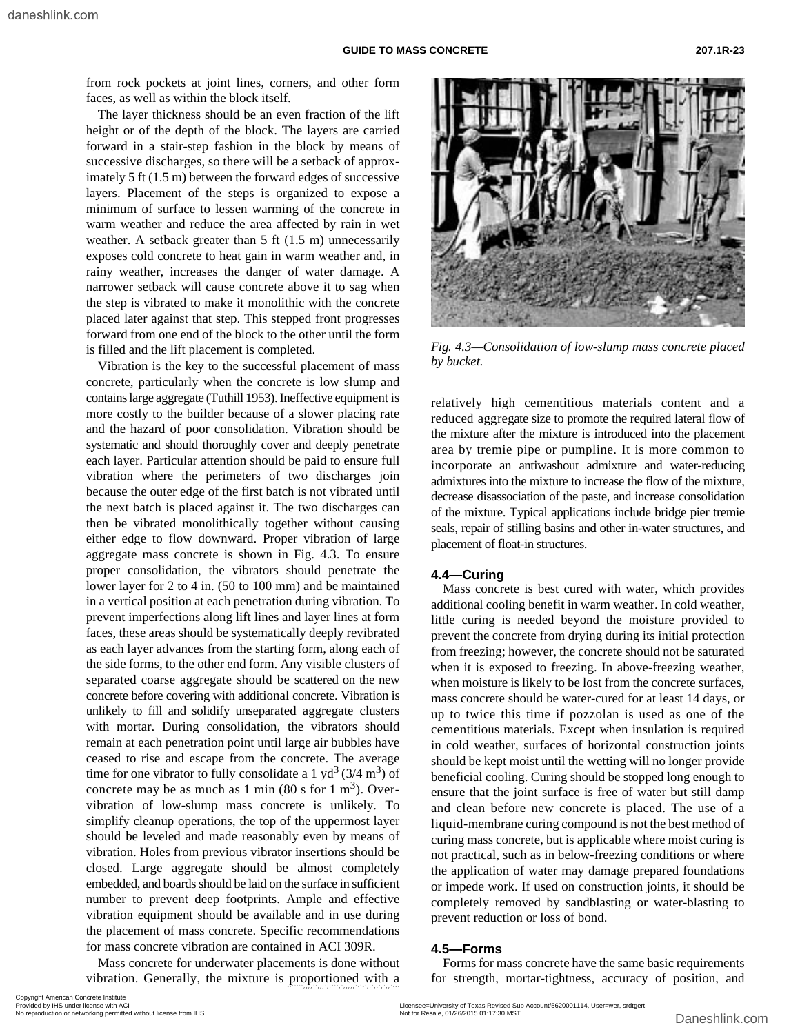from rock pockets at joint lines, corners, and other form faces, as well as within the block itself.

The layer thickness should be an even fraction of the lift height or of the depth of the block. The layers are carried forward in a stair-step fashion in the block by means of successive discharges, so there will be a setback of approximately 5 ft (1.5 m) between the forward edges of successive layers. Placement of the steps is organized to expose a minimum of surface to lessen warming of the concrete in warm weather and reduce the area affected by rain in wet weather. A setback greater than 5 ft (1.5 m) unnecessarily exposes cold concrete to heat gain in warm weather and, in rainy weather, increases the danger of water damage. A narrower setback will cause concrete above it to sag when the step is vibrated to make it monolithic with the concrete placed later against that step. This stepped front progresses forward from one end of the block to the other until the form is filled and the lift placement is completed.

Vibration is the key to the successful placement of mass concrete, particularly when the concrete is low slump and contains large aggregate (Tuthill 1953). Ineffective equipment is more costly to the builder because of a slower placing rate and the hazard of poor consolidation. Vibration should be systematic and should thoroughly cover and deeply penetrate each layer. Particular attention should be paid to ensure full vibration where the perimeters of two discharges join because the outer edge of the first batch is not vibrated until the next batch is placed against it. The two discharges can then be vibrated monolithically together without causing either edge to flow downward. Proper vibration of large aggregate mass concrete is shown in Fig. 4.3. To ensure proper consolidation, the vibrators should penetrate the lower layer for 2 to 4 in. (50 to 100 mm) and be maintained in a vertical position at each penetration during vibration. To prevent imperfections along lift lines and layer lines at form faces, these areas should be systematically deeply revibrated as each layer advances from the starting form, along each of the side forms, to the other end form. Any visible clusters of separated coarse aggregate should be scattered on the new concrete before covering with additional concrete. Vibration is unlikely to fill and solidify unseparated aggregate clusters with mortar. During consolidation, the vibrators should remain at each penetration point until large air bubbles have ceased to rise and escape from the concrete. The average time for one vibrator to fully consolidate a 1 yd<sup>3</sup> (3/4 m<sup>3</sup>) of concrete may be as much as 1 min  $(80 \text{ s for } 1 \text{ m}^3)$ . Overvibration of low-slump mass concrete is unlikely. To simplify cleanup operations, the top of the uppermost layer should be leveled and made reasonably even by means of vibration. Holes from previous vibrator insertions should be closed. Large aggregate should be almost completely embedded, and boards should be laid on the surface in sufficient number to prevent deep footprints. Ample and effective vibration equipment should be available and in use during the placement of mass concrete. Specific recommendations for mass concrete vibration are contained in ACI 309R.

Mass concrete for underwater placements is done without vibration. Generally, the mixture is proportioned with a



*Fig. 4.3—Consolidation of low-slump mass concrete placed by bucket.*

relatively high cementitious materials content and a reduced aggregate size to promote the required lateral flow of the mixture after the mixture is introduced into the placement area by tremie pipe or pumpline. It is more common to incorporate an antiwashout admixture and water-reducing admixtures into the mixture to increase the flow of the mixture, decrease disassociation of the paste, and increase consolidation of the mixture. Typical applications include bridge pier tremie seals, repair of stilling basins and other in-water structures, and placement of float-in structures.

#### **4.4—Curing**

Mass concrete is best cured with water, which provides additional cooling benefit in warm weather. In cold weather, little curing is needed beyond the moisture provided to prevent the concrete from drying during its initial protection from freezing; however, the concrete should not be saturated when it is exposed to freezing. In above-freezing weather, when moisture is likely to be lost from the concrete surfaces, mass concrete should be water-cured for at least 14 days, or up to twice this time if pozzolan is used as one of the cementitious materials. Except when insulation is required in cold weather, surfaces of horizontal construction joints should be kept moist until the wetting will no longer provide beneficial cooling. Curing should be stopped long enough to ensure that the joint surface is free of water but still damp and clean before new concrete is placed. The use of a liquid-membrane curing compound is not the best method of curing mass concrete, but is applicable where moist curing is not practical, such as in below-freezing conditions or where the application of water may damage prepared foundations or impede work. If used on construction joints, it should be completely removed by sandblasting or water-blasting to prevent reduction or loss of bond.

#### **4.5—Forms**

Forms for mass concrete have the same basic requirements for strength, mortar-tightness, accuracy of position, and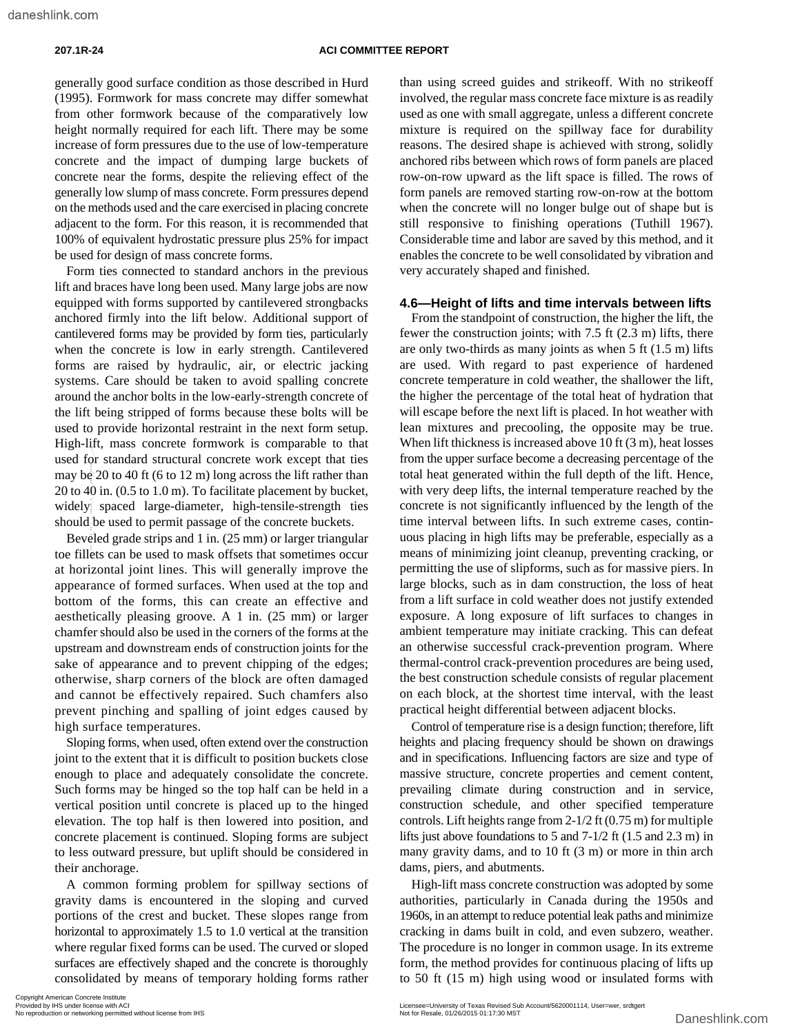generally good surface condition as those described in Hurd (1995). Formwork for mass concrete may differ somewhat from other formwork because of the comparatively low height normally required for each lift. There may be some increase of form pressures due to the use of low-temperature concrete and the impact of dumping large buckets of concrete near the forms, despite the relieving effect of the generally low slump of mass concrete. Form pressures depend on the methods used and the care exercised in placing concrete adjacent to the form. For this reason, it is recommended that 100% of equivalent hydrostatic pressure plus 25% for impact be used for design of mass concrete forms.

Form ties connected to standard anchors in the previous lift and braces have long been used. Many large jobs are now equipped with forms supported by cantilevered strongbacks anchored firmly into the lift below. Additional support of cantilevered forms may be provided by form ties, particularly when the concrete is low in early strength. Cantilevered forms are raised by hydraulic, air, or electric jacking systems. Care should be taken to avoid spalling concrete around the anchor bolts in the low-early-strength concrete of the lift being stripped of forms because these bolts will be used to provide horizontal restraint in the next form setup. High-lift, mass concrete formwork is comparable to that used for standard structural concrete work except that ties may be 20 to 40 ft (6 to 12 m) long across the lift rather than 20 to 40 in. (0.5 to 1.0 m). To facilitate placement by bucket, widely spaced large-diameter, high-tensile-strength ties should be used to permit passage of the concrete buckets.

Beveled grade strips and 1 in. (25 mm) or larger triangular toe fillets can be used to mask offsets that sometimes occur at horizontal joint lines. This will generally improve the appearance of formed surfaces. When used at the top and bottom of the forms, this can create an effective and aesthetically pleasing groove. A 1 in. (25 mm) or larger chamfer should also be used in the corners of the forms at the upstream and downstream ends of construction joints for the sake of appearance and to prevent chipping of the edges; otherwise, sharp corners of the block are often damaged and cannot be effectively repaired. Such chamfers also prevent pinching and spalling of joint edges caused by high surface temperatures. net or standard structural concrete work except that ties<br>
my be 20 to 40 in (0.5 to 12 m) long across the lift rather than total heat generated with<br>
20 to 40 in (0.5 to 10 m). To facilitatte placement the bucket<br>
widely

Sloping forms, when used, often extend over the construction joint to the extent that it is difficult to position buckets close enough to place and adequately consolidate the concrete. Such forms may be hinged so the top half can be held in a vertical position until concrete is placed up to the hinged elevation. The top half is then lowered into position, and concrete placement is continued. Sloping forms are subject to less outward pressure, but uplift should be considered in their anchorage.

A common forming problem for spillway sections of gravity dams is encountered in the sloping and curved portions of the crest and bucket. These slopes range from horizontal to approximately 1.5 to 1.0 vertical at the transition where regular fixed forms can be used. The curved or sloped surfaces are effectively shaped and the concrete is thoroughly consolidated by means of temporary holding forms rather

than using screed guides and strikeoff. With no strikeoff involved, the regular mass concrete face mixture is as readily used as one with small aggregate, unless a different concrete mixture is required on the spillway face for durability reasons. The desired shape is achieved with strong, solidly anchored ribs between which rows of form panels are placed row-on-row upward as the lift space is filled. The rows of form panels are removed starting row-on-row at the bottom when the concrete will no longer bulge out of shape but is still responsive to finishing operations (Tuthill 1967). Considerable time and labor are saved by this method, and it enables the concrete to be well consolidated by vibration and very accurately shaped and finished.

#### **4.6—Height of lifts and time intervals between lifts**

From the standpoint of construction, the higher the lift, the fewer the construction joints; with 7.5 ft (2.3 m) lifts, there are only two-thirds as many joints as when 5 ft (1.5 m) lifts are used. With regard to past experience of hardened concrete temperature in cold weather, the shallower the lift, the higher the percentage of the total heat of hydration that will escape before the next lift is placed. In hot weather with lean mixtures and precooling, the opposite may be true. When lift thickness is increased above 10 ft (3 m), heat losses from the upper surface become a decreasing percentage of the total heat generated within the full depth of the lift. Hence, with very deep lifts, the internal temperature reached by the concrete is not significantly influenced by the length of the time interval between lifts. In such extreme cases, continuous placing in high lifts may be preferable, especially as a means of minimizing joint cleanup, preventing cracking, or permitting the use of slipforms, such as for massive piers. In large blocks, such as in dam construction, the loss of heat from a lift surface in cold weather does not justify extended exposure. A long exposure of lift surfaces to changes in ambient temperature may initiate cracking. This can defeat an otherwise successful crack-prevention program. Where thermal-control crack-prevention procedures are being used, the best construction schedule consists of regular placement on each block, at the shortest time interval, with the least practical height differential between adjacent blocks.

Control of temperature rise is a design function; therefore, lift heights and placing frequency should be shown on drawings and in specifications. Influencing factors are size and type of massive structure, concrete properties and cement content, prevailing climate during construction and in service, construction schedule, and other specified temperature controls. Lift heights range from 2-1/2 ft (0.75 m) for multiple lifts just above foundations to 5 and 7-1/2 ft (1.5 and 2.3 m) in many gravity dams, and to 10 ft (3 m) or more in thin arch dams, piers, and abutments.

High-lift mass concrete construction was adopted by some authorities, particularly in Canada during the 1950s and 1960s, in an attempt to reduce potential leak paths and minimize cracking in dams built in cold, and even subzero, weather. The procedure is no longer in common usage. In its extreme form, the method provides for continuous placing of lifts up to 50 ft (15 m) high using wood or insulated forms with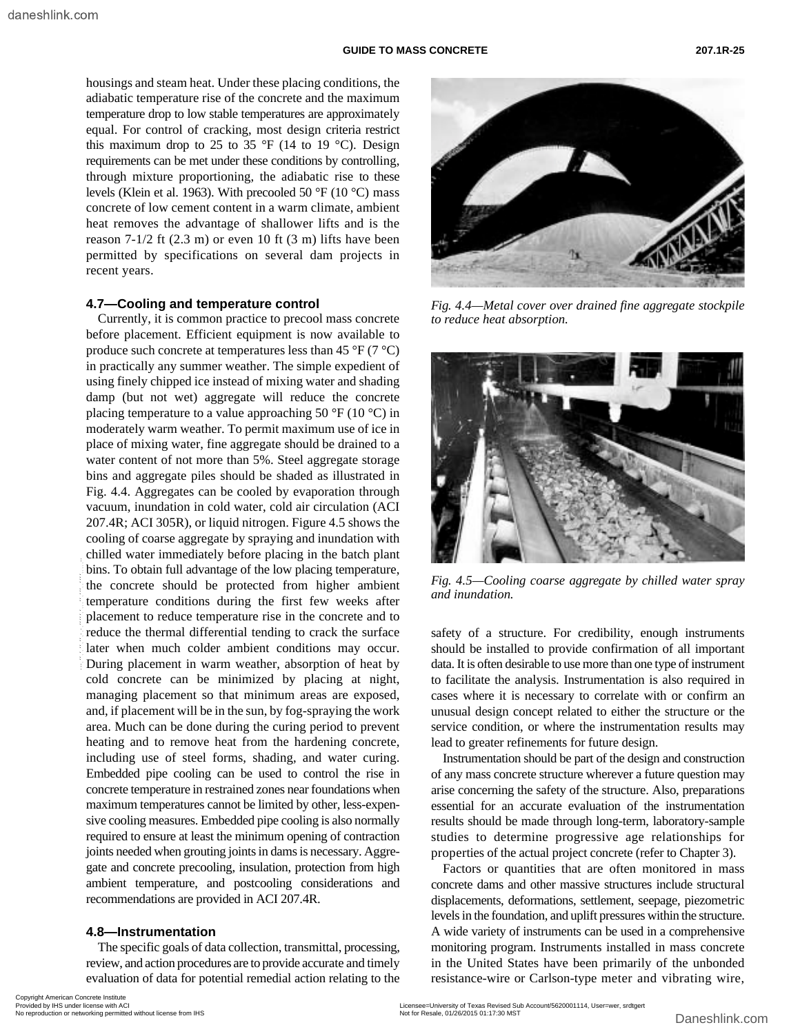housings and steam heat. Under these placing conditions, the adiabatic temperature rise of the concrete and the maximum temperature drop to low stable temperatures are approximately equal. For control of cracking, most design criteria restrict this maximum drop to 25 to 35  $\mathrm{P}$  (14 to 19  $\mathrm{C}$ ). Design requirements can be met under these conditions by controlling, through mixture proportioning, the adiabatic rise to these levels (Klein et al. 1963). With precooled 50 °F (10 °C) mass concrete of low cement content in a warm climate, ambient heat removes the advantage of shallower lifts and is the reason  $7-1/2$  ft  $(2.3 \text{ m})$  or even 10 ft  $(3 \text{ m})$  lifts have been permitted by specifications on several dam projects in recent years.

#### **4.7—Cooling and temperature control**

Currently, it is common practice to precool mass concrete before placement. Efficient equipment is now available to produce such concrete at temperatures less than 45  $\rm{°F}$  (7  $\rm{°C}$ ) in practically any summer weather. The simple expedient of using finely chipped ice instead of mixing water and shading damp (but not wet) aggregate will reduce the concrete placing temperature to a value approaching 50  $\rm{°F}$  (10  $\rm{°C}$ ) in moderately warm weather. To permit maximum use of ice in place of mixing water, fine aggregate should be drained to a water content of not more than 5%. Steel aggregate storage bins and aggregate piles should be shaded as illustrated in Fig. 4.4. Aggregates can be cooled by evaporation through vacuum, inundation in cold water, cold air circulation (ACI 207.4R; ACI 305R), or liquid nitrogen. Figure 4.5 shows the cooling of coarse aggregate by spraying and inundation with chilled water immediately before placing in the batch plant bins. To obtain full advantage of the low placing temperature, the concrete should be protected from higher ambient temperature conditions during the first few weeks after placement to reduce temperature rise in the concrete and to reduce the thermal differential tending to crack the surface later when much colder ambient conditions may occur. During placement in warm weather, absorption of heat by cold concrete can be minimized by placing at night, managing placement so that minimum areas are exposed, and, if placement will be in the sun, by fog-spraying the work area. Much can be done during the curing period to prevent heating and to remove heat from the hardening concrete, including use of steel forms, shading, and water curing. Embedded pipe cooling can be used to control the rise in concrete temperature in restrained zones near foundations when maximum temperatures cannot be limited by other, less-expensive cooling measures. Embedded pipe cooling is also normally required to ensure at least the minimum opening of contraction joints needed when grouting joints in dams is necessary. Aggregate and concrete precooling, insulation, protection from high ambient temperature, and postcooling considerations and recommendations are provided in ACI 207.4R. bus. To obtain full advantage of the low placing temperature,<br>
the concrete should be protected from higher ambient model in the concrete and to<br>
reduct the thremal differential tending to crack the surface case for<br>
late

#### **4.8—Instrumentation**

The specific goals of data collection, transmittal, processing, review, and action procedures are to provide accurate and timely evaluation of data for potential remedial action relating to the



*Fig. 4.4—Metal cover over drained fine aggregate stockpile to reduce heat absorption.*



*Fig. 4.5—Cooling coarse aggregate by chilled water spray and inundation.*

safety of a structure. For credibility, enough instruments should be installed to provide confirmation of all important data. It is often desirable to use more than one type of instrument to facilitate the analysis. Instrumentation is also required in cases where it is necessary to correlate with or confirm an unusual design concept related to either the structure or the service condition, or where the instrumentation results may lead to greater refinements for future design.

Instrumentation should be part of the design and construction of any mass concrete structure wherever a future question may arise concerning the safety of the structure. Also, preparations essential for an accurate evaluation of the instrumentation results should be made through long-term, laboratory-sample studies to determine progressive age relationships for properties of the actual project concrete (refer to Chapter 3).

Factors or quantities that are often monitored in mass concrete dams and other massive structures include structural displacements, deformations, settlement, seepage, piezometric levels in the foundation, and uplift pressures within the structure. A wide variety of instruments can be used in a comprehensive monitoring program. Instruments installed in mass concrete in the United States have been primarily of the unbonded resistance-wire or Carlson-type meter and vibrating wire,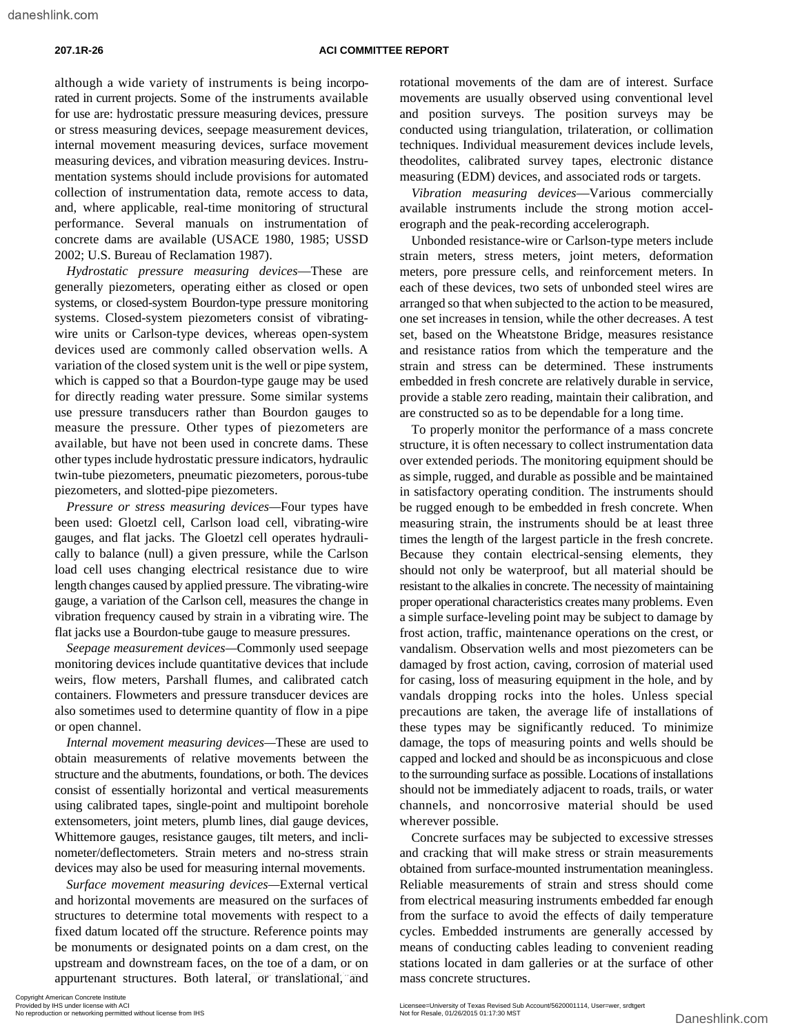although a wide variety of instruments is being incorporated in current projects. Some of the instruments available for use are: hydrostatic pressure measuring devices, pressure or stress measuring devices, seepage measurement devices, internal movement measuring devices, surface movement measuring devices, and vibration measuring devices. Instrumentation systems should include provisions for automated collection of instrumentation data, remote access to data, and, where applicable, real-time monitoring of structural performance. Several manuals on instrumentation of concrete dams are available (USACE 1980, 1985; USSD 2002; U.S. Bureau of Reclamation 1987).

*Hydrostatic pressure measuring devices*—These are generally piezometers, operating either as closed or open systems, or closed-system Bourdon-type pressure monitoring systems. Closed-system piezometers consist of vibratingwire units or Carlson-type devices, whereas open-system devices used are commonly called observation wells. A variation of the closed system unit is the well or pipe system, which is capped so that a Bourdon-type gauge may be used for directly reading water pressure. Some similar systems use pressure transducers rather than Bourdon gauges to measure the pressure. Other types of piezometers are available, but have not been used in concrete dams. These other types include hydrostatic pressure indicators, hydraulic twin-tube piezometers, pneumatic piezometers, porous-tube piezometers, and slotted-pipe piezometers.

*Pressure or stress measuring devices—*Four types have been used: Gloetzl cell, Carlson load cell, vibrating-wire gauges, and flat jacks. The Gloetzl cell operates hydraulically to balance (null) a given pressure, while the Carlson load cell uses changing electrical resistance due to wire length changes caused by applied pressure. The vibrating-wire gauge, a variation of the Carlson cell, measures the change in vibration frequency caused by strain in a vibrating wire. The flat jacks use a Bourdon-tube gauge to measure pressures.

*Seepage measurement devices—*Commonly used seepage monitoring devices include quantitative devices that include weirs, flow meters, Parshall flumes, and calibrated catch containers. Flowmeters and pressure transducer devices are also sometimes used to determine quantity of flow in a pipe or open channel.

*Internal movement measuring devices—*These are used to obtain measurements of relative movements between the structure and the abutments, foundations, or both. The devices consist of essentially horizontal and vertical measurements using calibrated tapes, single-point and multipoint borehole extensometers, joint meters, plumb lines, dial gauge devices, Whittemore gauges, resistance gauges, tilt meters, and inclinometer/deflectometers. Strain meters and no-stress strain devices may also be used for measuring internal movements.

*Surface movement measuring devices—*External vertical and horizontal movements are measured on the surfaces of structures to determine total movements with respect to a fixed datum located off the structure. Reference points may be monuments or designated points on a dam crest, on the upstream and downstream faces, on the toe of a dam, or on rotational movements of the dam are of interest. Surface movements are usually observed using conventional level and position surveys. The position surveys may be conducted using triangulation, trilateration, or collimation techniques. Individual measurement devices include levels, theodolites, calibrated survey tapes, electronic distance measuring (EDM) devices, and associated rods or targets.

*Vibration measuring devices*—Various commercially available instruments include the strong motion accelerograph and the peak-recording accelerograph.

Unbonded resistance-wire or Carlson-type meters include strain meters, stress meters, joint meters, deformation meters, pore pressure cells, and reinforcement meters. In each of these devices, two sets of unbonded steel wires are arranged so that when subjected to the action to be measured, one set increases in tension, while the other decreases. A test set, based on the Wheatstone Bridge, measures resistance and resistance ratios from which the temperature and the strain and stress can be determined. These instruments embedded in fresh concrete are relatively durable in service, provide a stable zero reading, maintain their calibration, and are constructed so as to be dependable for a long time.

To properly monitor the performance of a mass concrete structure, it is often necessary to collect instrumentation data over extended periods. The monitoring equipment should be as simple, rugged, and durable as possible and be maintained in satisfactory operating condition. The instruments should be rugged enough to be embedded in fresh concrete. When measuring strain, the instruments should be at least three times the length of the largest particle in the fresh concrete. Because they contain electrical-sensing elements, they should not only be waterproof, but all material should be resistant to the alkalies in concrete. The necessity of maintaining proper operational characteristics creates many problems. Even a simple surface-leveling point may be subject to damage by frost action, traffic, maintenance operations on the crest, or vandalism. Observation wells and most piezometers can be damaged by frost action, caving, corrosion of material used for casing, loss of measuring equipment in the hole, and by vandals dropping rocks into the holes. Unless special precautions are taken, the average life of installations of these types may be significantly reduced. To minimize damage, the tops of measuring points and wells should be capped and locked and should be as inconspicuous and close to the surrounding surface as possible. Locations of installations should not be immediately adjacent to roads, trails, or water channels, and noncorrosive material should be used wherever possible.

Concrete surfaces may be subjected to excessive stresses and cracking that will make stress or strain measurements obtained from surface-mounted instrumentation meaningless. Reliable measurements of strain and stress should come from electrical measuring instruments embedded far enough from the surface to avoid the effects of daily temperature cycles. Embedded instruments are generally accessed by means of conducting cables leading to convenient reading stations located in dam galleries or at the surface of other mass concrete structures.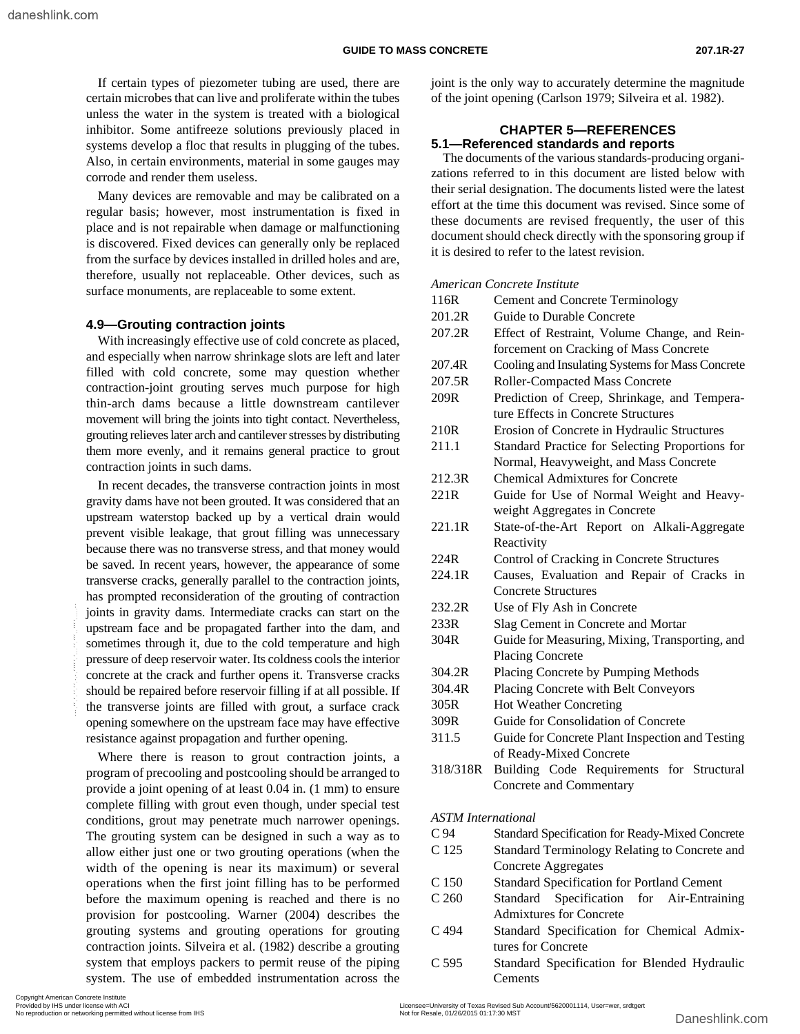If certain types of piezometer tubing are used, there are certain microbes that can live and proliferate within the tubes unless the water in the system is treated with a biological inhibitor. Some antifreeze solutions previously placed in systems develop a floc that results in plugging of the tubes. Also, in certain environments, material in some gauges may corrode and render them useless.

Many devices are removable and may be calibrated on a regular basis; however, most instrumentation is fixed in place and is not repairable when damage or malfunctioning is discovered. Fixed devices can generally only be replaced from the surface by devices installed in drilled holes and are, therefore, usually not replaceable. Other devices, such as surface monuments, are replaceable to some extent.

#### **4.9—Grouting contraction joints**

With increasingly effective use of cold concrete as placed, and especially when narrow shrinkage slots are left and later filled with cold concrete, some may question whether contraction-joint grouting serves much purpose for high thin-arch dams because a little downstream cantilever movement will bring the joints into tight contact. Nevertheless, grouting relieves later arch and cantilever stresses by distributing them more evenly, and it remains general practice to grout contraction joints in such dams.

In recent decades, the transverse contraction joints in most gravity dams have not been grouted. It was considered that an upstream waterstop backed up by a vertical drain would prevent visible leakage, that grout filling was unnecessary because there was no transverse stress, and that money would be saved. In recent years, however, the appearance of some transverse cracks, generally parallel to the contraction joints, has prompted reconsideration of the grouting of contraction joints in gravity dams. Intermediate cracks can start on the upstream face and be propagated farther into the dam, and sometimes through it, due to the cold temperature and high pressure of deep reservoir water. Its coldness cools the interior concrete at the crack and further opens it. Transverse cracks should be repaired before reservoir filling if at all possible. If the transverse joints are filled with grout, a surface crack opening somewhere on the upstream face may have effective resistance against propagation and further opening.

Where there is reason to grout contraction joints, a program of precooling and postcooling should be arranged to provide a joint opening of at least 0.04 in. (1 mm) to ensure complete filling with grout even though, under special test conditions, grout may penetrate much narrower openings. The grouting system can be designed in such a way as to allow either just one or two grouting operations (when the width of the opening is near its maximum) or several operations when the first joint filling has to be performed before the maximum opening is reached and there is no provision for postcooling. Warner (2004) describes the grouting systems and grouting operations for grouting contraction joints. Silveira et al. (1982) describe a grouting system that employs packers to permit reuse of the piping system. The use of embedded instrumentation across the joints in gravity dams. Intermediate cracks can start on the<br>upstream faces and be propagated farther into the dam, and<br>or network intervention of all specific the created and the permitted may all specific concrete at the

joint is the only way to accurately determine the magnitude of the joint opening (Carlson 1979; Silveira et al. 1982).

#### **CHAPTER 5—REFERENCES 5.1—Referenced standards and reports**

The documents of the various standards-producing organizations referred to in this document are listed below with their serial designation. The documents listed were the latest effort at the time this document was revised. Since some of these documents are revised frequently, the user of this document should check directly with the sponsoring group if it is desired to refer to the latest revision.

#### *American Concrete Institute*

| 116R                      |                                                  |  |  |  |
|---------------------------|--------------------------------------------------|--|--|--|
|                           | <b>Cement and Concrete Terminology</b>           |  |  |  |
| 201.2R                    | Guide to Durable Concrete                        |  |  |  |
| 207.2R                    | Effect of Restraint, Volume Change, and Rein-    |  |  |  |
|                           | forcement on Cracking of Mass Concrete           |  |  |  |
| 207.4R                    | Cooling and Insulating Systems for Mass Concrete |  |  |  |
| 207.5R                    | Roller-Compacted Mass Concrete                   |  |  |  |
| 209R                      | Prediction of Creep, Shrinkage, and Tempera-     |  |  |  |
|                           | ture Effects in Concrete Structures              |  |  |  |
| 210R                      | Erosion of Concrete in Hydraulic Structures      |  |  |  |
| 211.1                     | Standard Practice for Selecting Proportions for  |  |  |  |
|                           | Normal, Heavyweight, and Mass Concrete           |  |  |  |
| 212.3R                    | <b>Chemical Admixtures for Concrete</b>          |  |  |  |
| 221R                      | Guide for Use of Normal Weight and Heavy-        |  |  |  |
|                           | weight Aggregates in Concrete                    |  |  |  |
| 221.1R                    | State-of-the-Art Report on Alkali-Aggregate      |  |  |  |
|                           | Reactivity                                       |  |  |  |
| 224R                      | Control of Cracking in Concrete Structures       |  |  |  |
| 224.1R                    | Causes, Evaluation and Repair of Cracks in       |  |  |  |
|                           | <b>Concrete Structures</b>                       |  |  |  |
| 232.2R                    | Use of Fly Ash in Concrete                       |  |  |  |
| 233R                      | Slag Cement in Concrete and Mortar               |  |  |  |
| 304R                      | Guide for Measuring, Mixing, Transporting, and   |  |  |  |
|                           | <b>Placing Concrete</b>                          |  |  |  |
| 304.2R                    | Placing Concrete by Pumping Methods              |  |  |  |
| 304.4R                    | Placing Concrete with Belt Conveyors             |  |  |  |
| 305R                      | <b>Hot Weather Concreting</b>                    |  |  |  |
| 309R                      | Guide for Consolidation of Concrete              |  |  |  |
| 311.5                     | Guide for Concrete Plant Inspection and Testing  |  |  |  |
|                           | of Ready-Mixed Concrete                          |  |  |  |
| 318/318R                  | Building Code Requirements for Structural        |  |  |  |
|                           | Concrete and Commentary                          |  |  |  |
| <b>ASTM</b> International |                                                  |  |  |  |
| C <sub>94</sub>           | Standard Specification for Ready-Mixed Concrete  |  |  |  |
| C 125                     | Standard Terminology Relating to Concrete and    |  |  |  |
|                           |                                                  |  |  |  |

- Concrete Aggregates
- C 150 Standard Specification for Portland Cement
- C 260 Standard Specification for Air-Entraining Admixtures for Concrete
- C 494 Standard Specification for Chemical Admixtures for Concrete
- C 595 Standard Specification for Blended Hydraulic Cements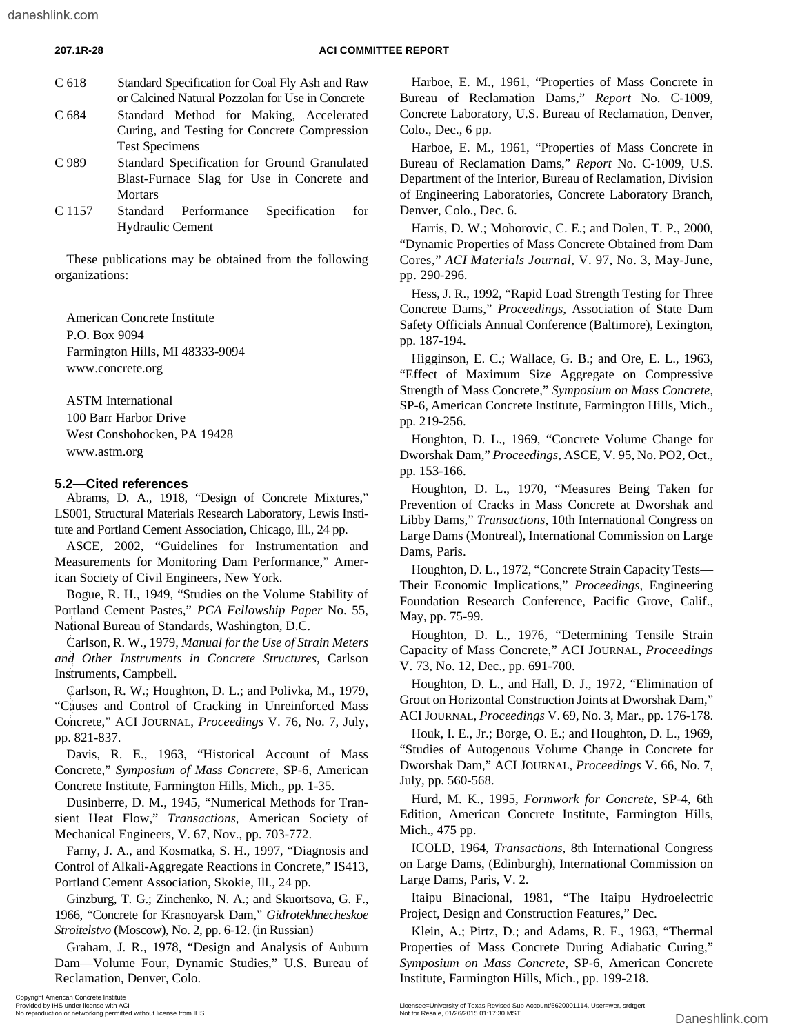#### **207.1R-28 ACI COMMITTEE REPORT**

| C 618 | Standard Specification for Coal Fly Ash and Raw<br>or Calcined Natural Pozzolan for Use in Concrete |
|-------|-----------------------------------------------------------------------------------------------------|
| C 684 | Standard Method for Making, Accelerated<br>Curing, and Testing for Concrete Compression             |
|       | <b>Test Specimens</b>                                                                               |
| C 989 | Standard Specification for Ground Granulated                                                        |
|       | Blast-Furnace Slag for Use in Concrete and                                                          |
|       | <b>Mortars</b>                                                                                      |

C 1157 Standard Performance Specification for Hydraulic Cement

These publications may be obtained from the following organizations:

American Concrete Institute P.O. Box 9094 Farmington Hills, MI 48333-9094 www.concrete.org

ASTM International 100 Barr Harbor Drive West Conshohocken, PA 19428 www.astm.org

### **5.2—Cited references**

Abrams, D. A., 1918, "Design of Concrete Mixtures," LS001, Structural Materials Research Laboratory, Lewis Institute and Portland Cement Association, Chicago, Ill., 24 pp.

ASCE, 2002, "Guidelines for Instrumentation and Measurements for Monitoring Dam Performance," American Society of Civil Engineers, New York.

Bogue, R. H., 1949, "Studies on the Volume Stability of Portland Cement Pastes," *PCA Fellowship Paper* No. 55, National Bureau of Standards, Washington, D.C.

Carlson, R. W., 1979, *Manual for the Use of Strain Meters and Other Instruments in Concrete Structures*, Carlson Instruments, Campbell.

Carlson, R. W.; Houghton, D. L.; and Polivka, M., 1979, "Causes and Control of Cracking in Unreinforced Mass Concrete," ACI JOURNAL, *Proceedings* V. 76, No. 7, July, pp. 821-837. National Bureau of Standards, Washington, D.C.<br>
Carlson, R.W., 1979, Manual for the Use of Strain Meters<br>
Instruments, Campbell.<br>
Carlson, R. W. Houghton, D. L., and Polivka, M., 1979, Carlson, R. W. Houghton, D. L., and C

Davis, R. E., 1963, "Historical Account of Mass Concrete," *Symposium of Mass Concrete*, SP-6, American Concrete Institute, Farmington Hills, Mich., pp. 1-35.

Dusinberre, D. M., 1945, "Numerical Methods for Transient Heat Flow," *Transactions*, American Society of Mechanical Engineers, V. 67, Nov., pp. 703-772.

Farny, J. A., and Kosmatka, S. H., 1997, "Diagnosis and Control of Alkali-Aggregate Reactions in Concrete," IS413, Portland Cement Association, Skokie, Ill., 24 pp.

Ginzburg, T. G.; Zinchenko, N. A.; and Skuortsova, G. F., 1966, "Concrete for Krasnoyarsk Dam," *Gidrotekhnecheskoe Stroitelstvo* (Moscow), No. 2, pp. 6-12. (in Russian)

Graham, J. R., 1978, "Design and Analysis of Auburn Dam—Volume Four, Dynamic Studies," U.S. Bureau of Reclamation, Denver, Colo.

Harboe, E. M., 1961, "Properties of Mass Concrete in Bureau of Reclamation Dams," *Report* No. C-1009, Concrete Laboratory, U.S. Bureau of Reclamation, Denver, Colo., Dec., 6 pp.

Harboe, E. M., 1961, "Properties of Mass Concrete in Bureau of Reclamation Dams," *Report* No. C-1009, U.S. Department of the Interior, Bureau of Reclamation, Division of Engineering Laboratories, Concrete Laboratory Branch, Denver, Colo., Dec. 6.

Harris, D. W.; Mohorovic, C. E.; and Dolen, T. P., 2000, "Dynamic Properties of Mass Concrete Obtained from Dam Cores," *ACI Materials Journal*, V. 97, No. 3, May-June, pp. 290-296.

Hess, J. R., 1992, "Rapid Load Strength Testing for Three Concrete Dams," *Proceedings,* Association of State Dam Safety Officials Annual Conference (Baltimore), Lexington, pp. 187-194.

Higginson, E. C.; Wallace, G. B.; and Ore, E. L., 1963, "Effect of Maximum Size Aggregate on Compressive Strength of Mass Concrete," *Symposium on Mass Concrete*, SP-6, American Concrete Institute, Farmington Hills, Mich., pp. 219-256.

Houghton, D. L., 1969, "Concrete Volume Change for Dworshak Dam," *Proceedings*, ASCE, V. 95, No. PO2, Oct., pp. 153-166.

Houghton, D. L., 1970, "Measures Being Taken for Prevention of Cracks in Mass Concrete at Dworshak and Libby Dams," *Transactions*, 10th International Congress on Large Dams (Montreal), International Commission on Large Dams, Paris.

Houghton, D. L., 1972, "Concrete Strain Capacity Tests— Their Economic Implications," *Proceedings*, Engineering Foundation Research Conference, Pacific Grove, Calif., May, pp. 75-99.

Houghton, D. L., 1976, "Determining Tensile Strain Capacity of Mass Concrete," ACI JOURNAL, *Proceedings* V. 73, No. 12, Dec., pp. 691-700.

Houghton, D. L., and Hall, D. J., 1972, "Elimination of Grout on Horizontal Construction Joints at Dworshak Dam," ACI JOURNAL, *Proceedings* V. 69, No. 3, Mar., pp. 176-178.

Houk, I. E., Jr.; Borge, O. E.; and Houghton, D. L., 1969, "Studies of Autogenous Volume Change in Concrete for Dworshak Dam," ACI JOURNAL, *Proceedings* V. 66, No. 7, July, pp. 560-568.

Hurd, M. K., 1995, *Formwork for Concrete,* SP-4, 6th Edition, American Concrete Institute, Farmington Hills, Mich., 475 pp.

ICOLD, 1964, *Transactions*, 8th International Congress on Large Dams, (Edinburgh), International Commission on Large Dams, Paris, V. 2.

Itaipu Binacional, 1981, "The Itaipu Hydroelectric Project, Design and Construction Features," Dec.

Klein, A.; Pirtz, D.; and Adams, R. F., 1963, "Thermal Properties of Mass Concrete During Adiabatic Curing," *Symposium on Mass Concrete,* SP-6, American Concrete Institute, Farmington Hills, Mich., pp. 199-218.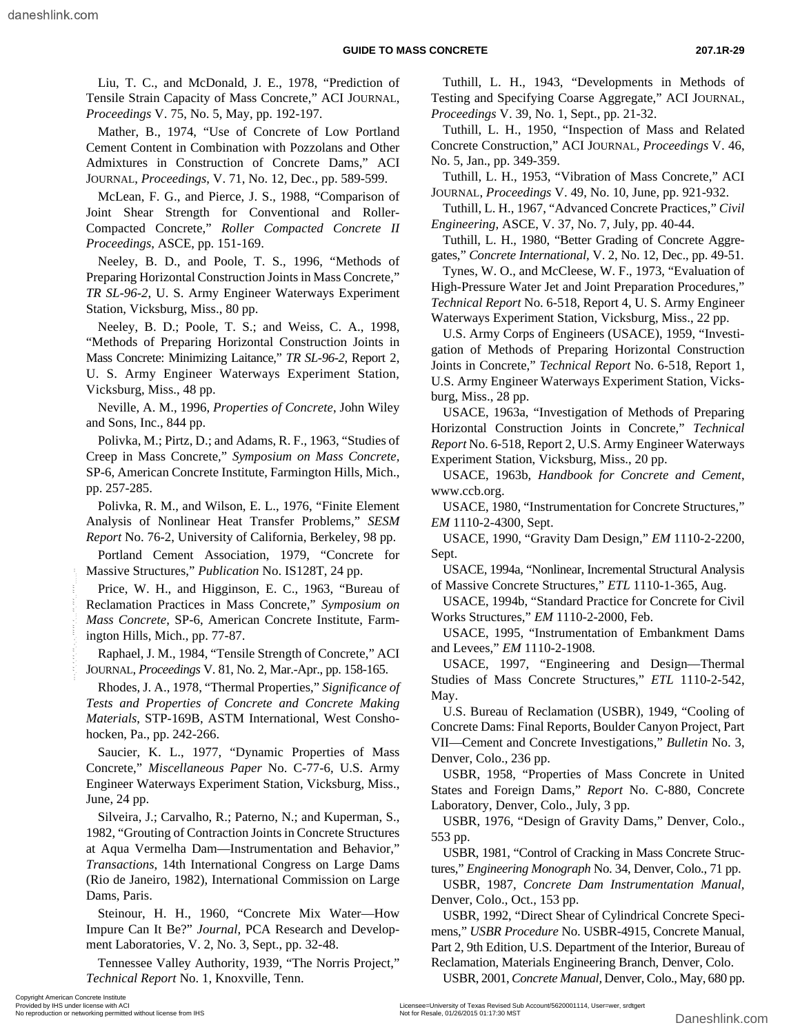Liu, T. C., and McDonald, J. E., 1978, "Prediction of Tensile Strain Capacity of Mass Concrete," ACI JOURNAL, *Proceedings* V. 75, No. 5, May, pp. 192-197.

Mather, B., 1974, "Use of Concrete of Low Portland Cement Content in Combination with Pozzolans and Other Admixtures in Construction of Concrete Dams," ACI JOURNAL, *Proceedings*, V. 71, No. 12, Dec., pp. 589-599.

McLean, F. G., and Pierce, J. S., 1988, "Comparison of Joint Shear Strength for Conventional and Roller-Compacted Concrete," *Roller Compacted Concrete II Proceedings*, ASCE, pp. 151-169.

Neeley, B. D., and Poole, T. S., 1996, "Methods of Preparing Horizontal Construction Joints in Mass Concrete," *TR SL-96-2*, U. S. Army Engineer Waterways Experiment Station, Vicksburg, Miss., 80 pp.

Neeley, B. D.; Poole, T. S.; and Weiss, C. A., 1998, "Methods of Preparing Horizontal Construction Joints in Mass Concrete: Minimizing Laitance," *TR SL-96-2*, Report 2, U. S. Army Engineer Waterways Experiment Station, Vicksburg, Miss., 48 pp.

Neville, A. M., 1996, *Properties of Concrete*, John Wiley and Sons, Inc., 844 pp.

Polivka, M.; Pirtz, D.; and Adams, R. F., 1963, "Studies of Creep in Mass Concrete," *Symposium on Mass Concrete,* SP-6, American Concrete Institute, Farmington Hills, Mich., pp. 257-285.

Polivka, R. M., and Wilson, E. L., 1976, "Finite Element Analysis of Nonlinear Heat Transfer Problems," *SESM Report* No. 76-2, University of California, Berkeley, 98 pp.

Portland Cement Association, 1979, "Concrete for Massive Structures," *Publication* No. IS128T, 24 pp.

Price, W. H., and Higginson, E. C., 1963, "Bureau of Reclamation Practices in Mass Concrete," *Symposium on Mass Concrete*, SP-6, American Concrete Institute, Farmington Hills, Mich., pp. 77-87.

Raphael, J. M., 1984, "Tensile Strength of Concrete," ACI JOURNAL, *Proceedings* V. 81, No. 2, Mar.-Apr., pp. 158-165.

Rhodes, J. A., 1978, "Thermal Properties," *Significance of Tests and Properties of Concrete and Concrete Making Materials*, STP-169B, ASTM International, West Conshohocken, Pa., pp. 242-266.

Saucier, K. L., 1977, "Dynamic Properties of Mass Concrete," *Miscellaneous Paper* No. C-77-6, U.S. Army Engineer Waterways Experiment Station, Vicksburg, Miss., June, 24 pp.

Silveira, J.; Carvalho, R.; Paterno, N.; and Kuperman, S., 1982, "Grouting of Contraction Joints in Concrete Structures at Aqua Vermelha Dam—Instrumentation and Behavior," *Transactions*, 14th International Congress on Large Dams (Rio de Janeiro, 1982), International Commission on Large Dams, Paris. Massive Structures:  $Fubletall$ ,  $\overline{P}$  are Freq. (1994). The Society or networking permitted without an expected in the structure or network Structure (See American Concrete, The Symposium on USACE, 1994 Mass Concrete, SP-6

Steinour, H. H., 1960, "Concrete Mix Water—How Impure Can It Be?" *Journal*, PCA Research and Development Laboratories, V. 2, No. 3, Sept., pp. 32-48.

Tennessee Valley Authority, 1939, "The Norris Project," *Technical Report* No. 1, Knoxville, Tenn.

Tuthill, L. H., 1943, "Developments in Methods of Testing and Specifying Coarse Aggregate," ACI JOURNAL, *Proceedings* V. 39, No. 1, Sept., pp. 21-32.

Tuthill, L. H., 1950, "Inspection of Mass and Related Concrete Construction," ACI JOURNAL, *Proceedings* V. 46, No. 5, Jan., pp. 349-359.

Tuthill, L. H., 1953, "Vibration of Mass Concrete," ACI JOURNAL, *Proceedings* V. 49, No. 10, June, pp. 921-932.

Tuthill, L. H., 1967, "Advanced Concrete Practices," *Civil Engineering,* ASCE, V. 37, No. 7, July, pp. 40-44.

Tuthill, L. H., 1980, "Better Grading of Concrete Aggregates," *Concrete International,* V. 2, No. 12, Dec., pp. 49-51.

Tynes, W. O., and McCleese, W. F., 1973, "Evaluation of High-Pressure Water Jet and Joint Preparation Procedures," *Technical Report* No. 6-518, Report 4, U. S. Army Engineer Waterways Experiment Station, Vicksburg, Miss., 22 pp.

U.S. Army Corps of Engineers (USACE), 1959, "Investigation of Methods of Preparing Horizontal Construction Joints in Concrete," *Technical Report* No. 6-518, Report 1, U.S. Army Engineer Waterways Experiment Station, Vicksburg, Miss., 28 pp.

USACE, 1963a, "Investigation of Methods of Preparing Horizontal Construction Joints in Concrete," *Technical Report* No. 6-518, Report 2, U.S. Army Engineer Waterways Experiment Station, Vicksburg, Miss., 20 pp.

USACE, 1963b, *Handbook for Concrete and Cement*, www.ccb.org.

USACE, 1980, "Instrumentation for Concrete Structures," *EM* 1110-2-4300, Sept.

USACE, 1990, "Gravity Dam Design," *EM* 1110-2-2200, Sept.

USACE, 1994a, "Nonlinear, Incremental Structural Analysis of Massive Concrete Structures," *ETL* 1110-1-365, Aug.

USACE, 1994b, "Standard Practice for Concrete for Civil Works Structures," *EM* 1110-2-2000, Feb.

USACE, 1995, "Instrumentation of Embankment Dams and Levees," *EM* 1110-2-1908.

USACE, 1997, "Engineering and Design—Thermal Studies of Mass Concrete Structures," *ETL* 1110-2-542, May.

U.S. Bureau of Reclamation (USBR), 1949, "Cooling of Concrete Dams: Final Reports, Boulder Canyon Project, Part VII—Cement and Concrete Investigations," *Bulletin* No. 3, Denver, Colo., 236 pp.

USBR, 1958, "Properties of Mass Concrete in United States and Foreign Dams," *Report* No. C-880, Concrete Laboratory, Denver, Colo., July, 3 pp.

USBR, 1976, "Design of Gravity Dams," Denver, Colo., 553 pp.

USBR, 1981, "Control of Cracking in Mass Concrete Structures," *Engineering Monograph* No. 34, Denver, Colo., 71 pp.

USBR, 1987, *Concrete Dam Instrumentation Manual,* Denver, Colo., Oct., 153 pp.

USBR, 1992, "Direct Shear of Cylindrical Concrete Specimens," *USBR Procedure* No. USBR-4915, Concrete Manual, Part 2, 9th Edition, U.S. Department of the Interior, Bureau of Reclamation, Materials Engineering Branch, Denver, Colo.

USBR, 2001, *Concrete Manual,* Denver, Colo., May, 680 pp.